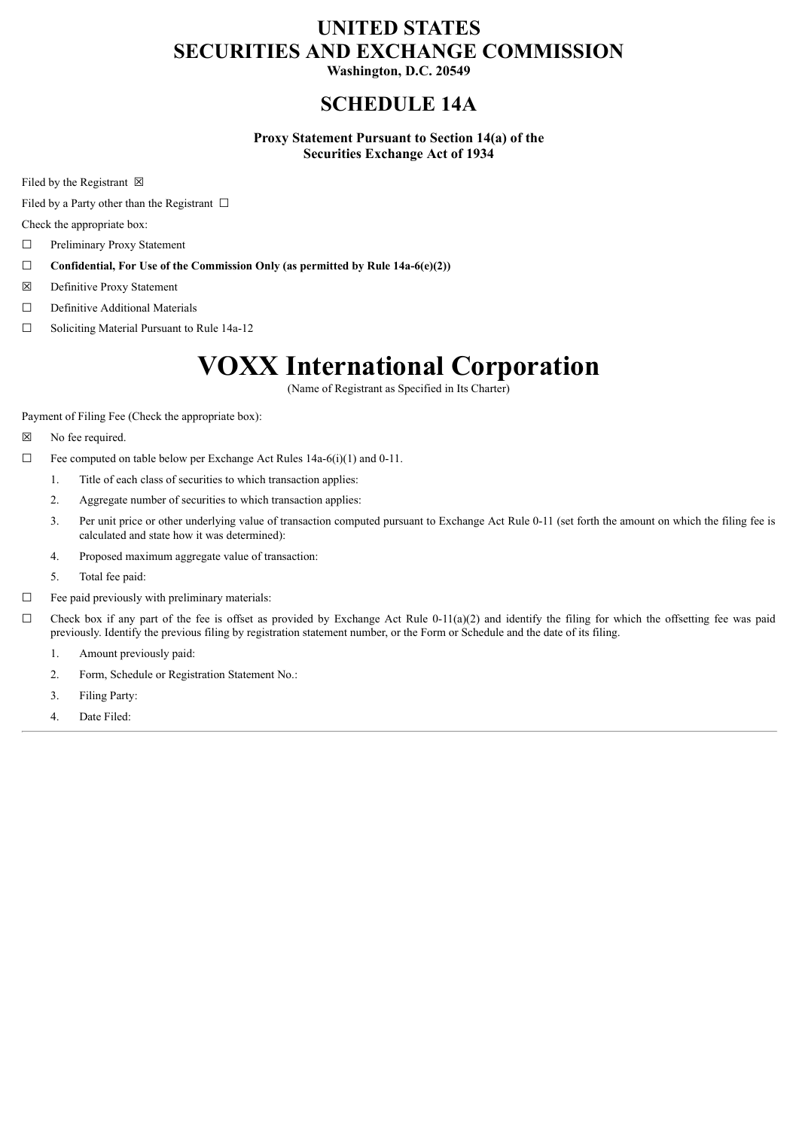# **UNITED STATES SECURITIES AND EXCHANGE COMMISSION**

**Washington, D.C. 20549**

# **SCHEDULE 14A**

**Proxy Statement Pursuant to Section 14(a) of the Securities Exchange Act of 1934**

Filed by the Registrant  $\boxtimes$ 

Filed by a Party other than the Registrant  $\Box$ 

Check the appropriate box:

- ☐ Preliminary Proxy Statement
- ☐ **Confidential, For Use of the Commission Only (as permitted by Rule 14a-6(e)(2))**
- ☒ Definitive Proxy Statement
- ☐ Definitive Additional Materials
- ☐ Soliciting Material Pursuant to Rule 14a-12

# **VOXX International Corporation**

(Name of Registrant as Specified in Its Charter)

Payment of Filing Fee (Check the appropriate box):

- ☒ No fee required.
- $\Box$  Fee computed on table below per Exchange Act Rules 14a-6(i)(1) and 0-11.
	- 1. Title of each class of securities to which transaction applies:
	- 2. Aggregate number of securities to which transaction applies:
	- 3. Per unit price or other underlying value of transaction computed pursuant to Exchange Act Rule 0-11 (set forth the amount on which the filing fee is calculated and state how it was determined):
	- 4. Proposed maximum aggregate value of transaction:
	- 5. Total fee paid:
- ☐ Fee paid previously with preliminary materials:
- $\Box$  Check box if any part of the fee is offset as provided by Exchange Act Rule 0-11(a)(2) and identify the filing for which the offsetting fee was paid previously. Identify the previous filing by registration statement number, or the Form or Schedule and the date of its filing.
	- 1. Amount previously paid:
	- 2. Form, Schedule or Registration Statement No.:
	- 3. Filing Party:
	- 4. Date Filed: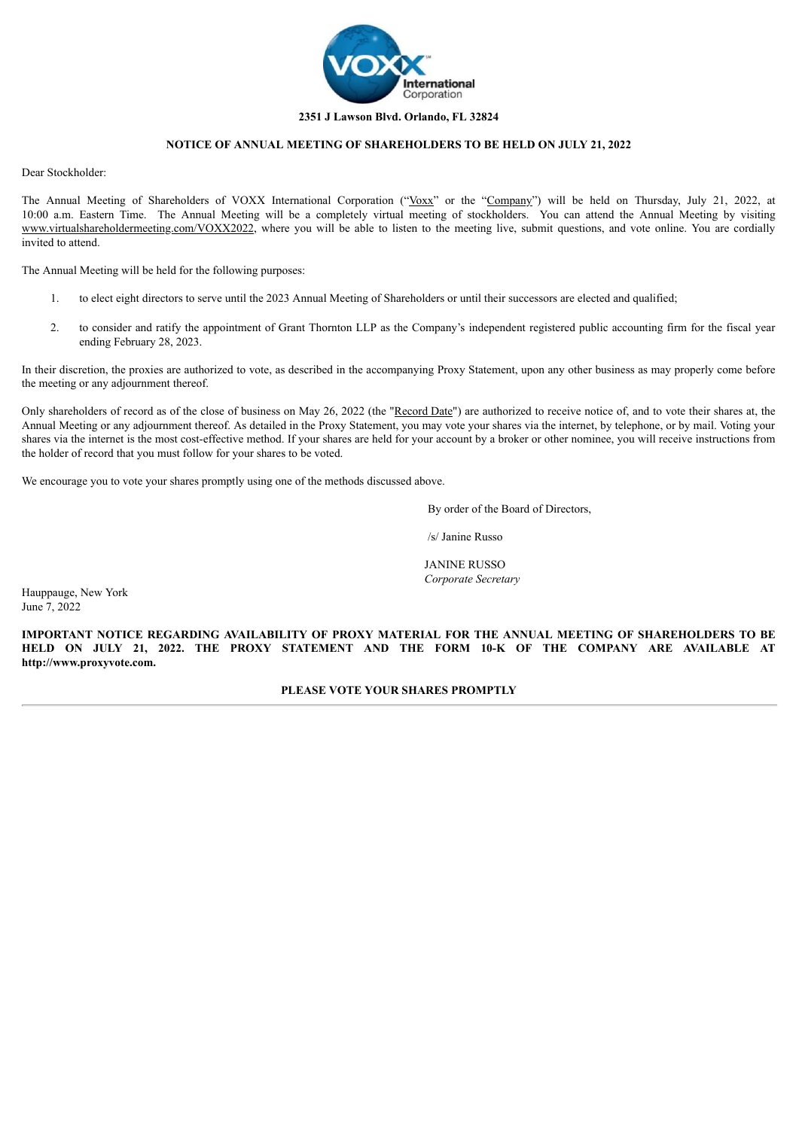

# **2351 J Lawson Blvd. Orlando, FL 32824**

# **NOTICE OF ANNUAL MEETING OF SHAREHOLDERS TO BE HELD ON JULY 21, 2022**

Dear Stockholder:

The Annual Meeting of Shareholders of VOXX International Corporation ("Voxx" or the "Company") will be held on Thursday, July 21, 2022, at 10:00 a.m. Eastern Time. The Annual Meeting will be a completely virtual meeting of stockholders. You can attend the Annual Meeting by visiting www.virtualshareholdermeeting.com/VOXX2022, where you will be able to listen to the meeting live, submit questions, and vote online. You are cordially invited to attend.

The Annual Meeting will be held for the following purposes:

- 1. to elect eight directors to serve until the 2023 Annual Meeting of Shareholders or until their successors are elected and qualified;
- 2. to consider and ratify the appointment of Grant Thornton LLP as the Company's independent registered public accounting firm for the fiscal year ending February 28, 2023.

In their discretion, the proxies are authorized to vote, as described in the accompanying Proxy Statement, upon any other business as may properly come before the meeting or any adjournment thereof.

Only shareholders of record as of the close of business on May 26, 2022 (the "Record Date") are authorized to receive notice of, and to vote their shares at, the Annual Meeting or any adjournment thereof. As detailed in the Proxy Statement, you may vote your shares via the internet, by telephone, or by mail. Voting your shares via the internet is the most cost-effective method. If your shares are held for your account by a broker or other nominee, you will receive instructions from the holder of record that you must follow for your shares to be voted.

We encourage you to vote your shares promptly using one of the methods discussed above.

By order of the Board of Directors,

/s/ Janine Russo

JANINE RUSSO *Corporate Secretary*

Hauppauge, New York June 7, 2022

**IMPORTANT NOTICE REGARDING AVAILABILITY OF PROXY MATERIAL FOR THE ANNUAL MEETING OF SHAREHOLDERS TO BE HELD ON JULY 21, 2022. THE PROXY STATEMENT AND THE FORM 10-K OF THE COMPANY ARE AVAILABLE AT http://www.proxyvote.com.**

**PLEASE VOTE YOUR SHARES PROMPTLY**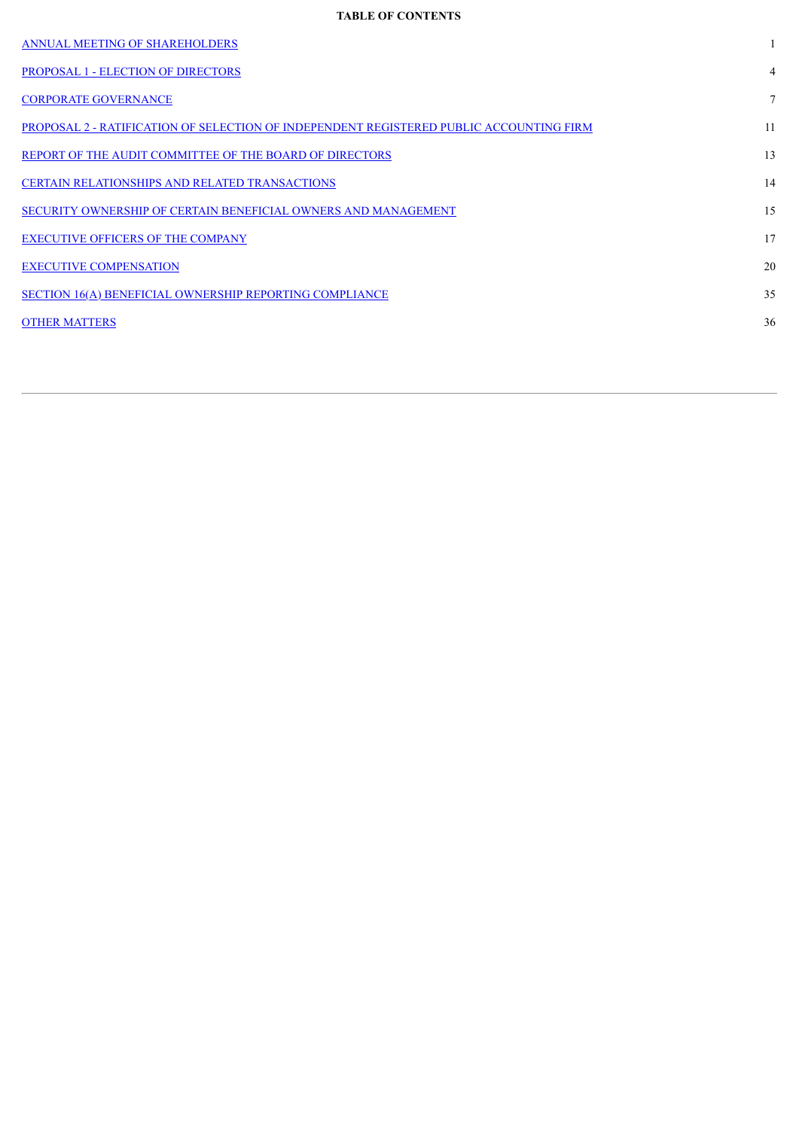# **TABLE OF CONTENTS**

| <b>ANNUAL MEETING OF SHAREHOLDERS</b>                                                   |    |
|-----------------------------------------------------------------------------------------|----|
| <b>PROPOSAL 1 - ELECTION OF DIRECTORS</b>                                               | 4  |
| <b>CORPORATE GOVERNANCE</b>                                                             | 7  |
| PROPOSAL 2 - RATIFICATION OF SELECTION OF INDEPENDENT REGISTERED PUBLIC ACCOUNTING FIRM | 11 |
| REPORT OF THE AUDIT COMMITTEE OF THE BOARD OF DIRECTORS                                 | 13 |
| <b>CERTAIN RELATIONSHIPS AND RELATED TRANSACTIONS</b>                                   | 14 |
| SECURITY OWNERSHIP OF CERTAIN BENEFICIAL OWNERS AND MANAGEMENT                          | 15 |
| <b>EXECUTIVE OFFICERS OF THE COMPANY</b>                                                | 17 |
| <b>EXECUTIVE COMPENSATION</b>                                                           | 20 |
| SECTION 16(A) BENEFICIAL OWNERSHIP REPORTING COMPLIANCE                                 | 35 |
| <b>OTHER MATTERS</b>                                                                    | 36 |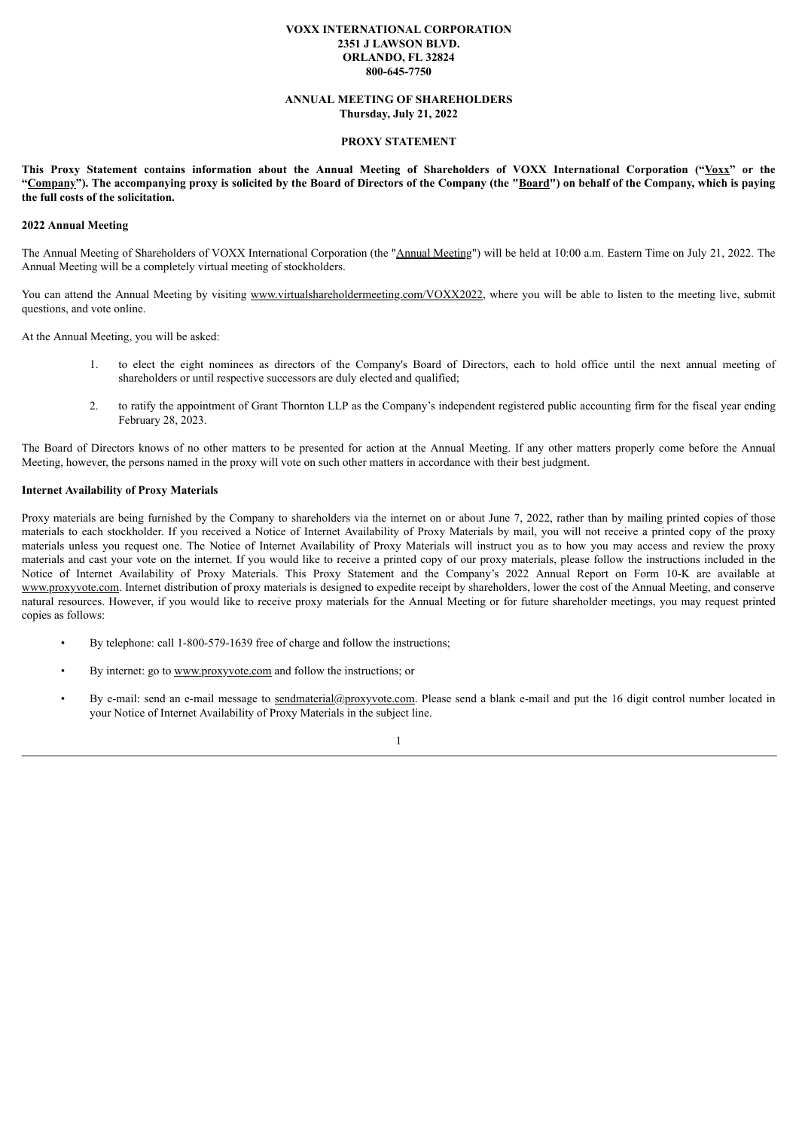# **VOXX INTERNATIONAL CORPORATION 2351 J LAWSON BLVD. ORLANDO, FL 32824 800-645-7750**

# **ANNUAL MEETING OF SHAREHOLDERS Thursday, July 21, 2022**

#### **PROXY STATEMENT**

<span id="page-3-0"></span>This Proxy Statement contains information about the Annual Meeting of Shareholders of VOXX International Corporation ("Voxx" or the "Company"). The accompanying proxy is solicited by the Board of Directors of the Company (the "Board") on behalf of the Company, which is paying **the full costs of the solicitation.**

# **2022 Annual Meeting**

The Annual Meeting of Shareholders of VOXX International Corporation (the "Annual Meeting") will be held at 10:00 a.m. Eastern Time on July 21, 2022. The Annual Meeting will be a completely virtual meeting of stockholders.

You can attend the Annual Meeting by visiting www.virtualshareholdermeeting.com/VOXX2022, where you will be able to listen to the meeting live, submit questions, and vote online.

At the Annual Meeting, you will be asked:

- 1. to elect the eight nominees as directors of the Company's Board of Directors, each to hold office until the next annual meeting of shareholders or until respective successors are duly elected and qualified;
- 2. to ratify the appointment of Grant Thornton LLP as the Company's independent registered public accounting firm for the fiscal year ending February 28, 2023.

The Board of Directors knows of no other matters to be presented for action at the Annual Meeting. If any other matters properly come before the Annual Meeting, however, the persons named in the proxy will vote on such other matters in accordance with their best judgment.

# **Internet Availability of Proxy Materials**

Proxy materials are being furnished by the Company to shareholders via the internet on or about June 7, 2022, rather than by mailing printed copies of those materials to each stockholder. If you received a Notice of Internet Availability of Proxy Materials by mail, you will not receive a printed copy of the proxy materials unless you request one. The Notice of Internet Availability of Proxy Materials will instruct you as to how you may access and review the proxy materials and cast your vote on the internet. If you would like to receive a printed copy of our proxy materials, please follow the instructions included in the Notice of Internet Availability of Proxy Materials. This Proxy Statement and the Company's 2022 Annual Report on Form 10-K are available at www.proxyvote.com. Internet distribution of proxy materials is designed to expedite receipt by shareholders, lower the cost of the Annual Meeting, and conserve natural resources. However, if you would like to receive proxy materials for the Annual Meeting or for future shareholder meetings, you may request printed copies as follows:

- By telephone: call 1-800-579-1639 free of charge and follow the instructions;
- By internet: go to www.proxyvote.com and follow the instructions; or
- By e-mail: send an e-mail message to sendmaterial@proxyvote.com. Please send a blank e-mail and put the 16 digit control number located in your Notice of Internet Availability of Proxy Materials in the subject line.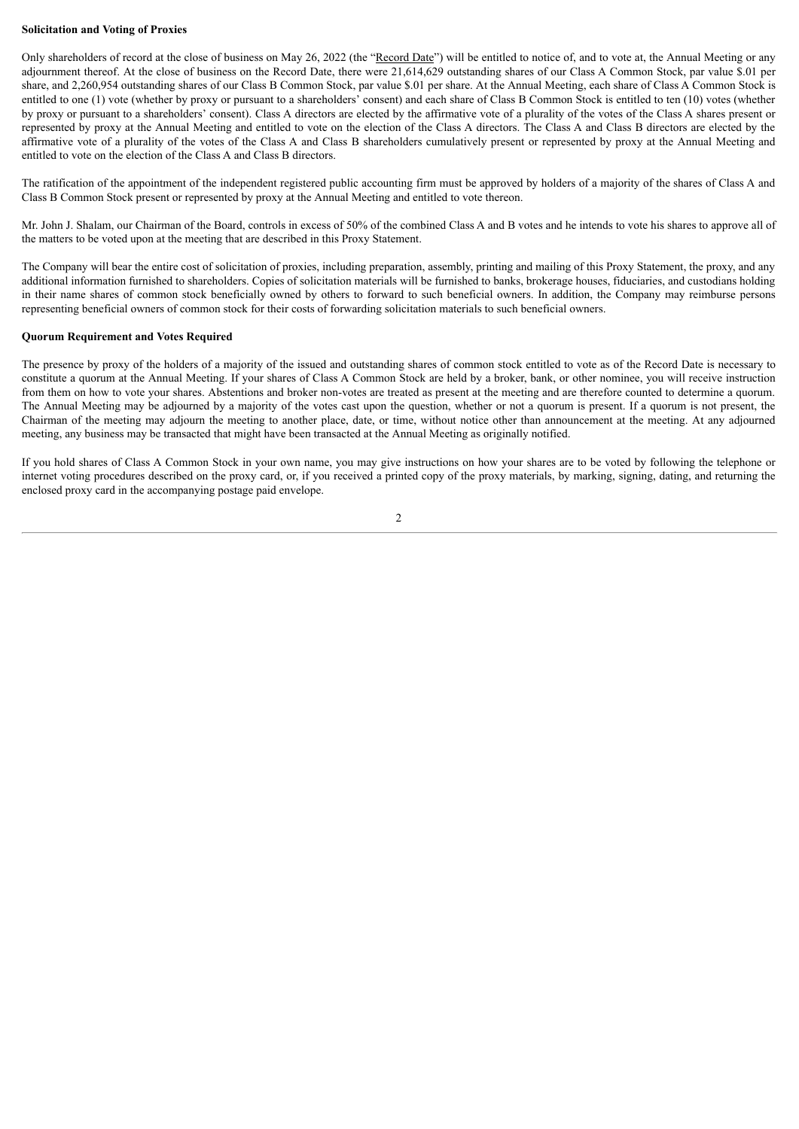# **Solicitation and Voting of Proxies**

Only shareholders of record at the close of business on May 26, 2022 (the "Record Date") will be entitled to notice of, and to vote at, the Annual Meeting or any adjournment thereof. At the close of business on the Record Date, there were 21,614,629 outstanding shares of our Class A Common Stock, par value \$.01 per share, and 2,260,954 outstanding shares of our Class B Common Stock, par value \$.01 per share. At the Annual Meeting, each share of Class A Common Stock is entitled to one (1) vote (whether by proxy or pursuant to a shareholders' consent) and each share of Class B Common Stock is entitled to ten (10) votes (whether by proxy or pursuant to a shareholders' consent). Class A directors are elected by the affirmative vote of a plurality of the votes of the Class A shares present or represented by proxy at the Annual Meeting and entitled to vote on the election of the Class A directors. The Class A and Class B directors are elected by the affirmative vote of a plurality of the votes of the Class A and Class B shareholders cumulatively present or represented by proxy at the Annual Meeting and entitled to vote on the election of the Class A and Class B directors.

The ratification of the appointment of the independent registered public accounting firm must be approved by holders of a majority of the shares of Class A and Class B Common Stock present or represented by proxy at the Annual Meeting and entitled to vote thereon.

Mr. John J. Shalam, our Chairman of the Board, controls in excess of 50% of the combined Class A and B votes and he intends to vote his shares to approve all of the matters to be voted upon at the meeting that are described in this Proxy Statement.

The Company will bear the entire cost of solicitation of proxies, including preparation, assembly, printing and mailing of this Proxy Statement, the proxy, and any additional information furnished to shareholders. Copies of solicitation materials will be furnished to banks, brokerage houses, fiduciaries, and custodians holding in their name shares of common stock beneficially owned by others to forward to such beneficial owners. In addition, the Company may reimburse persons representing beneficial owners of common stock for their costs of forwarding solicitation materials to such beneficial owners.

# **Quorum Requirement and Votes Required**

The presence by proxy of the holders of a majority of the issued and outstanding shares of common stock entitled to vote as of the Record Date is necessary to constitute a quorum at the Annual Meeting. If your shares of Class A Common Stock are held by a broker, bank, or other nominee, you will receive instruction from them on how to vote your shares. Abstentions and broker non-votes are treated as present at the meeting and are therefore counted to determine a quorum. The Annual Meeting may be adjourned by a majority of the votes cast upon the question, whether or not a quorum is present. If a quorum is not present, the Chairman of the meeting may adjourn the meeting to another place, date, or time, without notice other than announcement at the meeting. At any adjourned meeting, any business may be transacted that might have been transacted at the Annual Meeting as originally notified.

If you hold shares of Class A Common Stock in your own name, you may give instructions on how your shares are to be voted by following the telephone or internet voting procedures described on the proxy card, or, if you received a printed copy of the proxy materials, by marking, signing, dating, and returning the enclosed proxy card in the accompanying postage paid envelope.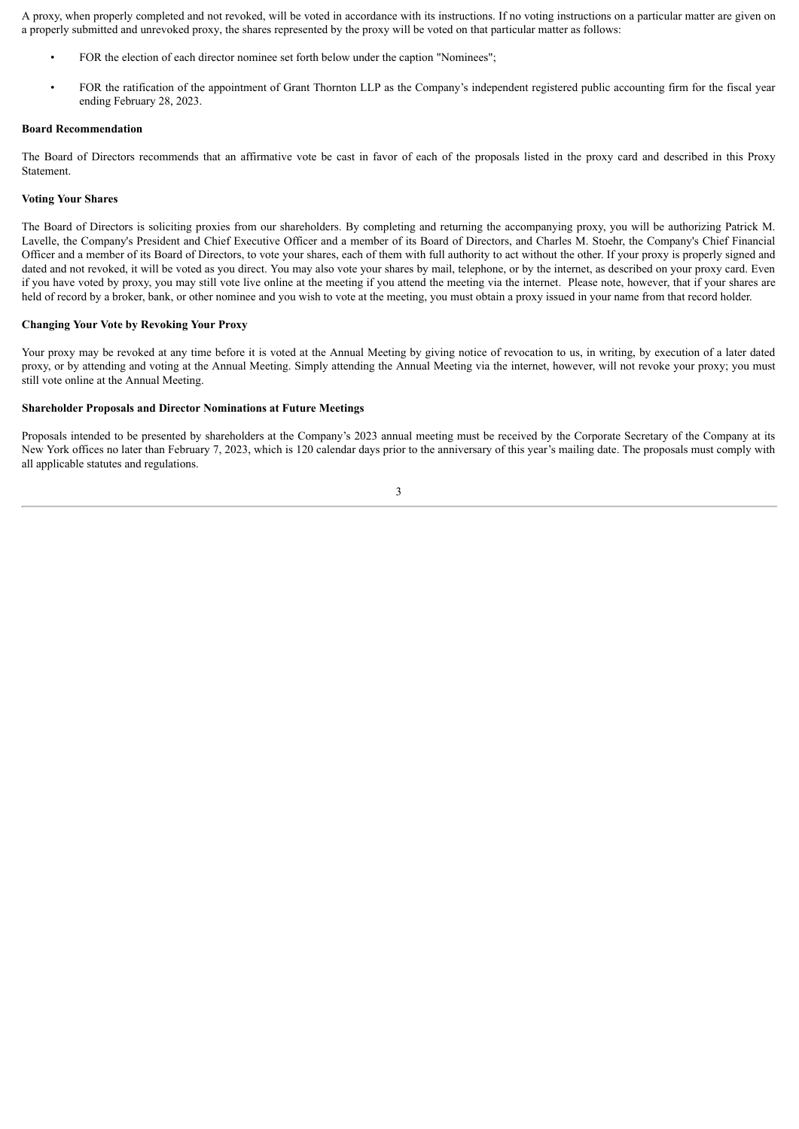A proxy, when properly completed and not revoked, will be voted in accordance with its instructions. If no voting instructions on a particular matter are given on a properly submitted and unrevoked proxy, the shares represented by the proxy will be voted on that particular matter as follows:

- FOR the election of each director nominee set forth below under the caption "Nominees";
- FOR the ratification of the appointment of Grant Thornton LLP as the Company's independent registered public accounting firm for the fiscal year ending February 28, 2023.

# **Board Recommendation**

The Board of Directors recommends that an affirmative vote be cast in favor of each of the proposals listed in the proxy card and described in this Proxy Statement.

# **Voting Your Shares**

The Board of Directors is soliciting proxies from our shareholders. By completing and returning the accompanying proxy, you will be authorizing Patrick M. Lavelle, the Company's President and Chief Executive Officer and a member of its Board of Directors, and Charles M. Stoehr, the Company's Chief Financial Officer and a member of its Board of Directors, to vote your shares, each of them with full authority to act without the other. If your proxy is properly signed and dated and not revoked, it will be voted as you direct. You may also vote your shares by mail, telephone, or by the internet, as described on your proxy card. Even if you have voted by proxy, you may still vote live online at the meeting if you attend the meeting via the internet. Please note, however, that if your shares are held of record by a broker, bank, or other nominee and you wish to vote at the meeting, you must obtain a proxy issued in your name from that record holder.

# **Changing Your Vote by Revoking Your Proxy**

Your proxy may be revoked at any time before it is voted at the Annual Meeting by giving notice of revocation to us, in writing, by execution of a later dated proxy, or by attending and voting at the Annual Meeting. Simply attending the Annual Meeting via the internet, however, will not revoke your proxy; you must still vote online at the Annual Meeting.

#### **Shareholder Proposals and Director Nominations at Future Meetings**

Proposals intended to be presented by shareholders at the Company's 2023 annual meeting must be received by the Corporate Secretary of the Company at its New York offices no later than February 7, 2023, which is 120 calendar days prior to the anniversary of this year's mailing date. The proposals must comply with all applicable statutes and regulations.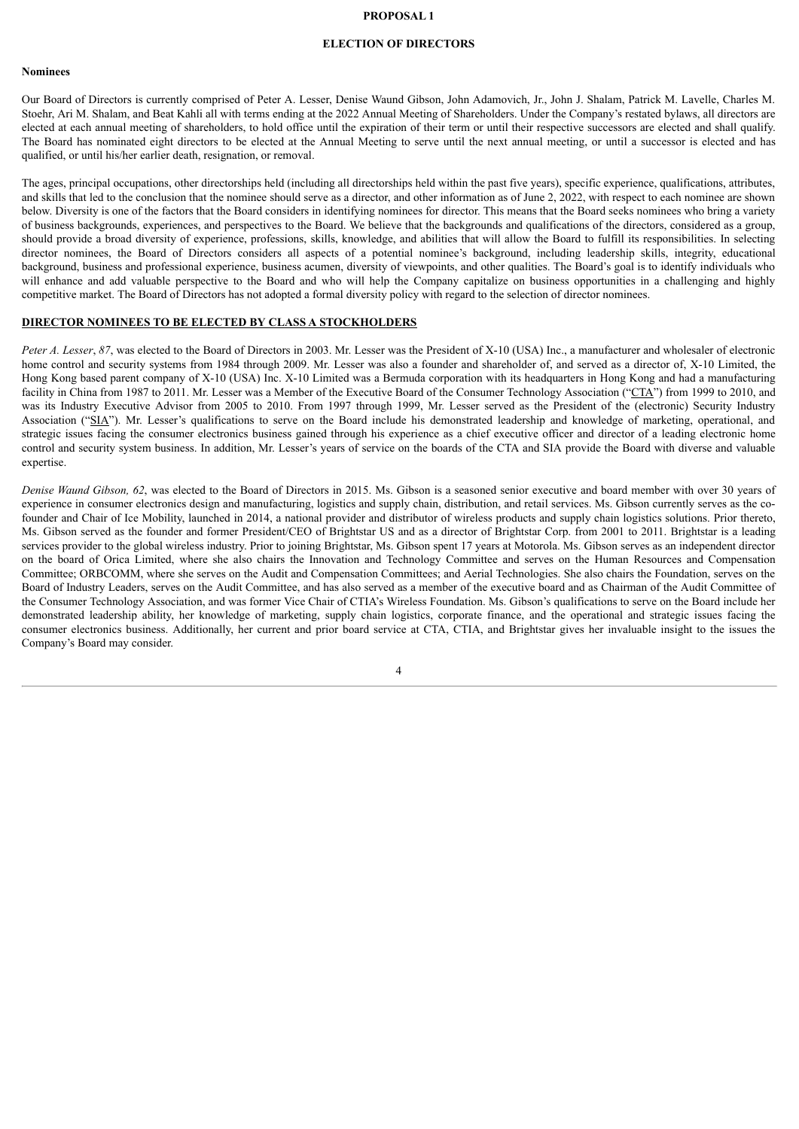# **PROPOSAL 1**

# **ELECTION OF DIRECTORS**

# <span id="page-6-0"></span>**Nominees**

Our Board of Directors is currently comprised of Peter A. Lesser, Denise Waund Gibson, John Adamovich, Jr., John J. Shalam, Patrick M. Lavelle, Charles M. Stoehr, Ari M. Shalam, and Beat Kahli all with terms ending at the 2022 Annual Meeting of Shareholders. Under the Company's restated bylaws, all directors are elected at each annual meeting of shareholders, to hold office until the expiration of their term or until their respective successors are elected and shall qualify. The Board has nominated eight directors to be elected at the Annual Meeting to serve until the next annual meeting, or until a successor is elected and has qualified, or until his/her earlier death, resignation, or removal.

The ages, principal occupations, other directorships held (including all directorships held within the past five years), specific experience, qualifications, attributes, and skills that led to the conclusion that the nominee should serve as a director, and other information as of June 2, 2022, with respect to each nominee are shown below. Diversity is one of the factors that the Board considers in identifying nominees for director. This means that the Board seeks nominees who bring a variety of business backgrounds, experiences, and perspectives to the Board. We believe that the backgrounds and qualifications of the directors, considered as a group, should provide a broad diversity of experience, professions, skills, knowledge, and abilities that will allow the Board to fulfill its responsibilities. In selecting director nominees, the Board of Directors considers all aspects of a potential nominee's background, including leadership skills, integrity, educational background, business and professional experience, business acumen, diversity of viewpoints, and other qualities. The Board's goal is to identify individuals who will enhance and add valuable perspective to the Board and who will help the Company capitalize on business opportunities in a challenging and highly competitive market. The Board of Directors has not adopted a formal diversity policy with regard to the selection of director nominees.

### **DIRECTOR NOMINEES TO BE ELECTED BY CLASS A STOCKHOLDERS**

*Peter A. Lesser*, *87*, was elected to the Board of Directors in 2003. Mr. Lesser was the President of X-10 (USA) Inc., a manufacturer and wholesaler of electronic home control and security systems from 1984 through 2009. Mr. Lesser was also a founder and shareholder of, and served as a director of, X-10 Limited, the Hong Kong based parent company of X-10 (USA) Inc. X-10 Limited was a Bermuda corporation with its headquarters in Hong Kong and had a manufacturing facility in China from 1987 to 2011. Mr. Lesser was a Member of the Executive Board of the Consumer Technology Association ("CTA") from 1999 to 2010, and was its Industry Executive Advisor from 2005 to 2010. From 1997 through 1999, Mr. Lesser served as the President of the (electronic) Security Industry Association ("SIA"). Mr. Lesser's qualifications to serve on the Board include his demonstrated leadership and knowledge of marketing, operational, and strategic issues facing the consumer electronics business gained through his experience as a chief executive officer and director of a leading electronic home control and security system business. In addition, Mr. Lesser's years of service on the boards of the CTA and SIA provide the Board with diverse and valuable expertise.

*Denise Waund Gibson, 62*, was elected to the Board of Directors in 2015. Ms. Gibson is a seasoned senior executive and board member with over 30 years of experience in consumer electronics design and manufacturing, logistics and supply chain, distribution, and retail services. Ms. Gibson currently serves as the cofounder and Chair of Ice Mobility, launched in 2014, a national provider and distributor of wireless products and supply chain logistics solutions. Prior thereto, Ms. Gibson served as the founder and former President/CEO of Brightstar US and as a director of Brightstar Corp. from 2001 to 2011. Brightstar is a leading services provider to the global wireless industry. Prior to joining Brightstar, Ms. Gibson spent 17 years at Motorola. Ms. Gibson serves as an independent director on the board of Orica Limited, where she also chairs the Innovation and Technology Committee and serves on the Human Resources and Compensation Committee; ORBCOMM, where she serves on the Audit and Compensation Committees; and Aerial Technologies. She also chairs the Foundation, serves on the Board of Industry Leaders, serves on the Audit Committee, and has also served as a member of the executive board and as Chairman of the Audit Committee of the Consumer Technology Association, and was former Vice Chair of CTIA's Wireless Foundation. Ms. Gibson's qualifications to serve on the Board include her demonstrated leadership ability, her knowledge of marketing, supply chain logistics, corporate finance, and the operational and strategic issues facing the consumer electronics business. Additionally, her current and prior board service at CTA, CTIA, and Brightstar gives her invaluable insight to the issues the Company's Board may consider.

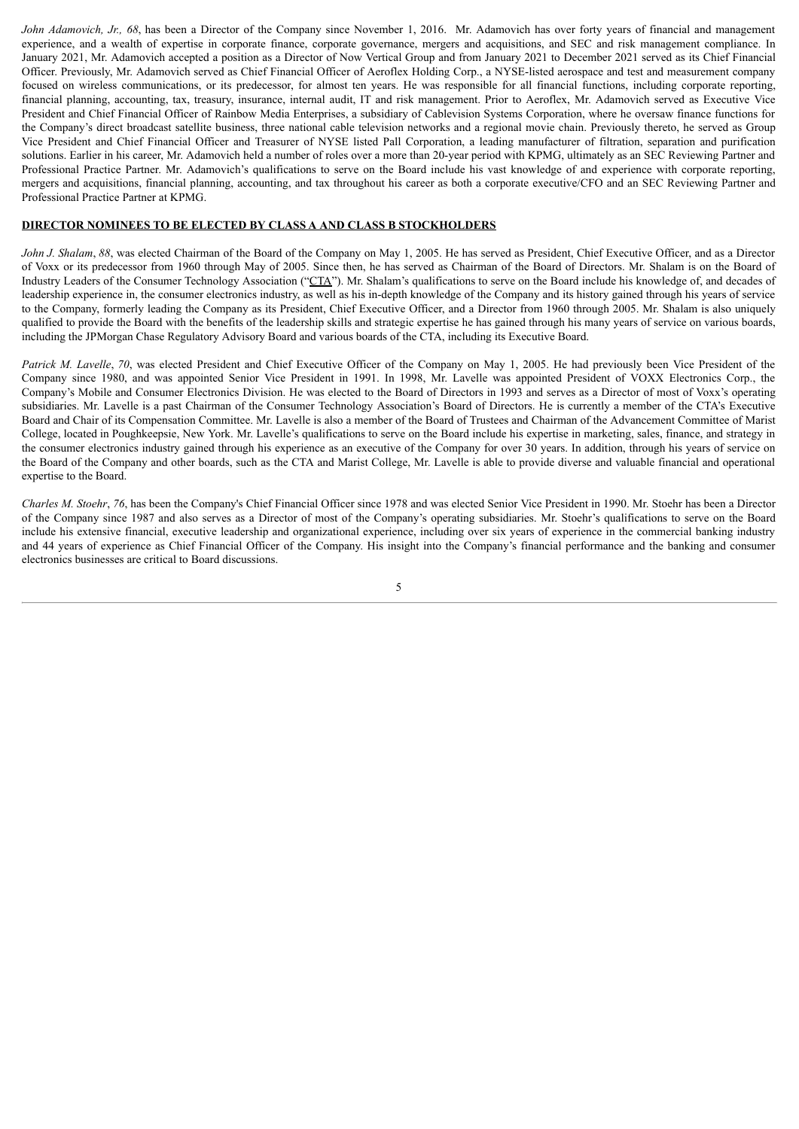*John Adamovich, Jr., 68*, has been a Director of the Company since November 1, 2016. Mr. Adamovich has over forty years of financial and management experience, and a wealth of expertise in corporate finance, corporate governance, mergers and acquisitions, and SEC and risk management compliance. In January 2021, Mr. Adamovich accepted a position as a Director of Now Vertical Group and from January 2021 to December 2021 served as its Chief Financial Officer. Previously, Mr. Adamovich served as Chief Financial Officer of Aeroflex Holding Corp., a NYSE-listed aerospace and test and measurement company focused on wireless communications, or its predecessor, for almost ten years. He was responsible for all financial functions, including corporate reporting, financial planning, accounting, tax, treasury, insurance, internal audit, IT and risk management. Prior to Aeroflex, Mr. Adamovich served as Executive Vice President and Chief Financial Officer of Rainbow Media Enterprises, a subsidiary of Cablevision Systems Corporation, where he oversaw finance functions for the Company's direct broadcast satellite business, three national cable television networks and a regional movie chain. Previously thereto, he served as Group Vice President and Chief Financial Officer and Treasurer of NYSE listed Pall Corporation, a leading manufacturer of filtration, separation and purification solutions. Earlier in his career, Mr. Adamovich held a number of roles over a more than 20-year period with KPMG, ultimately as an SEC Reviewing Partner and Professional Practice Partner. Mr. Adamovich's qualifications to serve on the Board include his vast knowledge of and experience with corporate reporting, mergers and acquisitions, financial planning, accounting, and tax throughout his career as both a corporate executive/CFO and an SEC Reviewing Partner and Professional Practice Partner at KPMG.

# **DIRECTOR NOMINEES TO BE ELECTED BY CLASS A AND CLASS B STOCKHOLDERS**

*John J. Shalam, 88*, was elected Chairman of the Board of the Company on May 1, 2005. He has served as President, Chief Executive Officer, and as a Director of Voxx or its predecessor from 1960 through May of 2005. Since then, he has served as Chairman of the Board of Directors. Mr. Shalam is on the Board of Industry Leaders of the Consumer Technology Association ("CTA"). Mr. Shalam's qualifications to serve on the Board include his knowledge of, and decades of leadership experience in, the consumer electronics industry, as well as his in-depth knowledge of the Company and its history gained through his years of service to the Company, formerly leading the Company as its President, Chief Executive Officer, and a Director from 1960 through 2005. Mr. Shalam is also uniquely qualified to provide the Board with the benefits of the leadership skills and strategic expertise he has gained through his many years of service on various boards, including the JPMorgan Chase Regulatory Advisory Board and various boards of the CTA, including its Executive Board.

*Patrick M. Lavelle*, *70*, was elected President and Chief Executive Officer of the Company on May 1, 2005. He had previously been Vice President of the Company since 1980, and was appointed Senior Vice President in 1991. In 1998, Mr. Lavelle was appointed President of VOXX Electronics Corp., the Company's Mobile and Consumer Electronics Division. He was elected to the Board of Directors in 1993 and serves as a Director of most of Voxx's operating subsidiaries. Mr. Lavelle is a past Chairman of the Consumer Technology Association's Board of Directors. He is currently a member of the CTA's Executive Board and Chair of its Compensation Committee. Mr. Lavelle is also a member of the Board of Trustees and Chairman of the Advancement Committee of Marist College, located in Poughkeepsie, New York. Mr. Lavelle's qualifications to serve on the Board include his expertise in marketing, sales, finance, and strategy in the consumer electronics industry gained through his experience as an executive of the Company for over 30 years. In addition, through his years of service on the Board of the Company and other boards, such as the CTA and Marist College, Mr. Lavelle is able to provide diverse and valuable financial and operational expertise to the Board.

*Charles M. Stoehr*, *76*, has been the Company's Chief Financial Officer since 1978 and was elected Senior Vice President in 1990. Mr. Stoehr has been a Director of the Company since 1987 and also serves as a Director of most of the Company's operating subsidiaries. Mr. Stoehr's qualifications to serve on the Board include his extensive financial, executive leadership and organizational experience, including over six years of experience in the commercial banking industry and 44 years of experience as Chief Financial Officer of the Company. His insight into the Company's financial performance and the banking and consumer electronics businesses are critical to Board discussions.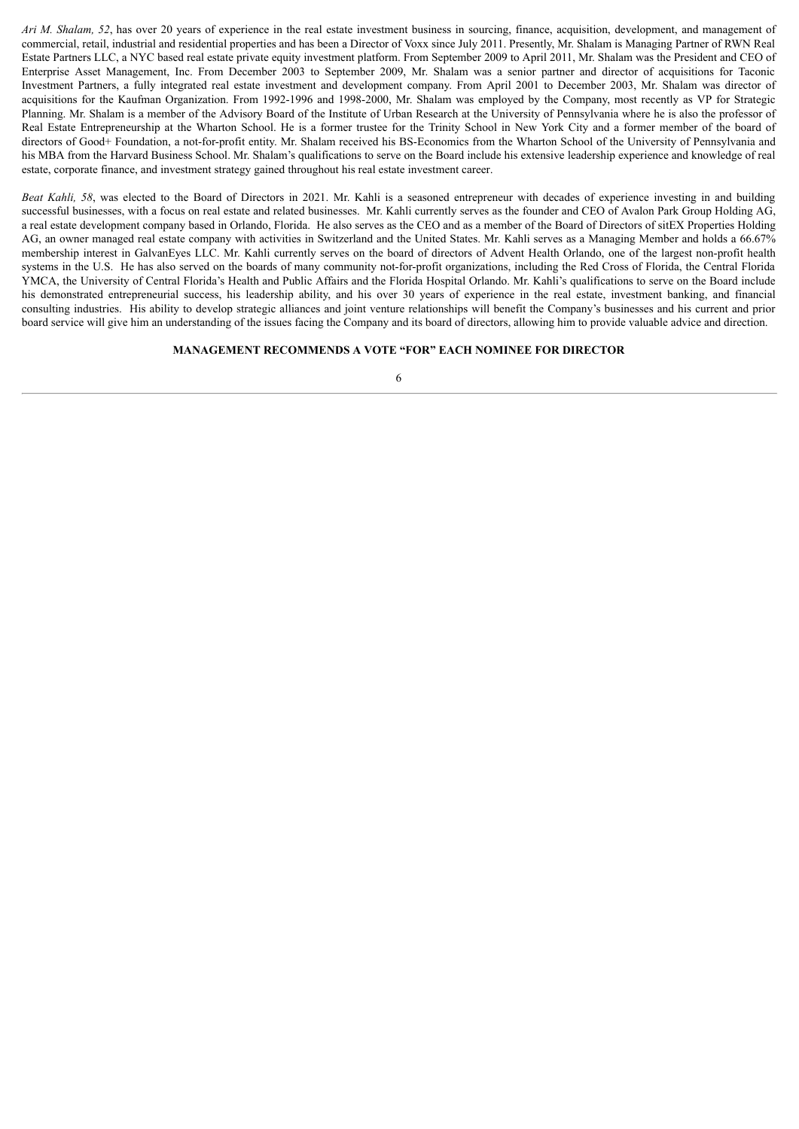*Ari M. Shalam, 52*, has over 20 years of experience in the real estate investment business in sourcing, finance, acquisition, development, and management of commercial, retail, industrial and residential properties and has been a Director of Voxx since July 2011. Presently, Mr. Shalam is Managing Partner of RWN Real Estate Partners LLC, a NYC based real estate private equity investment platform. From September 2009 to April 2011, Mr. Shalam was the President and CEO of Enterprise Asset Management, Inc. From December 2003 to September 2009, Mr. Shalam was a senior partner and director of acquisitions for Taconic Investment Partners, a fully integrated real estate investment and development company. From April 2001 to December 2003, Mr. Shalam was director of acquisitions for the Kaufman Organization. From 1992-1996 and 1998-2000, Mr. Shalam was employed by the Company, most recently as VP for Strategic Planning. Mr. Shalam is a member of the Advisory Board of the Institute of Urban Research at the University of Pennsylvania where he is also the professor of Real Estate Entrepreneurship at the Wharton School. He is a former trustee for the Trinity School in New York City and a former member of the board of directors of Good+ Foundation, a not-for-profit entity. Mr. Shalam received his BS-Economics from the Wharton School of the University of Pennsylvania and his MBA from the Harvard Business School. Mr. Shalam's qualifications to serve on the Board include his extensive leadership experience and knowledge of real estate, corporate finance, and investment strategy gained throughout his real estate investment career.

*Beat Kahli, 58*, was elected to the Board of Directors in 2021. Mr. Kahli is a seasoned entrepreneur with decades of experience investing in and building successful businesses, with a focus on real estate and related businesses. Mr. Kahli currently serves as the founder and CEO of Avalon Park Group Holding AG, a real estate development company based in Orlando, Florida. He also serves as the CEO and as a member of the Board of Directors of sitEX Properties Holding AG, an owner managed real estate company with activities in Switzerland and the United States. Mr. Kahli serves as a Managing Member and holds a 66.67% membership interest in GalvanEyes LLC. Mr. Kahli currently serves on the board of directors of Advent Health Orlando, one of the largest non-profit health systems in the U.S. He has also served on the boards of many community not-for-profit organizations, including the Red Cross of Florida, the Central Florida YMCA, the University of Central Florida's Health and Public Affairs and the Florida Hospital Orlando. Mr. Kahli's qualifications to serve on the Board include his demonstrated entrepreneurial success, his leadership ability, and his over 30 years of experience in the real estate, investment banking, and financial consulting industries. His ability to develop strategic alliances and joint venture relationships will benefit the Company's businesses and his current and prior board service will give him an understanding of the issues facing the Company and its board of directors, allowing him to provide valuable advice and direction.

#### **MANAGEMENT RECOMMENDS A VOTE "FOR" EACH NOMINEE FOR DIRECTOR**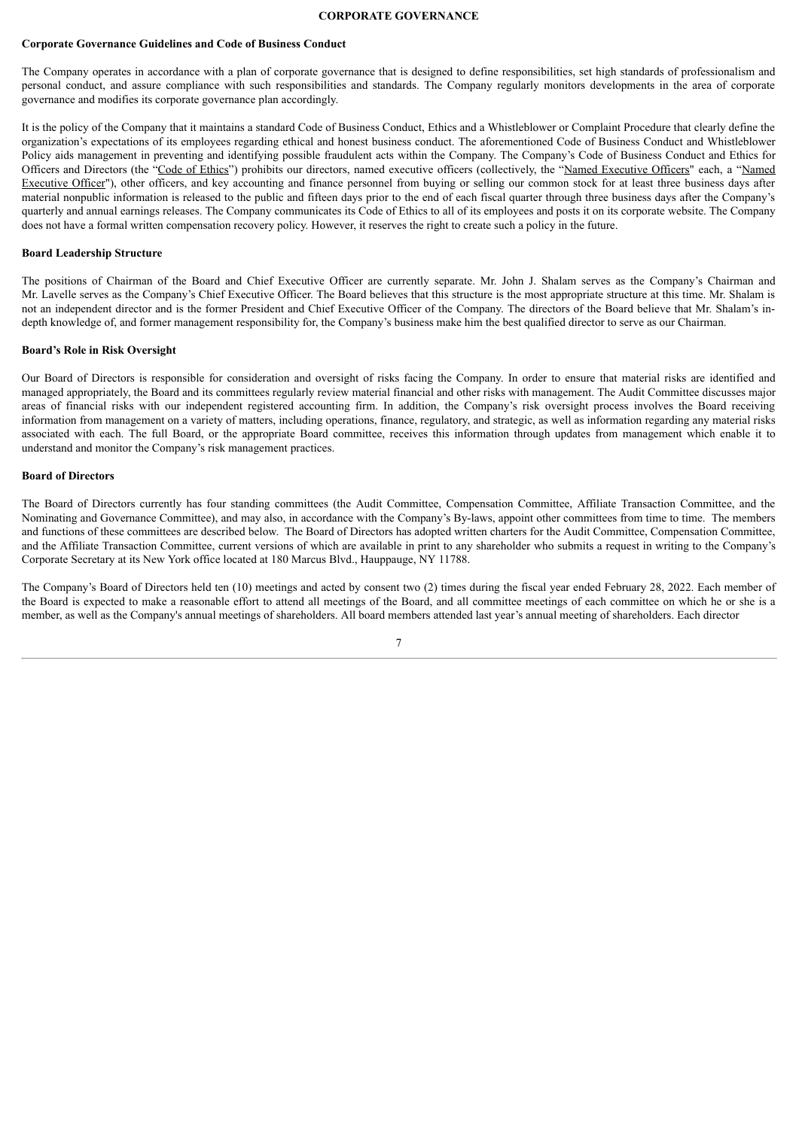# **CORPORATE GOVERNANCE**

#### <span id="page-9-0"></span>**Corporate Governance Guidelines and Code of Business Conduct**

The Company operates in accordance with a plan of corporate governance that is designed to define responsibilities, set high standards of professionalism and personal conduct, and assure compliance with such responsibilities and standards. The Company regularly monitors developments in the area of corporate governance and modifies its corporate governance plan accordingly.

It is the policy of the Company that it maintains a standard Code of Business Conduct, Ethics and a Whistleblower or Complaint Procedure that clearly define the organization's expectations of its employees regarding ethical and honest business conduct. The aforementioned Code of Business Conduct and Whistleblower Policy aids management in preventing and identifying possible fraudulent acts within the Company. The Company's Code of Business Conduct and Ethics for Officers and Directors (the "Code of Ethics") prohibits our directors, named executive officers (collectively, the "Named Executive Officers" each, a "Named Executive Officer"), other officers, and key accounting and finance personnel from buying or selling our common stock for at least three business days after material nonpublic information is released to the public and fifteen days prior to the end of each fiscal quarter through three business days after the Company's quarterly and annual earnings releases. The Company communicates its Code of Ethics to all of its employees and posts it on its corporate website. The Company does not have a formal written compensation recovery policy. However, it reserves the right to create such a policy in the future.

#### **Board Leadership Structure**

The positions of Chairman of the Board and Chief Executive Officer are currently separate. Mr. John J. Shalam serves as the Company's Chairman and Mr. Lavelle serves as the Company's Chief Executive Officer. The Board believes that this structure is the most appropriate structure at this time. Mr. Shalam is not an independent director and is the former President and Chief Executive Officer of the Company. The directors of the Board believe that Mr. Shalam's indepth knowledge of, and former management responsibility for, the Company's business make him the best qualified director to serve as our Chairman.

#### **Board's Role in Risk Oversight**

Our Board of Directors is responsible for consideration and oversight of risks facing the Company. In order to ensure that material risks are identified and managed appropriately, the Board and its committees regularly review material financial and other risks with management. The Audit Committee discusses major areas of financial risks with our independent registered accounting firm. In addition, the Company's risk oversight process involves the Board receiving information from management on a variety of matters, including operations, finance, regulatory, and strategic, as well as information regarding any material risks associated with each. The full Board, or the appropriate Board committee, receives this information through updates from management which enable it to understand and monitor the Company's risk management practices.

# **Board of Directors**

The Board of Directors currently has four standing committees (the Audit Committee, Compensation Committee, Affiliate Transaction Committee, and the Nominating and Governance Committee), and may also, in accordance with the Company's By-laws, appoint other committees from time to time. The members and functions of these committees are described below. The Board of Directors has adopted written charters for the Audit Committee, Compensation Committee, and the Affiliate Transaction Committee, current versions of which are available in print to any shareholder who submits a request in writing to the Company's Corporate Secretary at its New York office located at 180 Marcus Blvd., Hauppauge, NY 11788.

The Company's Board of Directors held ten (10) meetings and acted by consent two (2) times during the fiscal year ended February 28, 2022. Each member of the Board is expected to make a reasonable effort to attend all meetings of the Board, and all committee meetings of each committee on which he or she is a member, as well as the Company's annual meetings of shareholders. All board members attended last year's annual meeting of shareholders. Each director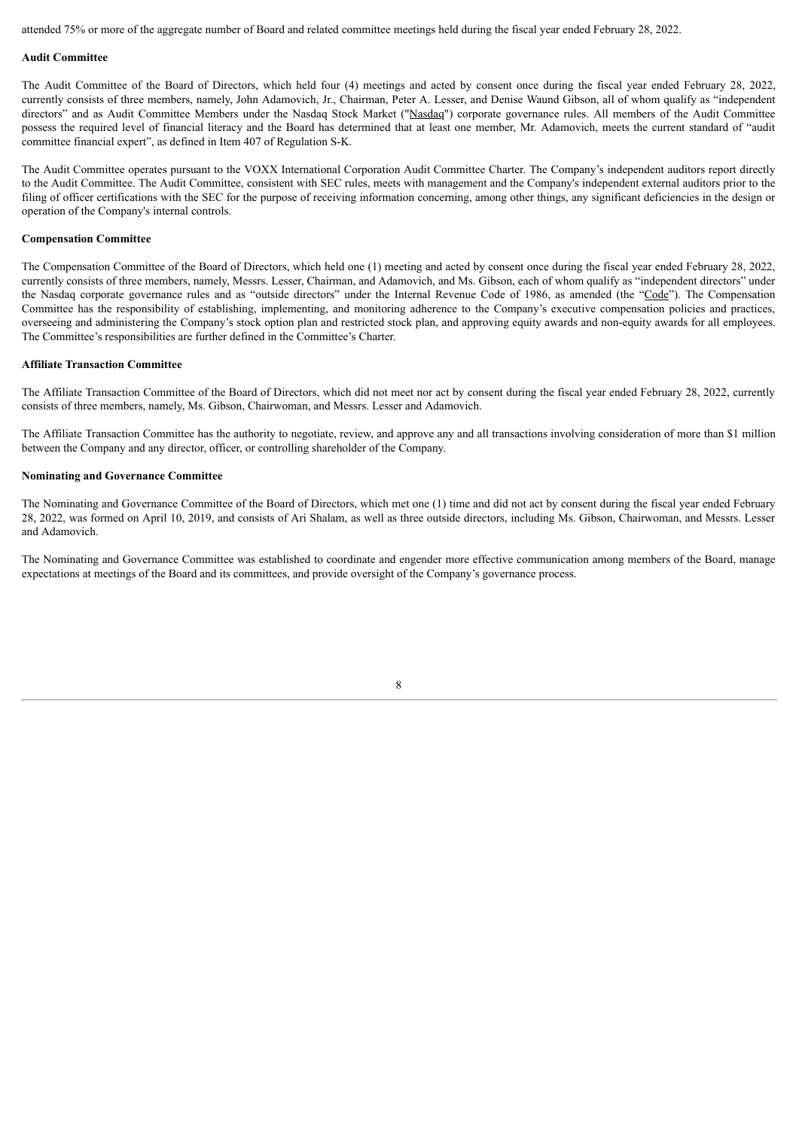attended 75% or more of the aggregate number of Board and related committee meetings held during the fiscal year ended February 28, 2022.

#### **Audit Committee**

The Audit Committee of the Board of Directors, which held four (4) meetings and acted by consent once during the fiscal year ended February 28, 2022, currently consists of three members, namely, John Adamovich, Jr., Chairman, Peter A. Lesser, and Denise Waund Gibson, all of whom qualify as "independent directors" and as Audit Committee Members under the Nasdaq Stock Market ("Nasdaq") corporate governance rules. All members of the Audit Committee possess the required level of financial literacy and the Board has determined that at least one member, Mr. Adamovich, meets the current standard of "audit committee financial expert", as defined in Item 407 of Regulation S-K.

The Audit Committee operates pursuant to the VOXX International Corporation Audit Committee Charter. The Company's independent auditors report directly to the Audit Committee. The Audit Committee, consistent with SEC rules, meets with management and the Company's independent external auditors prior to the filing of officer certifications with the SEC for the purpose of receiving information concerning, among other things, any significant deficiencies in the design or operation of the Company's internal controls.

#### **Compensation Committee**

The Compensation Committee of the Board of Directors, which held one (1) meeting and acted by consent once during the fiscal year ended February 28, 2022, currently consists of three members, namely, Messrs. Lesser, Chairman, and Adamovich, and Ms. Gibson, each of whom qualify as "independent directors" under the Nasdaq corporate governance rules and as "outside directors" under the Internal Revenue Code of 1986, as amended (the "Code"). The Compensation Committee has the responsibility of establishing, implementing, and monitoring adherence to the Company's executive compensation policies and practices, overseeing and administering the Company's stock option plan and restricted stock plan, and approving equity awards and non-equity awards for all employees. The Committee's responsibilities are further defined in the Committee's Charter.

#### **Affiliate Transaction Committee**

The Affiliate Transaction Committee of the Board of Directors, which did not meet nor act by consent during the fiscal year ended February 28, 2022, currently consists of three members, namely, Ms. Gibson, Chairwoman, and Messrs. Lesser and Adamovich.

The Affiliate Transaction Committee has the authority to negotiate, review, and approve any and all transactions involving consideration of more than \$1 million between the Company and any director, officer, or controlling shareholder of the Company.

#### **Nominating and Governance Committee**

The Nominating and Governance Committee of the Board of Directors, which met one (1) time and did not act by consent during the fiscal year ended February 28, 2022, was formed on April 10, 2019, and consists of Ari Shalam, as well as three outside directors, including Ms. Gibson, Chairwoman, and Messrs. Lesser and Adamovich.

The Nominating and Governance Committee was established to coordinate and engender more effective communication among members of the Board, manage expectations at meetings of the Board and its committees, and provide oversight of the Company's governance process.

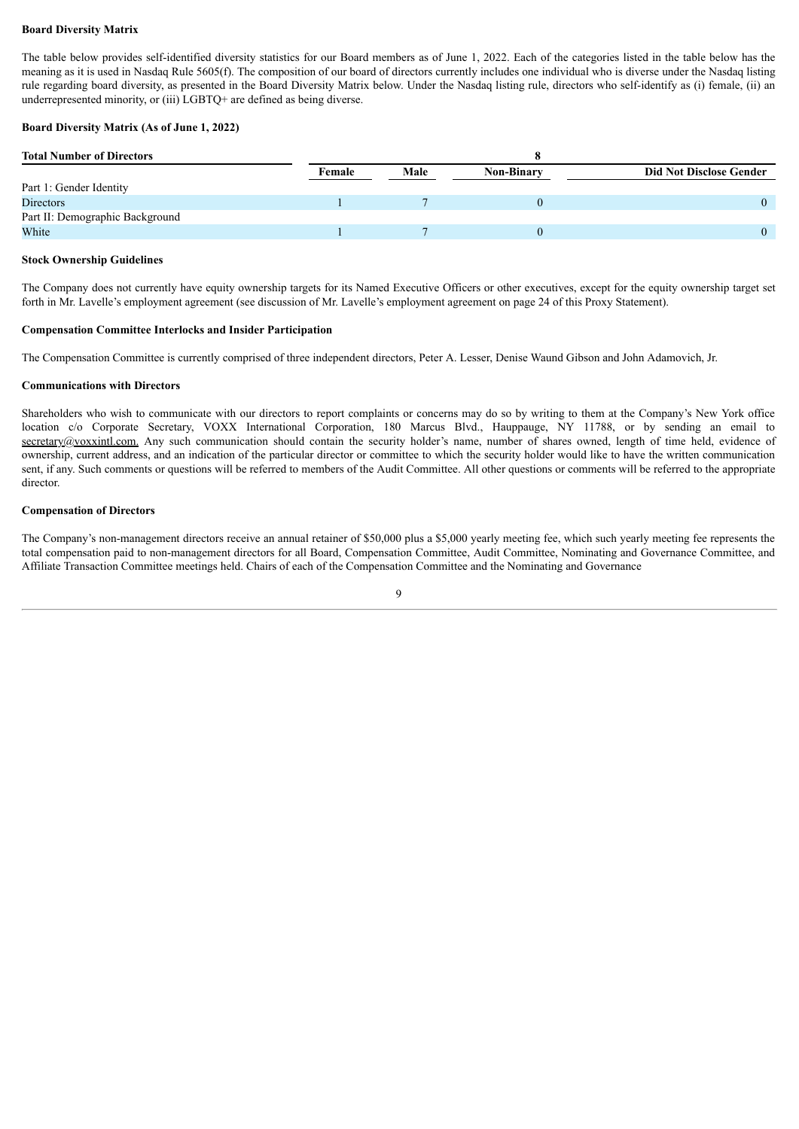# **Board Diversity Matrix**

The table below provides self-identified diversity statistics for our Board members as of June 1, 2022. Each of the categories listed in the table below has the meaning as it is used in Nasdaq Rule 5605(f). The composition of our board of directors currently includes one individual who is diverse under the Nasdaq listing rule regarding board diversity, as presented in the Board Diversity Matrix below. Under the Nasdaq listing rule, directors who self-identify as (i) female, (ii) an underrepresented minority, or (iii) LGBTQ+ are defined as being diverse.

# **Board Diversity Matrix (As of June 1, 2022)**

| <b>Total Number of Directors</b> |        |      |                   |                                |
|----------------------------------|--------|------|-------------------|--------------------------------|
|                                  | Female | Male | <b>Non-Binary</b> | <b>Did Not Disclose Gender</b> |
| Part 1: Gender Identity          |        |      |                   |                                |
| Directors                        |        |      |                   |                                |
| Part II: Demographic Background  |        |      |                   |                                |
| White                            |        |      |                   |                                |

# **Stock Ownership Guidelines**

The Company does not currently have equity ownership targets for its Named Executive Officers or other executives, except for the equity ownership target set forth in Mr. Lavelle's employment agreement (see discussion of Mr. Lavelle's employment agreement on page 24 of this Proxy Statement).

#### **Compensation Committee Interlocks and Insider Participation**

The Compensation Committee is currently comprised of three independent directors, Peter A. Lesser, Denise Waund Gibson and John Adamovich, Jr.

#### **Communications with Directors**

Shareholders who wish to communicate with our directors to report complaints or concerns may do so by writing to them at the Company's New York office location c/o Corporate Secretary, VOXX International Corporation, 180 Marcus Blvd., Hauppauge, NY 11788, or by sending an email to secretary@voxxintl.com. Any such communication should contain the security holder's name, number of shares owned, length of time held, evidence of ownership, current address, and an indication of the particular director or committee to which the security holder would like to have the written communication sent, if any. Such comments or questions will be referred to members of the Audit Committee. All other questions or comments will be referred to the appropriate director.

# **Compensation of Directors**

The Company's non-management directors receive an annual retainer of \$50,000 plus a \$5,000 yearly meeting fee, which such yearly meeting fee represents the total compensation paid to non-management directors for all Board, Compensation Committee, Audit Committee, Nominating and Governance Committee, and Affiliate Transaction Committee meetings held. Chairs of each of the Compensation Committee and the Nominating and Governance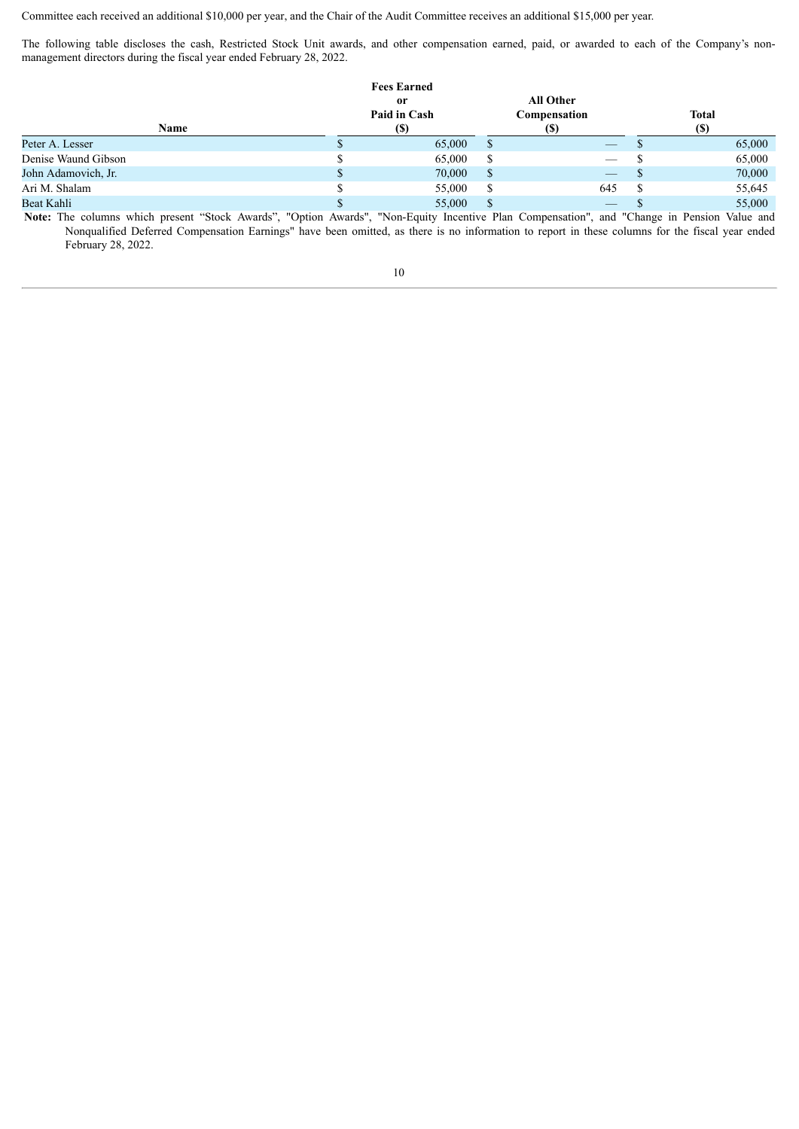Committee each received an additional \$10,000 per year, and the Chair of the Audit Committee receives an additional \$15,000 per year.

The following table discloses the cash, Restricted Stock Unit awards, and other compensation earned, paid, or awarded to each of the Company's nonmanagement directors during the fiscal year ended February 28, 2022.

| <b>Name</b>         | <b>Fees Earned</b><br>0r<br>Paid in Cash<br>(S) |               | <b>All Other</b><br>Compensation<br><b>(S)</b> | <b>Total</b><br>(S) |
|---------------------|-------------------------------------------------|---------------|------------------------------------------------|---------------------|
| Peter A. Lesser     | 65,000                                          | <sup>S</sup>  | $-$                                            | 65,000              |
| Denise Waund Gibson | 65,000                                          | S             | $\hspace{0.05cm}$                              | 65,000              |
| John Adamovich, Jr. | 70,000                                          | <sup>\$</sup> |                                                | 70,000              |
| Ari M. Shalam       | 55,000                                          | -S            | 645                                            | 55,645              |
| Beat Kahli          | 55,000                                          |               | $\qquad \qquad - \qquad$                       | 55,000              |

**Note:** The columns which present "Stock Awards", "Option Awards", "Non-Equity Incentive Plan Compensation", and "Change in Pension Value and Nonqualified Deferred Compensation Earnings" have been omitted, as there is no information to report in these columns for the fiscal year ended February 28, 2022.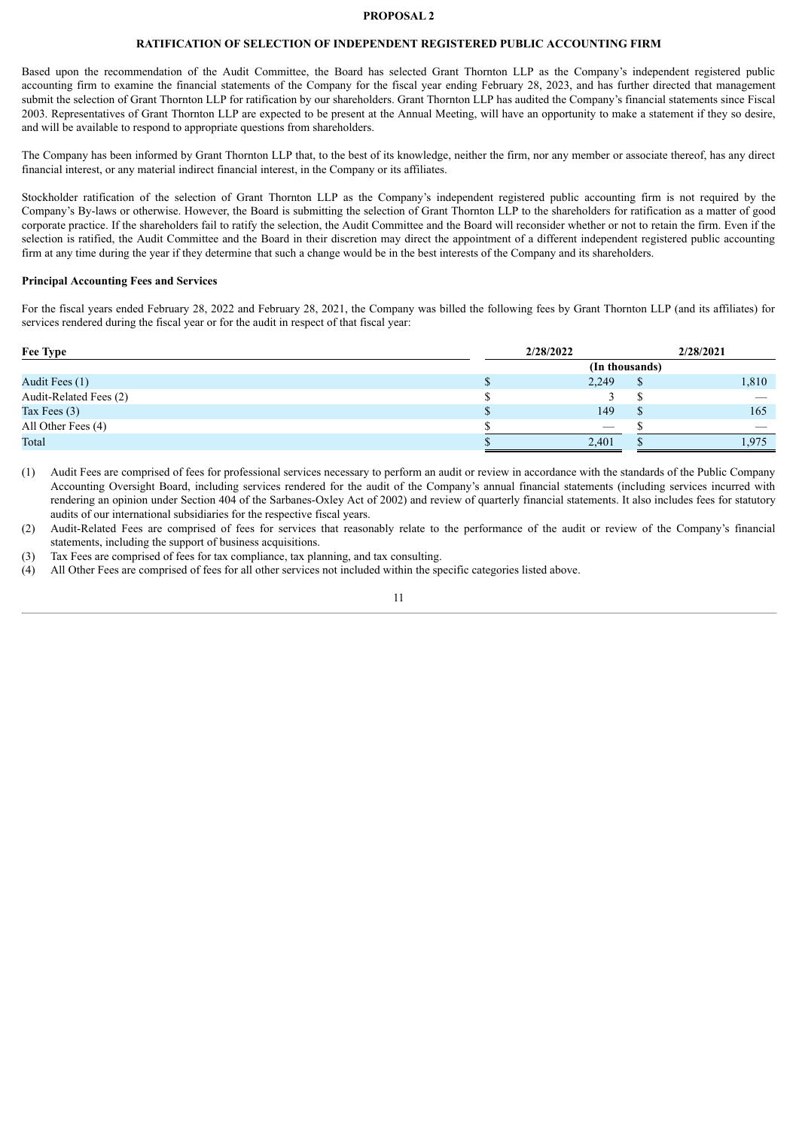# **PROPOSAL 2**

# **RATIFICATION OF SELECTION OF INDEPENDENT REGISTERED PUBLIC ACCOUNTING FIRM**

<span id="page-13-0"></span>Based upon the recommendation of the Audit Committee, the Board has selected Grant Thornton LLP as the Company's independent registered public accounting firm to examine the financial statements of the Company for the fiscal year ending February 28, 2023, and has further directed that management submit the selection of Grant Thornton LLP for ratification by our shareholders. Grant Thornton LLP has audited the Company's financial statements since Fiscal 2003. Representatives of Grant Thornton LLP are expected to be present at the Annual Meeting, will have an opportunity to make a statement if they so desire, and will be available to respond to appropriate questions from shareholders.

The Company has been informed by Grant Thornton LLP that, to the best of its knowledge, neither the firm, nor any member or associate thereof, has any direct financial interest, or any material indirect financial interest, in the Company or its affiliates.

Stockholder ratification of the selection of Grant Thornton LLP as the Company's independent registered public accounting firm is not required by the Company's By-laws or otherwise. However, the Board is submitting the selection of Grant Thornton LLP to the shareholders for ratification as a matter of good corporate practice. If the shareholders fail to ratify the selection, the Audit Committee and the Board will reconsider whether or not to retain the firm. Even if the selection is ratified, the Audit Committee and the Board in their discretion may direct the appointment of a different independent registered public accounting firm at any time during the year if they determine that such a change would be in the best interests of the Company and its shareholders.

# **Principal Accounting Fees and Services**

For the fiscal years ended February 28, 2022 and February 28, 2021, the Company was billed the following fees by Grant Thornton LLP (and its affiliates) for services rendered during the fiscal year or for the audit in respect of that fiscal year:

| Fee Type               | 2/28/2022         | 2/28/2021 |
|------------------------|-------------------|-----------|
|                        | (In thousands)    |           |
| Audit Fees (1)         | 2,249             | 1,810     |
| Audit-Related Fees (2) |                   |           |
| Tax Fees $(3)$         | 149               | 165       |
| All Other Fees (4)     | $\hspace{0.05cm}$ |           |
| Total                  | 2,401             | .975      |

(1) Audit Fees are comprised of fees for professional services necessary to perform an audit or review in accordance with the standards of the Public Company Accounting Oversight Board, including services rendered for the audit of the Company's annual financial statements (including services incurred with rendering an opinion under Section 404 of the Sarbanes-Oxley Act of 2002) and review of quarterly financial statements. It also includes fees for statutory audits of our international subsidiaries for the respective fiscal years.

(2) Audit-Related Fees are comprised of fees for services that reasonably relate to the performance of the audit or review of the Company's financial statements, including the support of business acquisitions.

(3) Tax Fees are comprised of fees for tax compliance, tax planning, and tax consulting.

(4) All Other Fees are comprised of fees for all other services not included within the specific categories listed above.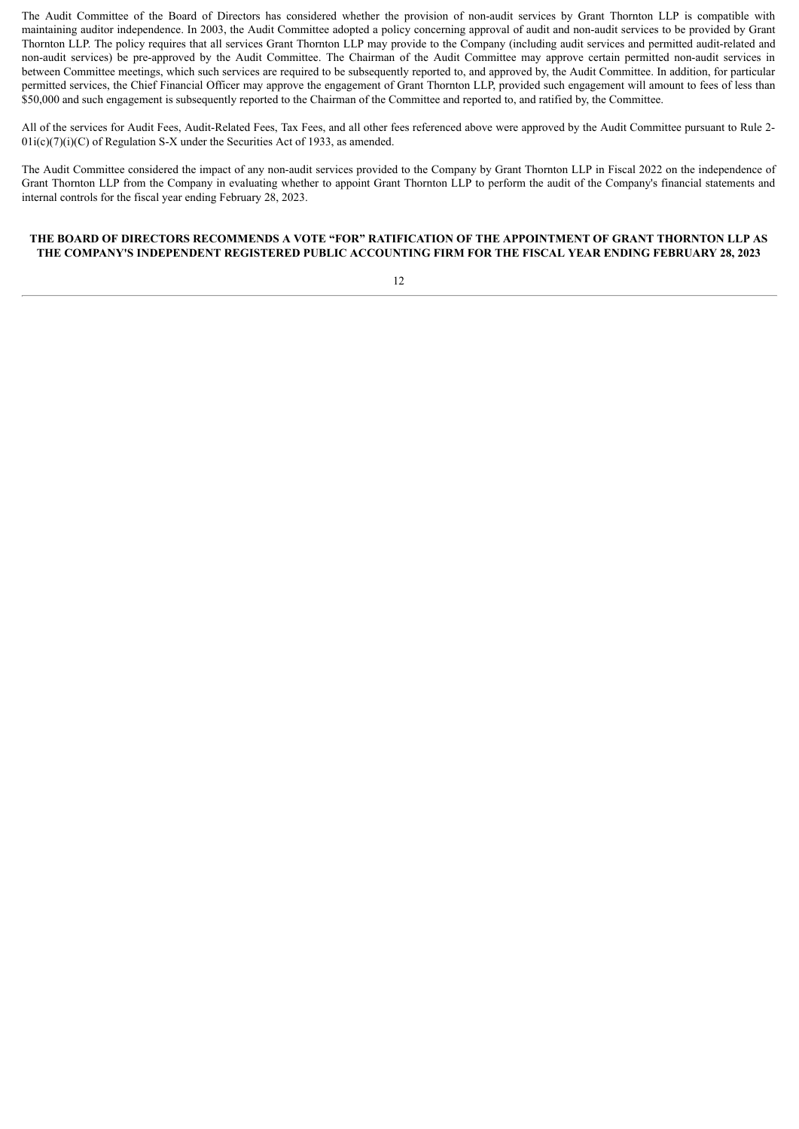The Audit Committee of the Board of Directors has considered whether the provision of non-audit services by Grant Thornton LLP is compatible with maintaining auditor independence. In 2003, the Audit Committee adopted a policy concerning approval of audit and non-audit services to be provided by Grant Thornton LLP. The policy requires that all services Grant Thornton LLP may provide to the Company (including audit services and permitted audit-related and non-audit services) be pre-approved by the Audit Committee. The Chairman of the Audit Committee may approve certain permitted non-audit services in between Committee meetings, which such services are required to be subsequently reported to, and approved by, the Audit Committee. In addition, for particular permitted services, the Chief Financial Officer may approve the engagement of Grant Thornton LLP, provided such engagement will amount to fees of less than \$50,000 and such engagement is subsequently reported to the Chairman of the Committee and reported to, and ratified by, the Committee.

All of the services for Audit Fees, Audit-Related Fees, Tax Fees, and all other fees referenced above were approved by the Audit Committee pursuant to Rule 2-  $01i(c)(7)(i)(C)$  of Regulation S-X under the Securities Act of 1933, as amended.

The Audit Committee considered the impact of any non-audit services provided to the Company by Grant Thornton LLP in Fiscal 2022 on the independence of Grant Thornton LLP from the Company in evaluating whether to appoint Grant Thornton LLP to perform the audit of the Company's financial statements and internal controls for the fiscal year ending February 28, 2023.

# **THE BOARD OF DIRECTORS RECOMMENDS A VOTE "FOR" RATIFICATION OF THE APPOINTMENT OF GRANT THORNTON LLP AS THE COMPANY'S INDEPENDENT REGISTERED PUBLIC ACCOUNTING FIRM FOR THE FISCAL YEAR ENDING FEBRUARY 28, 2023**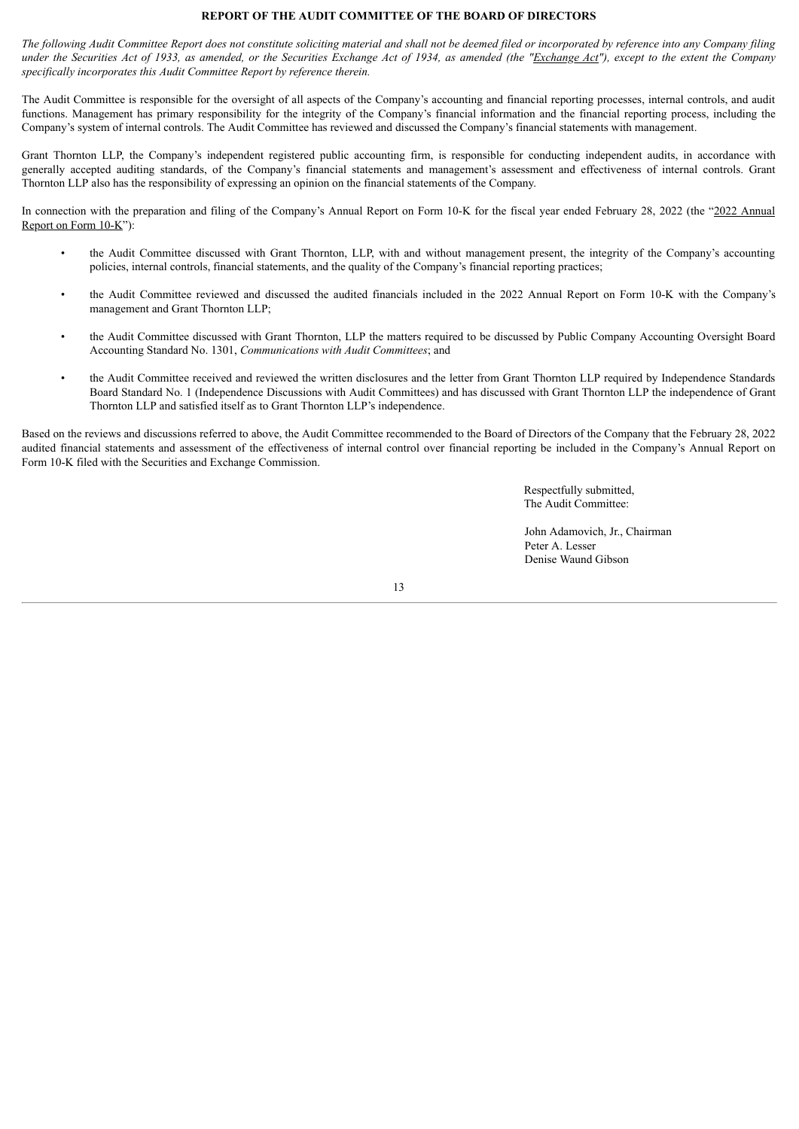# **REPORT OF THE AUDIT COMMITTEE OF THE BOARD OF DIRECTORS**

<span id="page-15-0"></span>The following Audit Committee Report does not constitute soliciting material and shall not be deemed filed or incorporated by reference into any Company filing under the Securities Act of 1933, as amended, or the Securities Exchange Act of 1934, as amended (the "Exchange Act"), except to the extent the Company *specifically incorporates this Audit Committee Report by reference therein.*

The Audit Committee is responsible for the oversight of all aspects of the Company's accounting and financial reporting processes, internal controls, and audit functions. Management has primary responsibility for the integrity of the Company's financial information and the financial reporting process, including the Company's system of internal controls. The Audit Committee has reviewed and discussed the Company's financial statements with management.

Grant Thornton LLP, the Company's independent registered public accounting firm, is responsible for conducting independent audits, in accordance with generally accepted auditing standards, of the Company's financial statements and management's assessment and effectiveness of internal controls. Grant Thornton LLP also has the responsibility of expressing an opinion on the financial statements of the Company.

In connection with the preparation and filing of the Company's Annual Report on Form 10-K for the fiscal year ended February 28, 2022 (the "2022 Annual Report on Form 10-K"):

- the Audit Committee discussed with Grant Thornton, LLP, with and without management present, the integrity of the Company's accounting policies, internal controls, financial statements, and the quality of the Company's financial reporting practices;
- the Audit Committee reviewed and discussed the audited financials included in the 2022 Annual Report on Form 10-K with the Company's management and Grant Thornton LLP;
- the Audit Committee discussed with Grant Thornton, LLP the matters required to be discussed by Public Company Accounting Oversight Board Accounting Standard No. 1301, *Communications with Audit Committees*; and
- the Audit Committee received and reviewed the written disclosures and the letter from Grant Thornton LLP required by Independence Standards Board Standard No. 1 (Independence Discussions with Audit Committees) and has discussed with Grant Thornton LLP the independence of Grant Thornton LLP and satisfied itself as to Grant Thornton LLP's independence.

Based on the reviews and discussions referred to above, the Audit Committee recommended to the Board of Directors of the Company that the February 28, 2022 audited financial statements and assessment of the effectiveness of internal control over financial reporting be included in the Company's Annual Report on Form 10-K filed with the Securities and Exchange Commission.

> Respectfully submitted, The Audit Committee:

John Adamovich, Jr., Chairman Peter A. Lesser Denise Waund Gibson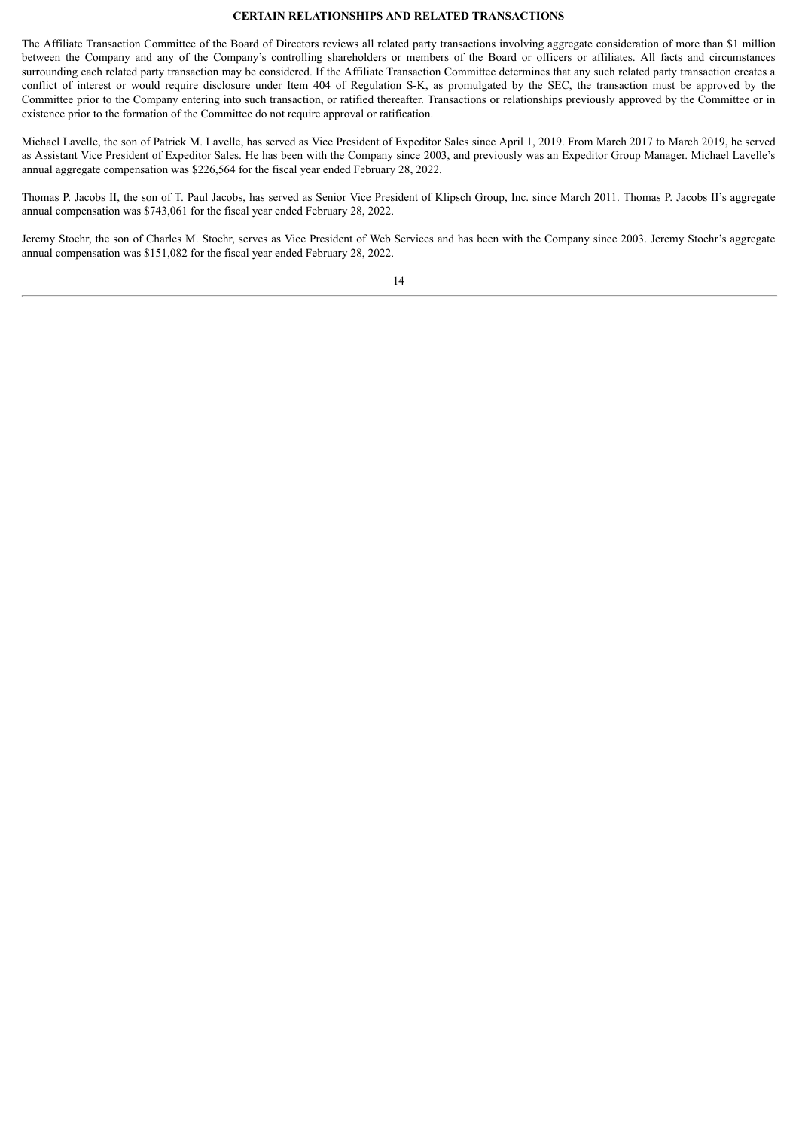# **CERTAIN RELATIONSHIPS AND RELATED TRANSACTIONS**

<span id="page-16-0"></span>The Affiliate Transaction Committee of the Board of Directors reviews all related party transactions involving aggregate consideration of more than \$1 million between the Company and any of the Company's controlling shareholders or members of the Board or officers or affiliates. All facts and circumstances surrounding each related party transaction may be considered. If the Affiliate Transaction Committee determines that any such related party transaction creates a conflict of interest or would require disclosure under Item 404 of Regulation S-K, as promulgated by the SEC, the transaction must be approved by the Committee prior to the Company entering into such transaction, or ratified thereafter. Transactions or relationships previously approved by the Committee or in existence prior to the formation of the Committee do not require approval or ratification.

Michael Lavelle, the son of Patrick M. Lavelle, has served as Vice President of Expeditor Sales since April 1, 2019. From March 2017 to March 2019, he served as Assistant Vice President of Expeditor Sales. He has been with the Company since 2003, and previously was an Expeditor Group Manager. Michael Lavelle's annual aggregate compensation was \$226,564 for the fiscal year ended February 28, 2022.

Thomas P. Jacobs II, the son of T. Paul Jacobs, has served as Senior Vice President of Klipsch Group, Inc. since March 2011. Thomas P. Jacobs II's aggregate annual compensation was \$743,061 for the fiscal year ended February 28, 2022.

Jeremy Stoehr, the son of Charles M. Stoehr, serves as Vice President of Web Services and has been with the Company since 2003. Jeremy Stoehr's aggregate annual compensation was \$151,082 for the fiscal year ended February 28, 2022.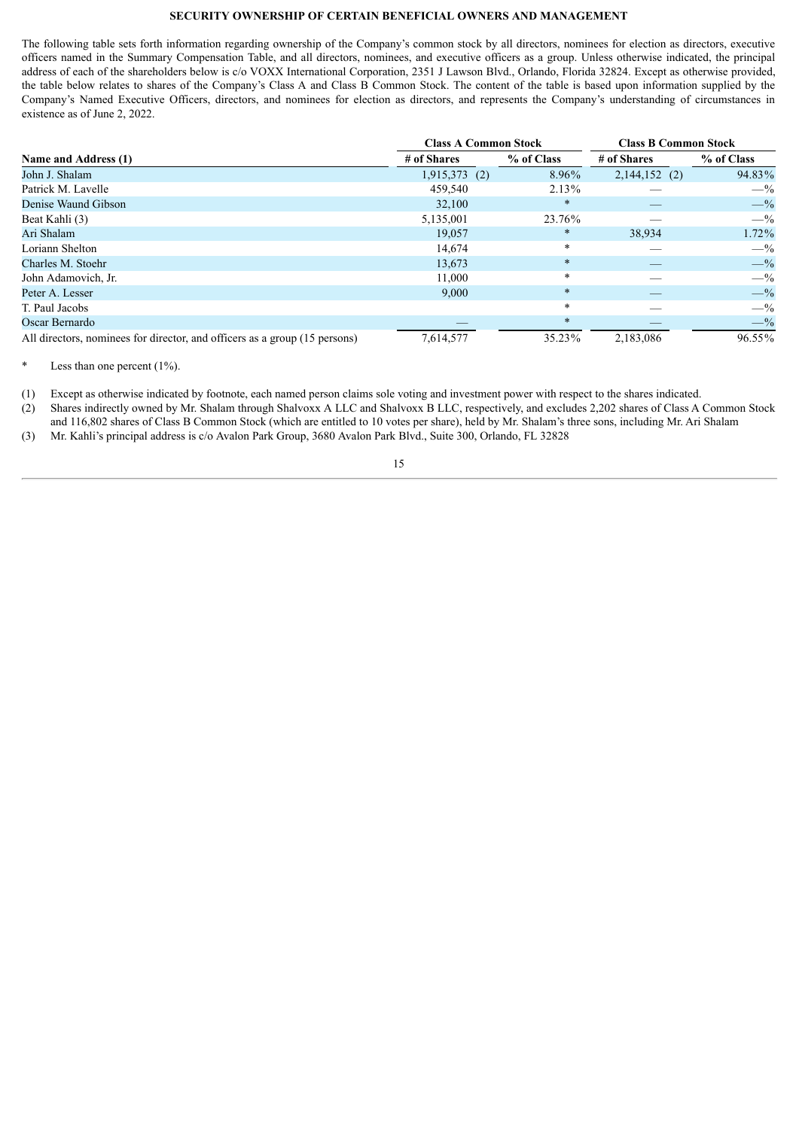# **SECURITY OWNERSHIP OF CERTAIN BENEFICIAL OWNERS AND MANAGEMENT**

<span id="page-17-0"></span>The following table sets forth information regarding ownership of the Company's common stock by all directors, nominees for election as directors, executive officers named in the Summary Compensation Table, and all directors, nominees, and executive officers as a group. Unless otherwise indicated, the principal address of each of the shareholders below is c/o VOXX International Corporation, 2351 J Lawson Blvd., Orlando, Florida 32824. Except as otherwise provided, the table below relates to shares of the Company's Class A and Class B Common Stock. The content of the table is based upon information supplied by the Company's Named Executive Officers, directors, and nominees for election as directors, and represents the Company's understanding of circumstances in existence as of June 2, 2022.

|                                                                            | <b>Class A Common Stock</b> |            | <b>Class B Common Stock</b> |                 |  |  |
|----------------------------------------------------------------------------|-----------------------------|------------|-----------------------------|-----------------|--|--|
| Name and Address (1)                                                       | # of Shares                 | % of Class | # of Shares                 | % of Class      |  |  |
| John J. Shalam                                                             | $1,915,373$ (2)             | 8.96%      | $2,144,152$ (2)             | 94.83%          |  |  |
| Patrick M. Lavelle                                                         | 459,540                     | 2.13%      |                             | $- \frac{9}{6}$ |  |  |
| Denise Waund Gibson                                                        | 32,100                      | $\ast$     |                             | $- \frac{9}{6}$ |  |  |
| Beat Kahli (3)                                                             | 5,135,001                   | 23.76%     |                             | $- \frac{9}{6}$ |  |  |
| Ari Shalam                                                                 | 19.057                      | $\ast$     | 38,934                      | $1.72\%$        |  |  |
| Loriann Shelton                                                            | 14,674                      | $\ast$     |                             | $- \frac{9}{6}$ |  |  |
| Charles M. Stoehr                                                          | 13,673                      | $\ast$     |                             | $-$ %           |  |  |
| John Adamovich, Jr.                                                        | 11,000                      | $\ast$     |                             | $- \frac{9}{6}$ |  |  |
| Peter A. Lesser                                                            | 9,000                       | $\ast$     |                             | $-$ %           |  |  |
| T. Paul Jacobs                                                             |                             | $\ast$     |                             | $- \frac{9}{6}$ |  |  |
| Oscar Bernardo                                                             |                             | $\ast$     |                             | $-$ %           |  |  |
| All directors, nominees for director, and officers as a group (15 persons) | 7,614,577                   | 35.23%     | 2,183,086                   | 96.55%          |  |  |

Less than one percent  $(1\%)$ .

(1) Except as otherwise indicated by footnote, each named person claims sole voting and investment power with respect to the shares indicated.

(2) Shares indirectly owned by Mr. Shalam through Shalvoxx A LLC and Shalvoxx B LLC, respectively, and excludes 2,202 shares of Class A Common Stock

and 116,802 shares of Class B Common Stock (which are entitled to 10 votes per share), held by Mr. Shalam's three sons, including Mr. Ari Shalam (3) Mr. Kahli's principal address is c/o Avalon Park Group, 3680 Avalon Park Blvd., Suite 300, Orlando, FL 32828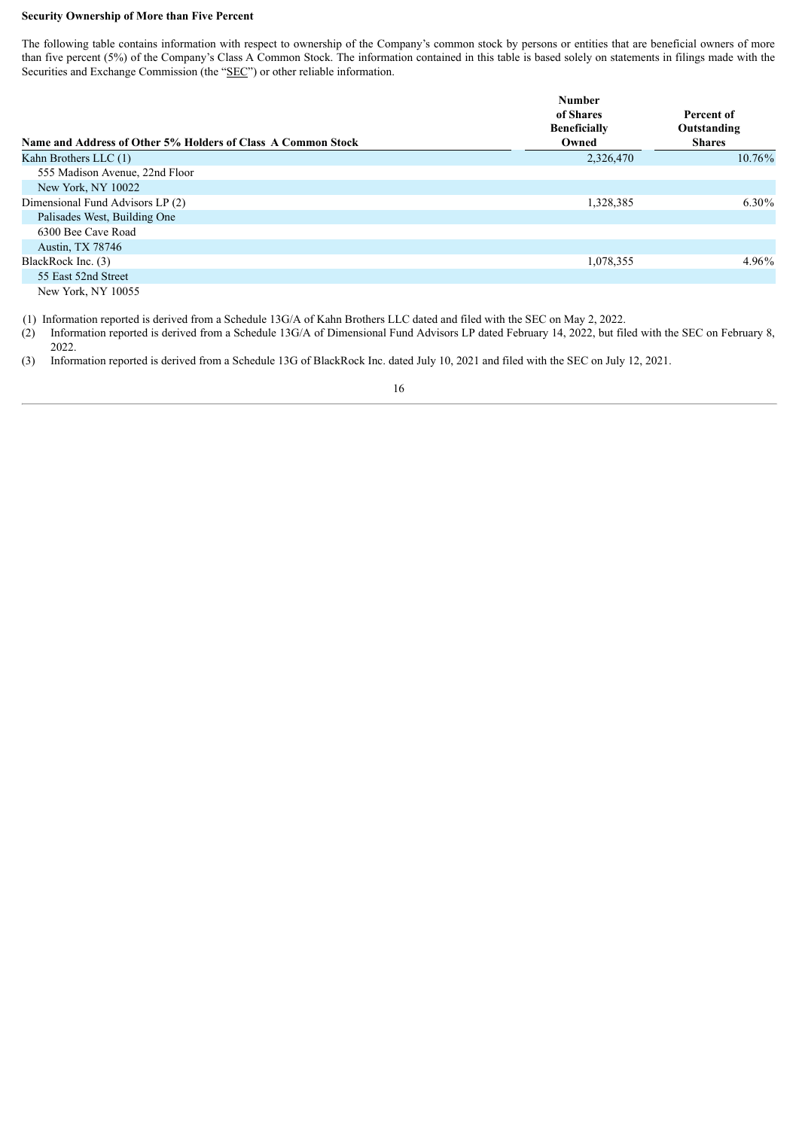# **Security Ownership of More than Five Percent**

The following table contains information with respect to ownership of the Company's common stock by persons or entities that are beneficial owners of more than five percent (5%) of the Company's Class A Common Stock. The information contained in this table is based solely on statements in filings made with the Securities and Exchange Commission (the "SEC") or other reliable information.

|                                                              | <b>Number</b><br>of Shares<br><b>Beneficially</b> | Percent of<br>Outstanding |
|--------------------------------------------------------------|---------------------------------------------------|---------------------------|
| Name and Address of Other 5% Holders of Class A Common Stock | Owned                                             | <b>Shares</b>             |
| Kahn Brothers LLC (1)                                        | 2,326,470                                         | $10.76\%$                 |
| 555 Madison Avenue, 22nd Floor                               |                                                   |                           |
| New York, NY 10022                                           |                                                   |                           |
| Dimensional Fund Advisors LP (2)                             | 1,328,385                                         | 6.30%                     |
| Palisades West, Building One                                 |                                                   |                           |
| 6300 Bee Cave Road                                           |                                                   |                           |
| Austin, TX 78746                                             |                                                   |                           |
| BlackRock Inc. (3)                                           | 1,078,355                                         | $4.96\%$                  |
| 55 East 52nd Street                                          |                                                   |                           |

New York, NY 10055

(1) Information reported is derived from a Schedule 13G/A of Kahn Brothers LLC dated and filed with the SEC on May 2, 2022.

(2) Information reported is derived from a Schedule 13G/A of Dimensional Fund Advisors LP dated February 14, 2022, but filed with the SEC on February 8, 2022.

(3) Information reported is derived from a Schedule 13G of BlackRock Inc. dated July 10, 2021 and filed with the SEC on July 12, 2021.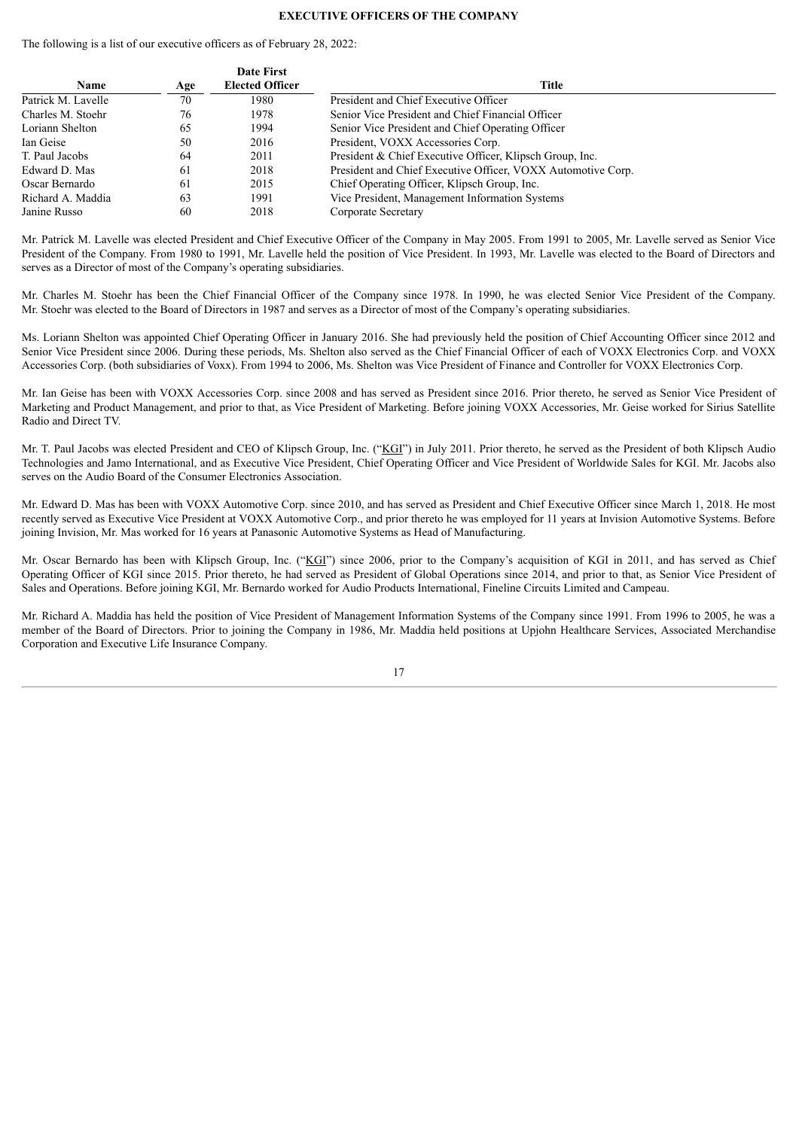# **EXECUTIVE OFFICERS OF THE COMPANY**

<span id="page-19-0"></span>The following is a list of our executive officers as of February 28, 2022:

|                    |     | <b>Date First</b>      |                                                              |
|--------------------|-----|------------------------|--------------------------------------------------------------|
| <b>Name</b>        | Age | <b>Elected Officer</b> | <b>Title</b>                                                 |
| Patrick M. Lavelle | 70  | 1980                   | President and Chief Executive Officer                        |
| Charles M. Stoehr  | 76  | 1978                   | Senior Vice President and Chief Financial Officer            |
| Loriann Shelton    | 65  | 1994                   | Senior Vice President and Chief Operating Officer            |
| Ian Geise          | 50  | 2016                   | President, VOXX Accessories Corp.                            |
| T. Paul Jacobs     | 64  | 2011                   | President & Chief Executive Officer, Klipsch Group, Inc.     |
| Edward D. Mas      | 61  | 2018                   | President and Chief Executive Officer, VOXX Automotive Corp. |
| Oscar Bernardo     | 61  | 2015                   | Chief Operating Officer, Klipsch Group, Inc.                 |
| Richard A. Maddia  | 63  | 1991                   | Vice President, Management Information Systems               |
| Janine Russo       | 60  | 2018                   | Corporate Secretary                                          |

Mr. Patrick M. Lavelle was elected President and Chief Executive Officer of the Company in May 2005. From 1991 to 2005, Mr. Lavelle served as Senior Vice President of the Company. From 1980 to 1991, Mr. Lavelle held the position of Vice President. In 1993, Mr. Lavelle was elected to the Board of Directors and serves as a Director of most of the Company's operating subsidiaries.

Mr. Charles M. Stoehr has been the Chief Financial Officer of the Company since 1978. In 1990, he was elected Senior Vice President of the Company. Mr. Stoehr was elected to the Board of Directors in 1987 and serves as a Director of most of the Company's operating subsidiaries.

Ms. Loriann Shelton was appointed Chief Operating Officer in January 2016. She had previously held the position of Chief Accounting Officer since 2012 and Senior Vice President since 2006. During these periods, Ms. Shelton also served as the Chief Financial Officer of each of VOXX Electronics Corp. and VOXX Accessories Corp. (both subsidiaries of Voxx). From 1994 to 2006, Ms. Shelton was Vice President of Finance and Controller for VOXX Electronics Corp.

Mr. Ian Geise has been with VOXX Accessories Corp. since 2008 and has served as President since 2016. Prior thereto, he served as Senior Vice President of Marketing and Product Management, and prior to that, as Vice President of Marketing. Before joining VOXX Accessories, Mr. Geise worked for Sirius Satellite Radio and Direct TV.

Mr. T. Paul Jacobs was elected President and CEO of Klipsch Group, Inc. ("KGI") in July 2011. Prior thereto, he served as the President of both Klipsch Audio Technologies and Jamo International, and as Executive Vice President, Chief Operating Officer and Vice President of Worldwide Sales for KGI. Mr. Jacobs also serves on the Audio Board of the Consumer Electronics Association.

Mr. Edward D. Mas has been with VOXX Automotive Corp. since 2010, and has served as President and Chief Executive Officer since March 1, 2018. He most recently served as Executive Vice President at VOXX Automotive Corp., and prior thereto he was employed for 11 years at Invision Automotive Systems. Before joining Invision, Mr. Mas worked for 16 years at Panasonic Automotive Systems as Head of Manufacturing.

Mr. Oscar Bernardo has been with Klipsch Group, Inc. ("KGI") since 2006, prior to the Company's acquisition of KGI in 2011, and has served as Chief Operating Officer of KGI since 2015. Prior thereto, he had served as President of Global Operations since 2014, and prior to that, as Senior Vice President of Sales and Operations. Before joining KGI, Mr. Bernardo worked for Audio Products International, Fineline Circuits Limited and Campeau.

Mr. Richard A. Maddia has held the position of Vice President of Management Information Systems of the Company since 1991. From 1996 to 2005, he was a member of the Board of Directors. Prior to joining the Company in 1986, Mr. Maddia held positions at Upjohn Healthcare Services, Associated Merchandise Corporation and Executive Life Insurance Company.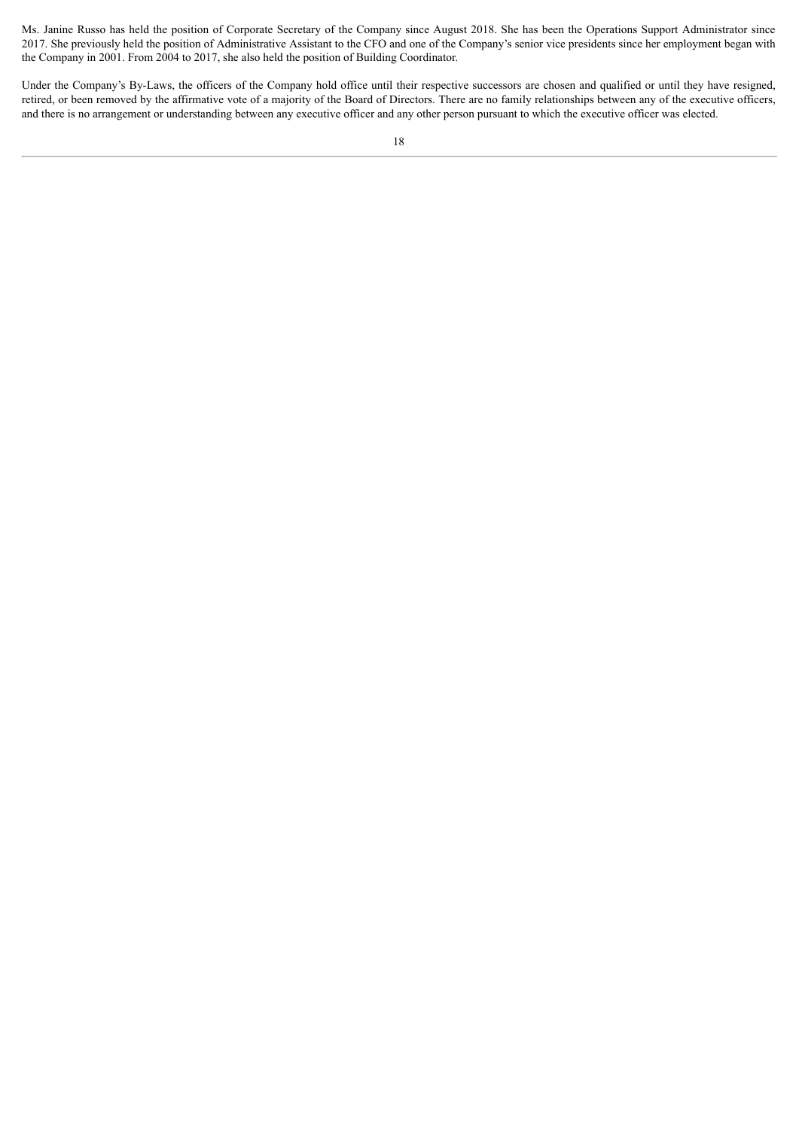Ms. Janine Russo has held the position of Corporate Secretary of the Company since August 2018. She has been the Operations Support Administrator since 2017. She previously held the position of Administrative Assistant to the CFO and one of the Company's senior vice presidents since her employment began with the Company in 2001. From 2004 to 2017, she also held the position of Building Coordinator.

Under the Company's By-Laws, the officers of the Company hold office until their respective successors are chosen and qualified or until they have resigned, retired, or been removed by the affirmative vote of a majority of the Board of Directors. There are no family relationships between any of the executive officers, and there is no arrangement or understanding between any executive officer and any other person pursuant to which the executive officer was elected.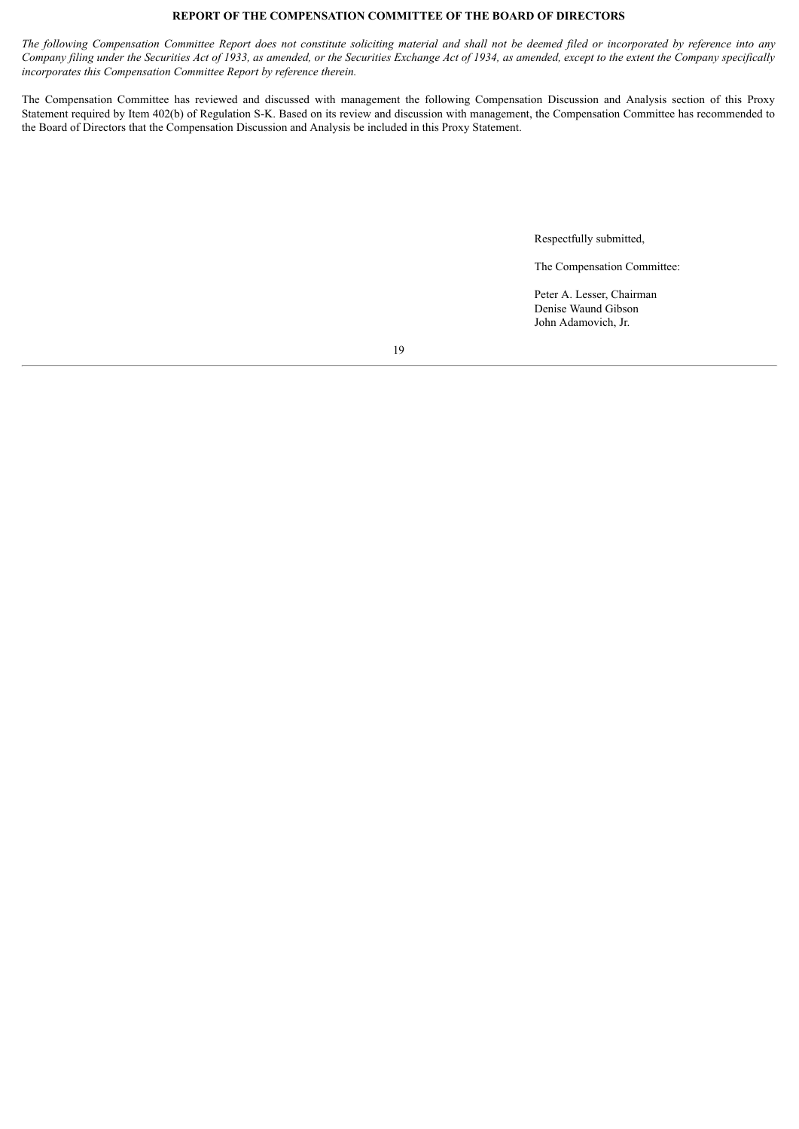# **REPORT OF THE COMPENSATION COMMITTEE OF THE BOARD OF DIRECTORS**

The following Compensation Committee Report does not constitute soliciting material and shall not be deemed filed or incorporated by reference into any Company filing under the Securities Act of 1933, as amended, or the Securities Exchange Act of 1934, as amended, except to the extent the Company specifically *incorporates this Compensation Committee Report by reference therein.*

The Compensation Committee has reviewed and discussed with management the following Compensation Discussion and Analysis section of this Proxy Statement required by Item 402(b) of Regulation S-K. Based on its review and discussion with management, the Compensation Committee has recommended to the Board of Directors that the Compensation Discussion and Analysis be included in this Proxy Statement.

Respectfully submitted,

The Compensation Committee:

Peter A. Lesser, Chairman Denise Waund Gibson John Adamovich, Jr.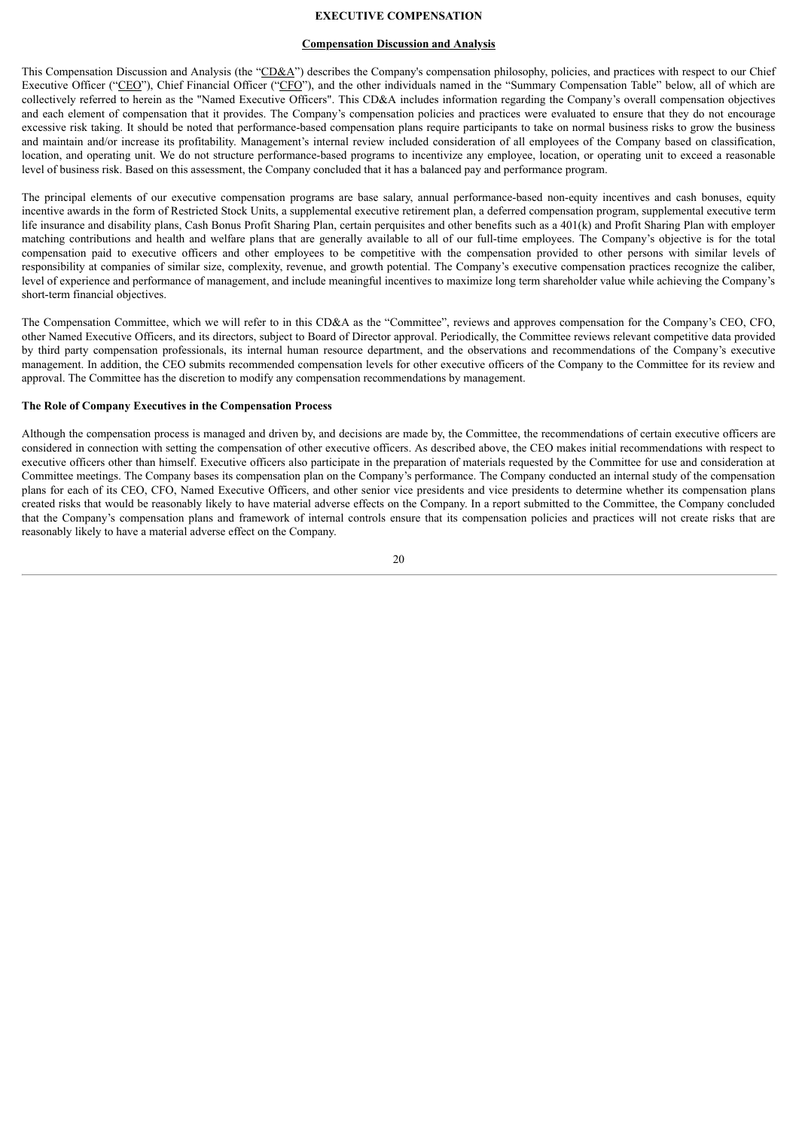# **EXECUTIVE COMPENSATION**

#### **Compensation Discussion and Analysis**

<span id="page-22-0"></span>This Compensation Discussion and Analysis (the "CD&A") describes the Company's compensation philosophy, policies, and practices with respect to our Chief Executive Officer ("CEO"), Chief Financial Officer ("CFO"), and the other individuals named in the "Summary Compensation Table" below, all of which are collectively referred to herein as the "Named Executive Officers". This CD&A includes information regarding the Company's overall compensation objectives and each element of compensation that it provides. The Company's compensation policies and practices were evaluated to ensure that they do not encourage excessive risk taking. It should be noted that performance-based compensation plans require participants to take on normal business risks to grow the business and maintain and/or increase its profitability. Management's internal review included consideration of all employees of the Company based on classification, location, and operating unit. We do not structure performance-based programs to incentivize any employee, location, or operating unit to exceed a reasonable level of business risk. Based on this assessment, the Company concluded that it has a balanced pay and performance program.

The principal elements of our executive compensation programs are base salary, annual performance-based non-equity incentives and cash bonuses, equity incentive awards in the form of Restricted Stock Units, a supplemental executive retirement plan, a deferred compensation program, supplemental executive term life insurance and disability plans, Cash Bonus Profit Sharing Plan, certain perquisites and other benefits such as a 401(k) and Profit Sharing Plan with employer matching contributions and health and welfare plans that are generally available to all of our full-time employees. The Company's objective is for the total compensation paid to executive officers and other employees to be competitive with the compensation provided to other persons with similar levels of responsibility at companies of similar size, complexity, revenue, and growth potential. The Company's executive compensation practices recognize the caliber, level of experience and performance of management, and include meaningful incentives to maximize long term shareholder value while achieving the Company's short-term financial objectives.

The Compensation Committee, which we will refer to in this CD&A as the "Committee", reviews and approves compensation for the Company's CEO, CFO, other Named Executive Officers, and its directors, subject to Board of Director approval. Periodically, the Committee reviews relevant competitive data provided by third party compensation professionals, its internal human resource department, and the observations and recommendations of the Company's executive management. In addition, the CEO submits recommended compensation levels for other executive officers of the Company to the Committee for its review and approval. The Committee has the discretion to modify any compensation recommendations by management.

#### **The Role of Company Executives in the Compensation Process**

Although the compensation process is managed and driven by, and decisions are made by, the Committee, the recommendations of certain executive officers are considered in connection with setting the compensation of other executive officers. As described above, the CEO makes initial recommendations with respect to executive officers other than himself. Executive officers also participate in the preparation of materials requested by the Committee for use and consideration at Committee meetings. The Company bases its compensation plan on the Company's performance. The Company conducted an internal study of the compensation plans for each of its CEO, CFO, Named Executive Officers, and other senior vice presidents and vice presidents to determine whether its compensation plans created risks that would be reasonably likely to have material adverse effects on the Company. In a report submitted to the Committee, the Company concluded that the Company's compensation plans and framework of internal controls ensure that its compensation policies and practices will not create risks that are reasonably likely to have a material adverse effect on the Company.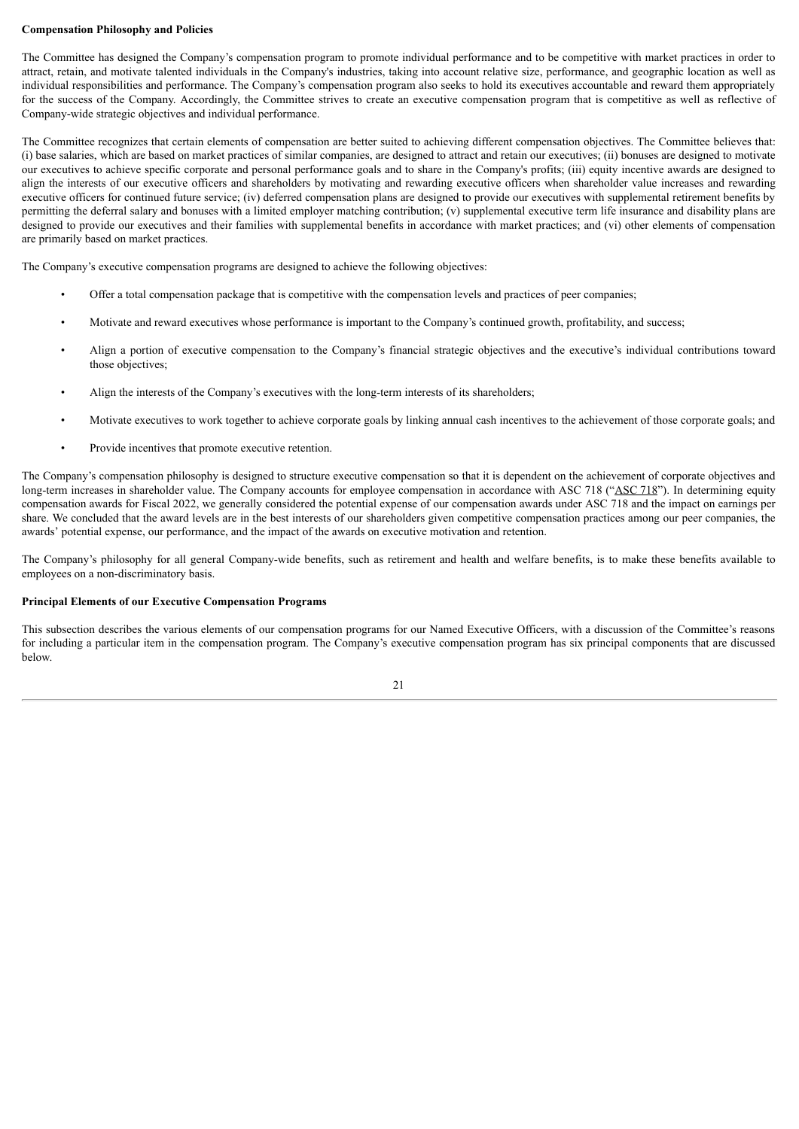# **Compensation Philosophy and Policies**

The Committee has designed the Company's compensation program to promote individual performance and to be competitive with market practices in order to attract, retain, and motivate talented individuals in the Company's industries, taking into account relative size, performance, and geographic location as well as individual responsibilities and performance. The Company's compensation program also seeks to hold its executives accountable and reward them appropriately for the success of the Company. Accordingly, the Committee strives to create an executive compensation program that is competitive as well as reflective of Company-wide strategic objectives and individual performance.

The Committee recognizes that certain elements of compensation are better suited to achieving different compensation objectives. The Committee believes that: (i) base salaries, which are based on market practices of similar companies, are designed to attract and retain our executives; (ii) bonuses are designed to motivate our executives to achieve specific corporate and personal performance goals and to share in the Company's profits; (iii) equity incentive awards are designed to align the interests of our executive officers and shareholders by motivating and rewarding executive officers when shareholder value increases and rewarding executive officers for continued future service; (iv) deferred compensation plans are designed to provide our executives with supplemental retirement benefits by permitting the deferral salary and bonuses with a limited employer matching contribution; (v) supplemental executive term life insurance and disability plans are designed to provide our executives and their families with supplemental benefits in accordance with market practices; and (vi) other elements of compensation are primarily based on market practices.

The Company's executive compensation programs are designed to achieve the following objectives:

- Offer a total compensation package that is competitive with the compensation levels and practices of peer companies;
- Motivate and reward executives whose performance is important to the Company's continued growth, profitability, and success;
- Align a portion of executive compensation to the Company's financial strategic objectives and the executive's individual contributions toward those objectives;
- Align the interests of the Company's executives with the long-term interests of its shareholders;
- Motivate executives to work together to achieve corporate goals by linking annual cash incentives to the achievement of those corporate goals; and
- Provide incentives that promote executive retention.

The Company's compensation philosophy is designed to structure executive compensation so that it is dependent on the achievement of corporate objectives and long-term increases in shareholder value. The Company accounts for employee compensation in accordance with ASC 718 ("ASC 718"). In determining equity compensation awards for Fiscal 2022, we generally considered the potential expense of our compensation awards under ASC 718 and the impact on earnings per share. We concluded that the award levels are in the best interests of our shareholders given competitive compensation practices among our peer companies, the awards' potential expense, our performance, and the impact of the awards on executive motivation and retention.

The Company's philosophy for all general Company-wide benefits, such as retirement and health and welfare benefits, is to make these benefits available to employees on a non-discriminatory basis.

# **Principal Elements of our Executive Compensation Programs**

This subsection describes the various elements of our compensation programs for our Named Executive Officers, with a discussion of the Committee's reasons for including a particular item in the compensation program. The Company's executive compensation program has six principal components that are discussed below.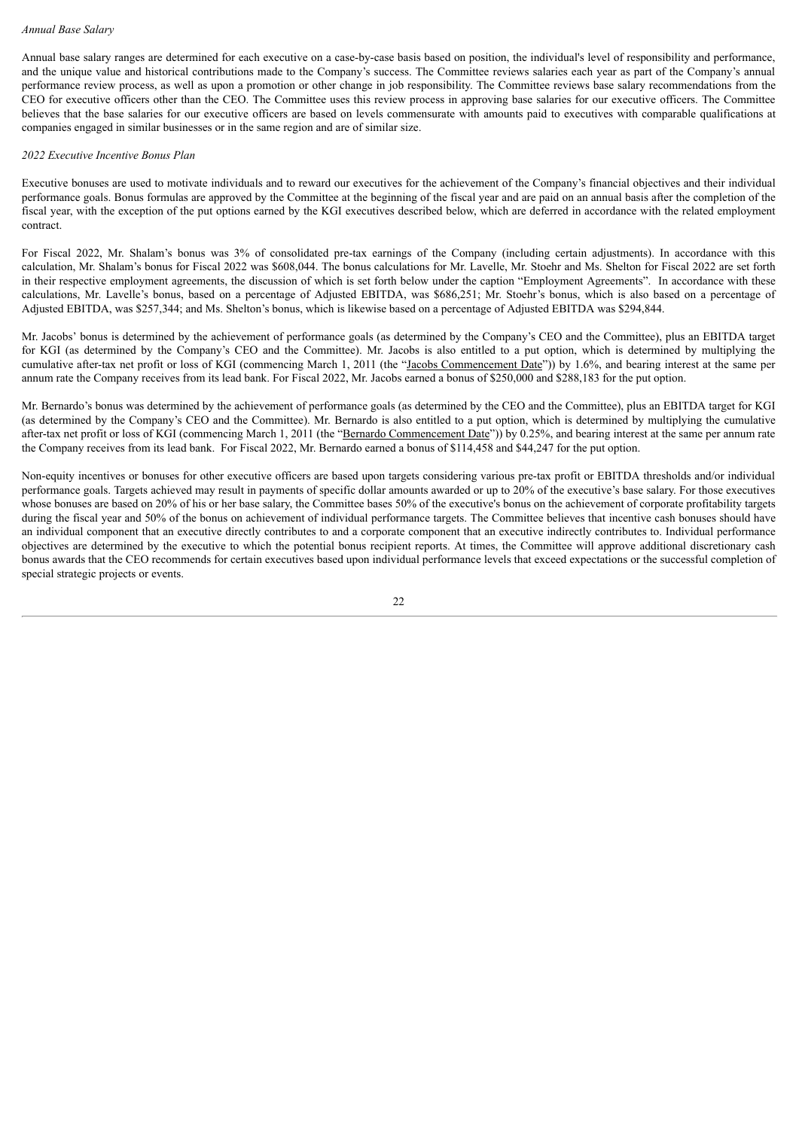Annual base salary ranges are determined for each executive on a case-by-case basis based on position, the individual's level of responsibility and performance, and the unique value and historical contributions made to the Company's success. The Committee reviews salaries each year as part of the Company's annual performance review process, as well as upon a promotion or other change in job responsibility. The Committee reviews base salary recommendations from the CEO for executive officers other than the CEO. The Committee uses this review process in approving base salaries for our executive officers. The Committee believes that the base salaries for our executive officers are based on levels commensurate with amounts paid to executives with comparable qualifications at companies engaged in similar businesses or in the same region and are of similar size.

# *2022 Executive Incentive Bonus Plan*

Executive bonuses are used to motivate individuals and to reward our executives for the achievement of the Company's financial objectives and their individual performance goals. Bonus formulas are approved by the Committee at the beginning of the fiscal year and are paid on an annual basis after the completion of the fiscal year, with the exception of the put options earned by the KGI executives described below, which are deferred in accordance with the related employment contract.

For Fiscal 2022, Mr. Shalam's bonus was 3% of consolidated pre-tax earnings of the Company (including certain adjustments). In accordance with this calculation, Mr. Shalam's bonus for Fiscal 2022 was \$608,044. The bonus calculations for Mr. Lavelle, Mr. Stoehr and Ms. Shelton for Fiscal 2022 are set forth in their respective employment agreements, the discussion of which is set forth below under the caption "Employment Agreements". In accordance with these calculations, Mr. Lavelle's bonus, based on a percentage of Adjusted EBITDA, was \$686,251; Mr. Stoehr's bonus, which is also based on a percentage of Adjusted EBITDA, was \$257,344; and Ms. Shelton's bonus, which is likewise based on a percentage of Adjusted EBITDA was \$294,844.

Mr. Jacobs' bonus is determined by the achievement of performance goals (as determined by the Company's CEO and the Committee), plus an EBITDA target for KGI (as determined by the Company's CEO and the Committee). Mr. Jacobs is also entitled to a put option, which is determined by multiplying the cumulative after-tax net profit or loss of KGI (commencing March 1, 2011 (the "Jacobs Commencement Date")) by 1.6%, and bearing interest at the same per annum rate the Company receives from its lead bank. For Fiscal 2022, Mr. Jacobs earned a bonus of \$250,000 and \$288,183 for the put option.

Mr. Bernardo's bonus was determined by the achievement of performance goals (as determined by the CEO and the Committee), plus an EBITDA target for KGI (as determined by the Company's CEO and the Committee). Mr. Bernardo is also entitled to a put option, which is determined by multiplying the cumulative after-tax net profit or loss of KGI (commencing March 1, 2011 (the "Bernardo Commencement Date")) by 0.25%, and bearing interest at the same per annum rate the Company receives from its lead bank. For Fiscal 2022, Mr. Bernardo earned a bonus of \$114,458 and \$44,247 for the put option.

Non-equity incentives or bonuses for other executive officers are based upon targets considering various pre-tax profit or EBITDA thresholds and/or individual performance goals. Targets achieved may result in payments of specific dollar amounts awarded or up to 20% of the executive's base salary. For those executives whose bonuses are based on 20% of his or her base salary, the Committee bases 50% of the executive's bonus on the achievement of corporate profitability targets during the fiscal year and 50% of the bonus on achievement of individual performance targets. The Committee believes that incentive cash bonuses should have an individual component that an executive directly contributes to and a corporate component that an executive indirectly contributes to. Individual performance objectives are determined by the executive to which the potential bonus recipient reports. At times, the Committee will approve additional discretionary cash bonus awards that the CEO recommends for certain executives based upon individual performance levels that exceed expectations or the successful completion of special strategic projects or events.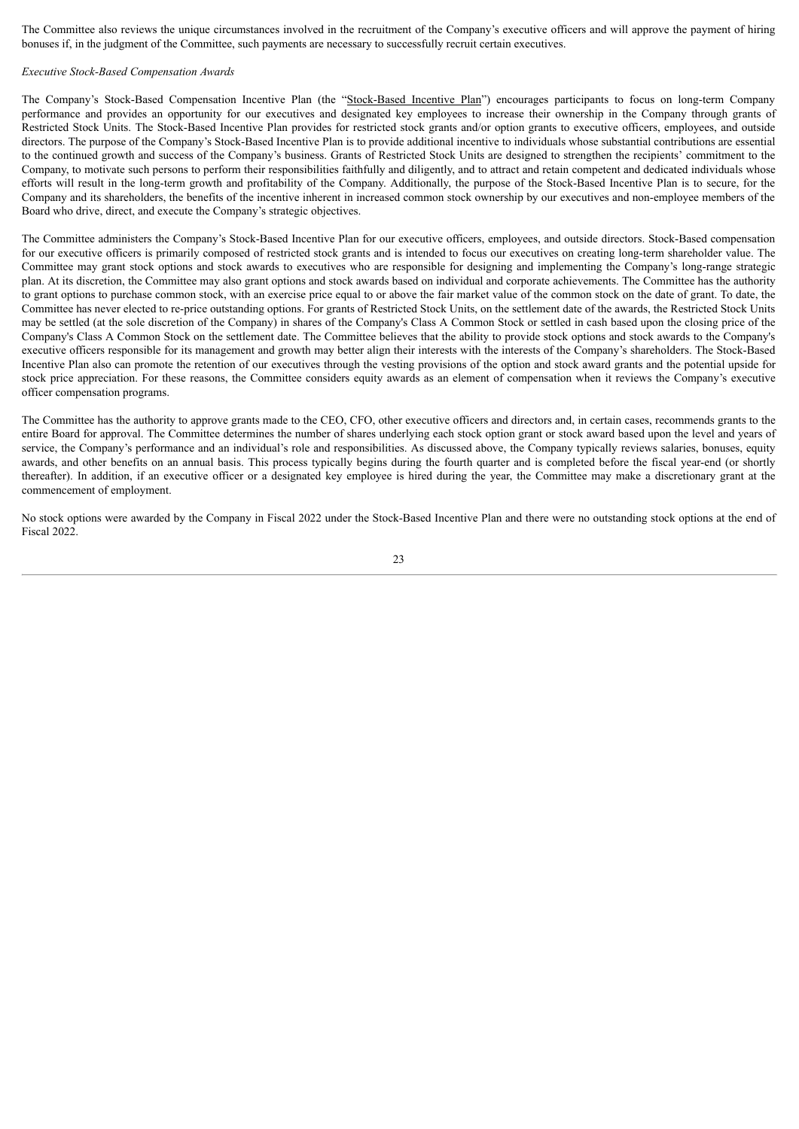The Committee also reviews the unique circumstances involved in the recruitment of the Company's executive officers and will approve the payment of hiring bonuses if, in the judgment of the Committee, such payments are necessary to successfully recruit certain executives.

#### *Executive Stock-Based Compensation Awards*

The Company's Stock-Based Compensation Incentive Plan (the "Stock-Based Incentive Plan") encourages participants to focus on long-term Company performance and provides an opportunity for our executives and designated key employees to increase their ownership in the Company through grants of Restricted Stock Units. The Stock-Based Incentive Plan provides for restricted stock grants and/or option grants to executive officers, employees, and outside directors. The purpose of the Company's Stock-Based Incentive Plan is to provide additional incentive to individuals whose substantial contributions are essential to the continued growth and success of the Company's business. Grants of Restricted Stock Units are designed to strengthen the recipients' commitment to the Company, to motivate such persons to perform their responsibilities faithfully and diligently, and to attract and retain competent and dedicated individuals whose efforts will result in the long-term growth and profitability of the Company. Additionally, the purpose of the Stock-Based Incentive Plan is to secure, for the Company and its shareholders, the benefits of the incentive inherent in increased common stock ownership by our executives and non-employee members of the Board who drive, direct, and execute the Company's strategic objectives.

The Committee administers the Company's Stock-Based Incentive Plan for our executive officers, employees, and outside directors. Stock-Based compensation for our executive officers is primarily composed of restricted stock grants and is intended to focus our executives on creating long-term shareholder value. The Committee may grant stock options and stock awards to executives who are responsible for designing and implementing the Company's long-range strategic plan. At its discretion, the Committee may also grant options and stock awards based on individual and corporate achievements. The Committee has the authority to grant options to purchase common stock, with an exercise price equal to or above the fair market value of the common stock on the date of grant. To date, the Committee has never elected to re-price outstanding options. For grants of Restricted Stock Units, on the settlement date of the awards, the Restricted Stock Units may be settled (at the sole discretion of the Company) in shares of the Company's Class A Common Stock or settled in cash based upon the closing price of the Company's Class A Common Stock on the settlement date. The Committee believes that the ability to provide stock options and stock awards to the Company's executive officers responsible for its management and growth may better align their interests with the interests of the Company's shareholders. The Stock-Based Incentive Plan also can promote the retention of our executives through the vesting provisions of the option and stock award grants and the potential upside for stock price appreciation. For these reasons, the Committee considers equity awards as an element of compensation when it reviews the Company's executive officer compensation programs.

The Committee has the authority to approve grants made to the CEO, CFO, other executive officers and directors and, in certain cases, recommends grants to the entire Board for approval. The Committee determines the number of shares underlying each stock option grant or stock award based upon the level and years of service, the Company's performance and an individual's role and responsibilities. As discussed above, the Company typically reviews salaries, bonuses, equity awards, and other benefits on an annual basis. This process typically begins during the fourth quarter and is completed before the fiscal year-end (or shortly thereafter). In addition, if an executive officer or a designated key employee is hired during the year, the Committee may make a discretionary grant at the commencement of employment.

No stock options were awarded by the Company in Fiscal 2022 under the Stock-Based Incentive Plan and there were no outstanding stock options at the end of Fiscal 2022.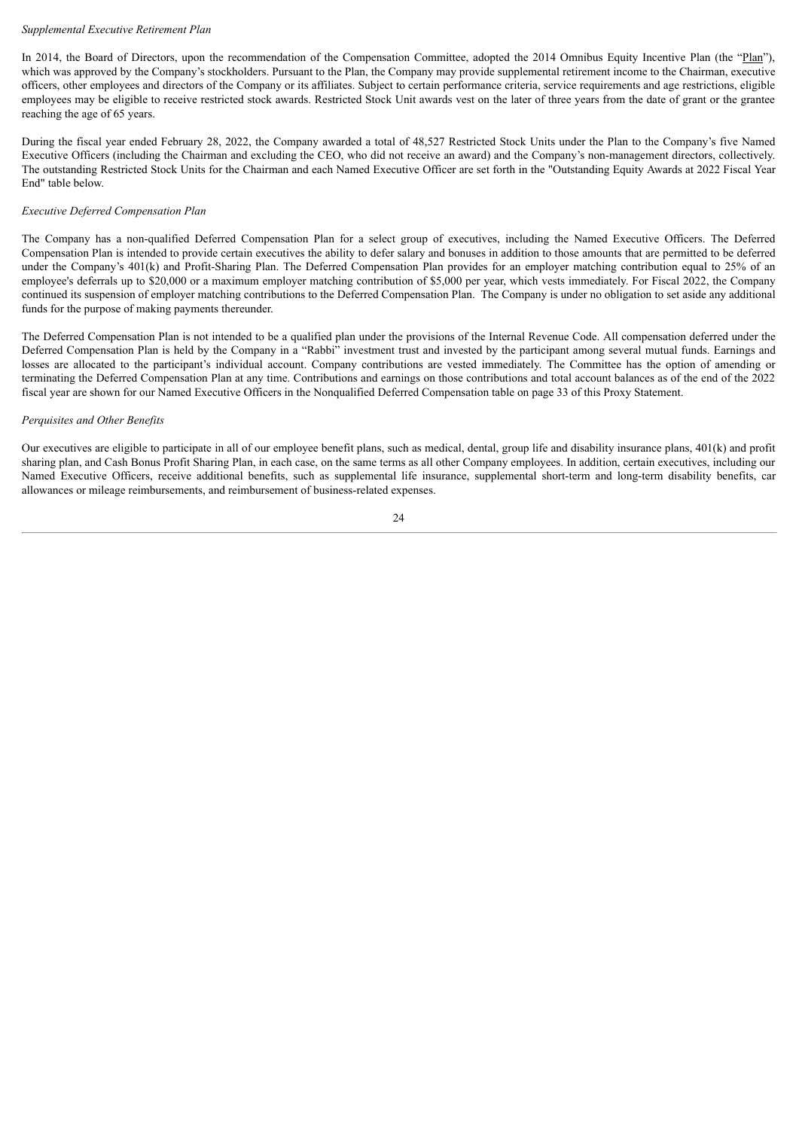# *Supplemental Executive Retirement Plan*

In 2014, the Board of Directors, upon the recommendation of the Compensation Committee, adopted the 2014 Omnibus Equity Incentive Plan (the "Plan"). which was approved by the Company's stockholders. Pursuant to the Plan, the Company may provide supplemental retirement income to the Chairman, executive officers, other employees and directors of the Company or its affiliates. Subject to certain performance criteria, service requirements and age restrictions, eligible employees may be eligible to receive restricted stock awards. Restricted Stock Unit awards vest on the later of three years from the date of grant or the grantee reaching the age of 65 years.

During the fiscal year ended February 28, 2022, the Company awarded a total of 48,527 Restricted Stock Units under the Plan to the Company's five Named Executive Officers (including the Chairman and excluding the CEO, who did not receive an award) and the Company's non-management directors, collectively. The outstanding Restricted Stock Units for the Chairman and each Named Executive Officer are set forth in the "Outstanding Equity Awards at 2022 Fiscal Year End" table below.

# *Executive Deferred Compensation Plan*

The Company has a non-qualified Deferred Compensation Plan for a select group of executives, including the Named Executive Officers. The Deferred Compensation Plan is intended to provide certain executives the ability to defer salary and bonuses in addition to those amounts that are permitted to be deferred under the Company's 401(k) and Profit-Sharing Plan. The Deferred Compensation Plan provides for an employer matching contribution equal to 25% of an employee's deferrals up to \$20,000 or a maximum employer matching contribution of \$5,000 per year, which vests immediately. For Fiscal 2022, the Company continued its suspension of employer matching contributions to the Deferred Compensation Plan. The Company is under no obligation to set aside any additional funds for the purpose of making payments thereunder.

The Deferred Compensation Plan is not intended to be a qualified plan under the provisions of the Internal Revenue Code. All compensation deferred under the Deferred Compensation Plan is held by the Company in a "Rabbi" investment trust and invested by the participant among several mutual funds. Earnings and losses are allocated to the participant's individual account. Company contributions are vested immediately. The Committee has the option of amending or terminating the Deferred Compensation Plan at any time. Contributions and earnings on those contributions and total account balances as of the end of the 2022 fiscal year are shown for our Named Executive Officers in the Nonqualified Deferred Compensation table on page 33 of this Proxy Statement.

### *Perquisites and Other Benefits*

Our executives are eligible to participate in all of our employee benefit plans, such as medical, dental, group life and disability insurance plans, 401(k) and profit sharing plan, and Cash Bonus Profit Sharing Plan, in each case, on the same terms as all other Company employees. In addition, certain executives, including our Named Executive Officers, receive additional benefits, such as supplemental life insurance, supplemental short-term and long-term disability benefits, car allowances or mileage reimbursements, and reimbursement of business-related expenses.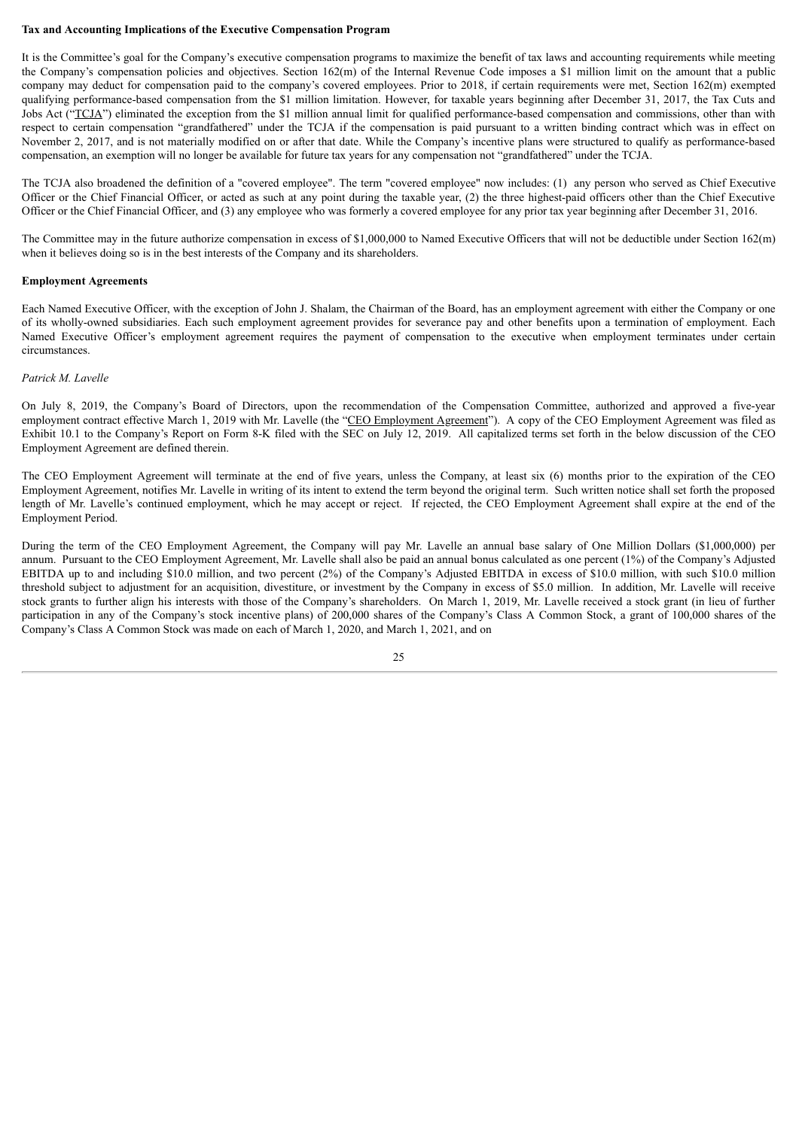# **Tax and Accounting Implications of the Executive Compensation Program**

It is the Committee's goal for the Company's executive compensation programs to maximize the benefit of tax laws and accounting requirements while meeting the Company's compensation policies and objectives. Section 162(m) of the Internal Revenue Code imposes a \$1 million limit on the amount that a public company may deduct for compensation paid to the company's covered employees. Prior to 2018, if certain requirements were met, Section 162(m) exempted qualifying performance-based compensation from the \$1 million limitation. However, for taxable years beginning after December 31, 2017, the Tax Cuts and Jobs Act ("TCJA") eliminated the exception from the \$1 million annual limit for qualified performance-based compensation and commissions, other than with respect to certain compensation "grandfathered" under the TCJA if the compensation is paid pursuant to a written binding contract which was in effect on November 2, 2017, and is not materially modified on or after that date. While the Company's incentive plans were structured to qualify as performance-based compensation, an exemption will no longer be available for future tax years for any compensation not "grandfathered" under the TCJA.

The TCJA also broadened the definition of a "covered employee". The term "covered employee" now includes: (1) any person who served as Chief Executive Officer or the Chief Financial Officer, or acted as such at any point during the taxable year, (2) the three highest-paid officers other than the Chief Executive Officer or the Chief Financial Officer, and (3) any employee who was formerly a covered employee for any prior tax year beginning after December 31, 2016.

The Committee may in the future authorize compensation in excess of \$1,000,000 to Named Executive Officers that will not be deductible under Section 162(m) when it believes doing so is in the best interests of the Company and its shareholders.

#### **Employment Agreements**

Each Named Executive Officer, with the exception of John J. Shalam, the Chairman of the Board, has an employment agreement with either the Company or one of its wholly-owned subsidiaries. Each such employment agreement provides for severance pay and other benefits upon a termination of employment. Each Named Executive Officer's employment agreement requires the payment of compensation to the executive when employment terminates under certain circumstances.

# *Patrick M. Lavelle*

On July 8, 2019, the Company's Board of Directors, upon the recommendation of the Compensation Committee, authorized and approved a five-year employment contract effective March 1, 2019 with Mr. Lavelle (the "CEO Employment Agreement"). A copy of the CEO Employment Agreement was filed as Exhibit 10.1 to the Company's Report on Form 8-K filed with the SEC on July 12, 2019. All capitalized terms set forth in the below discussion of the CEO Employment Agreement are defined therein.

The CEO Employment Agreement will terminate at the end of five years, unless the Company, at least six (6) months prior to the expiration of the CEO Employment Agreement, notifies Mr. Lavelle in writing of its intent to extend the term beyond the original term. Such written notice shall set forth the proposed length of Mr. Lavelle's continued employment, which he may accept or reject. If rejected, the CEO Employment Agreement shall expire at the end of the Employment Period.

During the term of the CEO Employment Agreement, the Company will pay Mr. Lavelle an annual base salary of One Million Dollars (\$1,000,000) per annum. Pursuant to the CEO Employment Agreement, Mr. Lavelle shall also be paid an annual bonus calculated as one percent (1%) of the Company's Adjusted EBITDA up to and including \$10.0 million, and two percent (2%) of the Company's Adjusted EBITDA in excess of \$10.0 million, with such \$10.0 million threshold subject to adjustment for an acquisition, divestiture, or investment by the Company in excess of \$5.0 million. In addition, Mr. Lavelle will receive stock grants to further align his interests with those of the Company's shareholders. On March 1, 2019, Mr. Lavelle received a stock grant (in lieu of further participation in any of the Company's stock incentive plans) of 200,000 shares of the Company's Class A Common Stock, a grant of 100,000 shares of the Company's Class A Common Stock was made on each of March 1, 2020, and March 1, 2021, and on

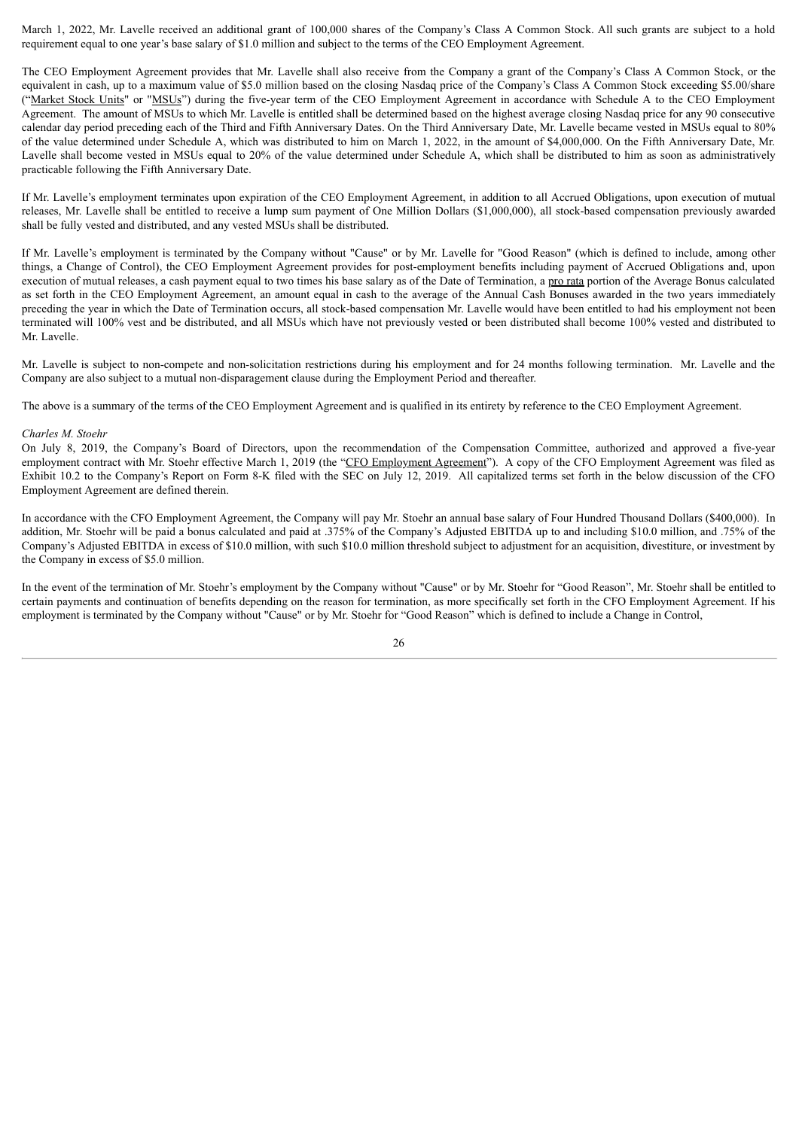March 1, 2022, Mr. Lavelle received an additional grant of 100,000 shares of the Company's Class A Common Stock. All such grants are subject to a hold requirement equal to one year's base salary of \$1.0 million and subject to the terms of the CEO Employment Agreement.

The CEO Employment Agreement provides that Mr. Lavelle shall also receive from the Company a grant of the Company's Class A Common Stock, or the equivalent in cash, up to a maximum value of \$5.0 million based on the closing Nasdaq price of the Company's Class A Common Stock exceeding \$5.00/share ("Market Stock Units" or "MSUs") during the five-year term of the CEO Employment Agreement in accordance with Schedule A to the CEO Employment Agreement. The amount of MSUs to which Mr. Lavelle is entitled shall be determined based on the highest average closing Nasdaq price for any 90 consecutive calendar day period preceding each of the Third and Fifth Anniversary Dates. On the Third Anniversary Date, Mr. Lavelle became vested in MSUs equal to 80% of the value determined under Schedule A, which was distributed to him on March 1, 2022, in the amount of \$4,000,000. On the Fifth Anniversary Date, Mr. Lavelle shall become vested in MSUs equal to 20% of the value determined under Schedule A, which shall be distributed to him as soon as administratively practicable following the Fifth Anniversary Date.

If Mr. Lavelle's employment terminates upon expiration of the CEO Employment Agreement, in addition to all Accrued Obligations, upon execution of mutual releases, Mr. Lavelle shall be entitled to receive a lump sum payment of One Million Dollars (\$1,000,000), all stock-based compensation previously awarded shall be fully vested and distributed, and any vested MSUs shall be distributed.

If Mr. Lavelle's employment is terminated by the Company without "Cause" or by Mr. Lavelle for "Good Reason" (which is defined to include, among other things, a Change of Control), the CEO Employment Agreement provides for post-employment benefits including payment of Accrued Obligations and, upon execution of mutual releases, a cash payment equal to two times his base salary as of the Date of Termination, a pro rata portion of the Average Bonus calculated as set forth in the CEO Employment Agreement, an amount equal in cash to the average of the Annual Cash Bonuses awarded in the two years immediately preceding the year in which the Date of Termination occurs, all stock-based compensation Mr. Lavelle would have been entitled to had his employment not been terminated will 100% vest and be distributed, and all MSUs which have not previously vested or been distributed shall become 100% vested and distributed to Mr. Lavelle.

Mr. Lavelle is subject to non-compete and non-solicitation restrictions during his employment and for 24 months following termination. Mr. Lavelle and the Company are also subject to a mutual non-disparagement clause during the Employment Period and thereafter.

The above is a summary of the terms of the CEO Employment Agreement and is qualified in its entirety by reference to the CEO Employment Agreement.

#### *Charles M. Stoehr*

On July 8, 2019, the Company's Board of Directors, upon the recommendation of the Compensation Committee, authorized and approved a five-year employment contract with Mr. Stoehr effective March 1, 2019 (the "CFO Employment Agreement"). A copy of the CFO Employment Agreement was filed as Exhibit 10.2 to the Company's Report on Form 8-K filed with the SEC on July 12, 2019. All capitalized terms set forth in the below discussion of the CFO Employment Agreement are defined therein.

In accordance with the CFO Employment Agreement, the Company will pay Mr. Stoehr an annual base salary of Four Hundred Thousand Dollars (\$400,000). In addition, Mr. Stoehr will be paid a bonus calculated and paid at .375% of the Company's Adjusted EBITDA up to and including \$10.0 million, and .75% of the Company's Adjusted EBITDA in excess of \$10.0 million, with such \$10.0 million threshold subject to adjustment for an acquisition, divestiture, or investment by the Company in excess of \$5.0 million.

In the event of the termination of Mr. Stoehr's employment by the Company without "Cause" or by Mr. Stoehr for "Good Reason", Mr. Stoehr shall be entitled to certain payments and continuation of benefits depending on the reason for termination, as more specifically set forth in the CFO Employment Agreement. If his employment is terminated by the Company without "Cause" or by Mr. Stoehr for "Good Reason" which is defined to include a Change in Control,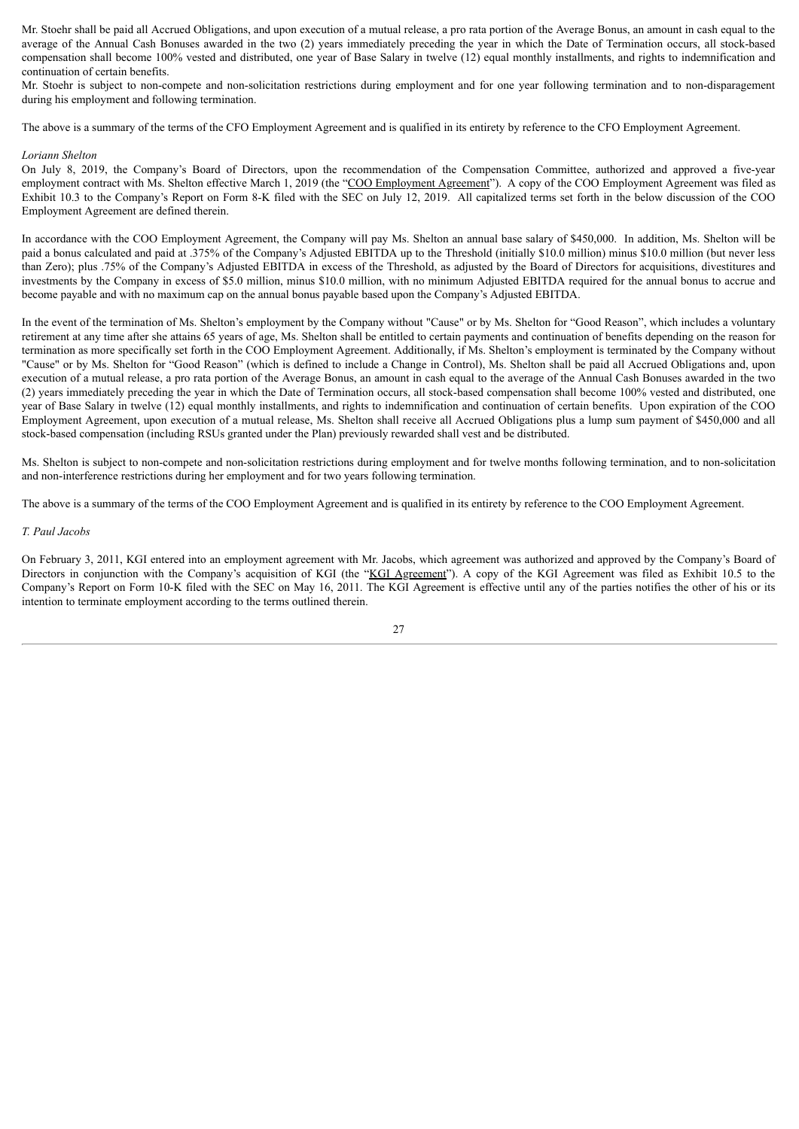Mr. Stoehr shall be paid all Accrued Obligations, and upon execution of a mutual release, a pro rata portion of the Average Bonus, an amount in cash equal to the average of the Annual Cash Bonuses awarded in the two (2) years immediately preceding the year in which the Date of Termination occurs, all stock-based compensation shall become 100% vested and distributed, one year of Base Salary in twelve (12) equal monthly installments, and rights to indemnification and continuation of certain benefits.

Mr. Stoehr is subject to non-compete and non-solicitation restrictions during employment and for one year following termination and to non-disparagement during his employment and following termination.

The above is a summary of the terms of the CFO Employment Agreement and is qualified in its entirety by reference to the CFO Employment Agreement.

#### *Loriann Shelton*

On July 8, 2019, the Company's Board of Directors, upon the recommendation of the Compensation Committee, authorized and approved a five-year employment contract with Ms. Shelton effective March 1, 2019 (the "COO Employment Agreement"). A copy of the COO Employment Agreement was filed as Exhibit 10.3 to the Company's Report on Form 8-K filed with the SEC on July 12, 2019. All capitalized terms set forth in the below discussion of the COO Employment Agreement are defined therein.

In accordance with the COO Employment Agreement, the Company will pay Ms. Shelton an annual base salary of \$450,000. In addition, Ms. Shelton will be paid a bonus calculated and paid at .375% of the Company's Adjusted EBITDA up to the Threshold (initially \$10.0 million) minus \$10.0 million (but never less than Zero); plus .75% of the Company's Adjusted EBITDA in excess of the Threshold, as adjusted by the Board of Directors for acquisitions, divestitures and investments by the Company in excess of \$5.0 million, minus \$10.0 million, with no minimum Adjusted EBITDA required for the annual bonus to accrue and become payable and with no maximum cap on the annual bonus payable based upon the Company's Adjusted EBITDA.

In the event of the termination of Ms. Shelton's employment by the Company without "Cause" or by Ms. Shelton for "Good Reason", which includes a voluntary retirement at any time after she attains 65 years of age, Ms. Shelton shall be entitled to certain payments and continuation of benefits depending on the reason for termination as more specifically set forth in the COO Employment Agreement. Additionally, if Ms. Shelton's employment is terminated by the Company without "Cause" or by Ms. Shelton for "Good Reason" (which is defined to include a Change in Control), Ms. Shelton shall be paid all Accrued Obligations and, upon execution of a mutual release, a pro rata portion of the Average Bonus, an amount in cash equal to the average of the Annual Cash Bonuses awarded in the two (2) years immediately preceding the year in which the Date of Termination occurs, all stock-based compensation shall become 100% vested and distributed, one year of Base Salary in twelve (12) equal monthly installments, and rights to indemnification and continuation of certain benefits. Upon expiration of the COO Employment Agreement, upon execution of a mutual release, Ms. Shelton shall receive all Accrued Obligations plus a lump sum payment of \$450,000 and all stock-based compensation (including RSUs granted under the Plan) previously rewarded shall vest and be distributed.

Ms. Shelton is subject to non-compete and non-solicitation restrictions during employment and for twelve months following termination, and to non-solicitation and non-interference restrictions during her employment and for two years following termination.

The above is a summary of the terms of the COO Employment Agreement and is qualified in its entirety by reference to the COO Employment Agreement.

# *T. Paul Jacobs*

On February 3, 2011, KGI entered into an employment agreement with Mr. Jacobs, which agreement was authorized and approved by the Company's Board of Directors in conjunction with the Company's acquisition of KGI (the "KGI Agreement"). A copy of the KGI Agreement was filed as Exhibit 10.5 to the Company's Report on Form 10-K filed with the SEC on May 16, 2011. The KGI Agreement is effective until any of the parties notifies the other of his or its intention to terminate employment according to the terms outlined therein.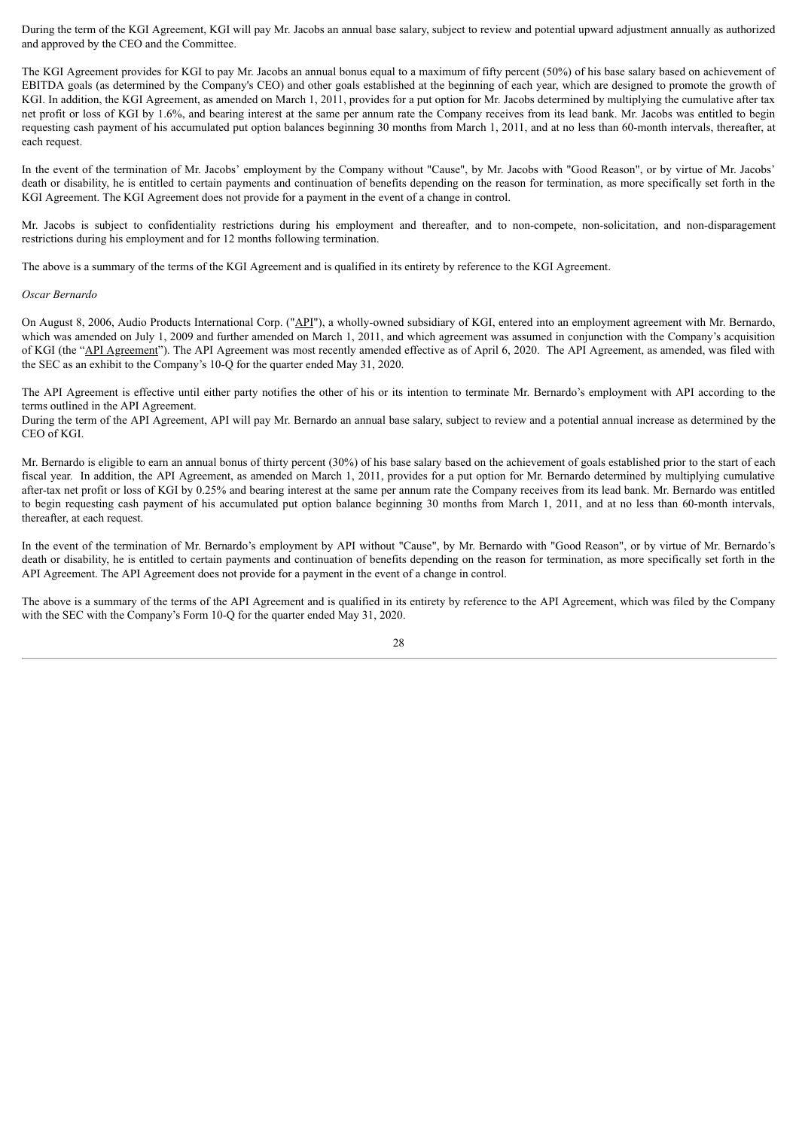During the term of the KGI Agreement, KGI will pay Mr. Jacobs an annual base salary, subject to review and potential upward adjustment annually as authorized and approved by the CEO and the Committee.

The KGI Agreement provides for KGI to pay Mr. Jacobs an annual bonus equal to a maximum of fifty percent (50%) of his base salary based on achievement of EBITDA goals (as determined by the Company's CEO) and other goals established at the beginning of each year, which are designed to promote the growth of KGI. In addition, the KGI Agreement, as amended on March 1, 2011, provides for a put option for Mr. Jacobs determined by multiplying the cumulative after tax net profit or loss of KGI by 1.6%, and bearing interest at the same per annum rate the Company receives from its lead bank. Mr. Jacobs was entitled to begin requesting cash payment of his accumulated put option balances beginning 30 months from March 1, 2011, and at no less than 60-month intervals, thereafter, at each request.

In the event of the termination of Mr. Jacobs' employment by the Company without "Cause", by Mr. Jacobs with "Good Reason", or by virtue of Mr. Jacobs' death or disability, he is entitled to certain payments and continuation of benefits depending on the reason for termination, as more specifically set forth in the KGI Agreement. The KGI Agreement does not provide for a payment in the event of a change in control.

Mr. Jacobs is subject to confidentiality restrictions during his employment and thereafter, and to non-compete, non-solicitation, and non-disparagement restrictions during his employment and for 12 months following termination.

The above is a summary of the terms of the KGI Agreement and is qualified in its entirety by reference to the KGI Agreement.

#### *Oscar Bernardo*

On August 8, 2006, Audio Products International Corp. ("API"), a wholly-owned subsidiary of KGI, entered into an employment agreement with Mr. Bernardo, which was amended on July 1, 2009 and further amended on March 1, 2011, and which agreement was assumed in conjunction with the Company's acquisition of KGI (the "API Agreement"). The API Agreement was most recently amended effective as of April 6, 2020. The API Agreement, as amended, was filed with the SEC as an exhibit to the Company's 10-Q for the quarter ended May 31, 2020.

The API Agreement is effective until either party notifies the other of his or its intention to terminate Mr. Bernardo's employment with API according to the terms outlined in the API Agreement.

During the term of the API Agreement, API will pay Mr. Bernardo an annual base salary, subject to review and a potential annual increase as determined by the CEO of KGI.

Mr. Bernardo is eligible to earn an annual bonus of thirty percent (30%) of his base salary based on the achievement of goals established prior to the start of each fiscal year. In addition, the API Agreement, as amended on March 1, 2011, provides for a put option for Mr. Bernardo determined by multiplying cumulative after-tax net profit or loss of KGI by 0.25% and bearing interest at the same per annum rate the Company receives from its lead bank. Mr. Bernardo was entitled to begin requesting cash payment of his accumulated put option balance beginning 30 months from March 1, 2011, and at no less than 60-month intervals, thereafter, at each request.

In the event of the termination of Mr. Bernardo's employment by API without "Cause", by Mr. Bernardo with "Good Reason", or by virtue of Mr. Bernardo's death or disability, he is entitled to certain payments and continuation of benefits depending on the reason for termination, as more specifically set forth in the API Agreement. The API Agreement does not provide for a payment in the event of a change in control.

The above is a summary of the terms of the API Agreement and is qualified in its entirety by reference to the API Agreement, which was filed by the Company with the SEC with the Company's Form 10-Q for the quarter ended May 31, 2020.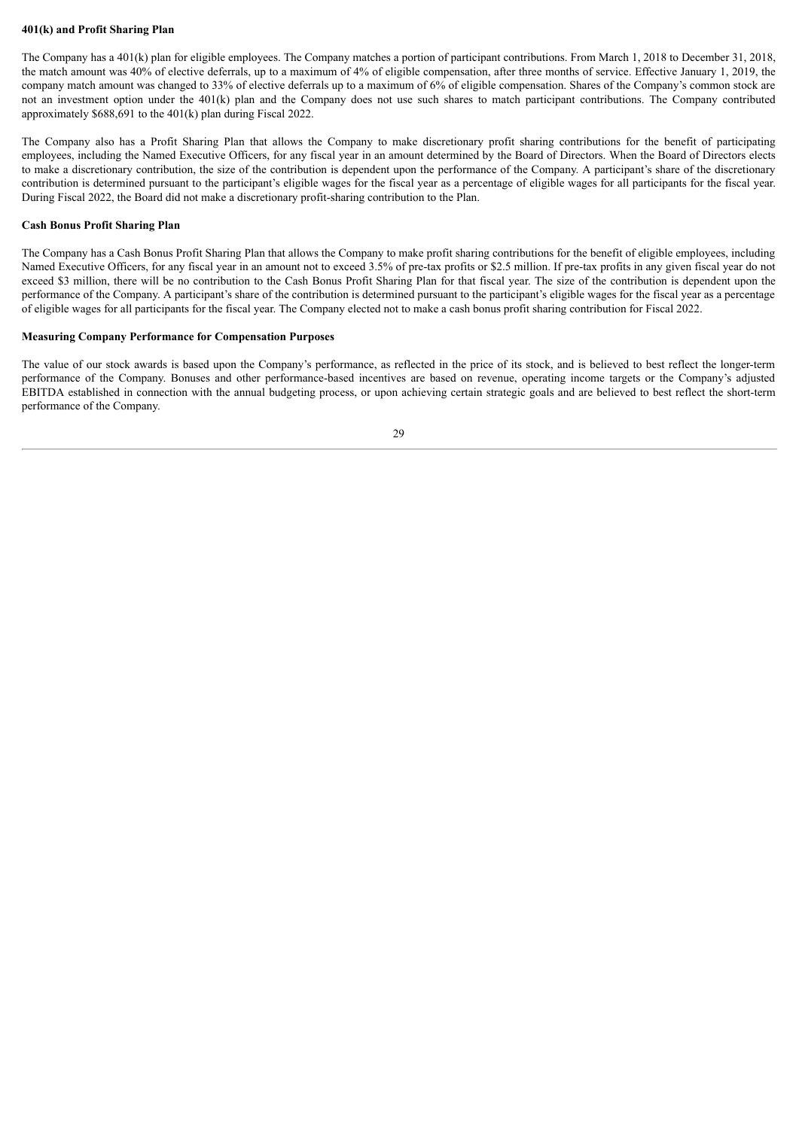# **401(k) and Profit Sharing Plan**

The Company has a 401(k) plan for eligible employees. The Company matches a portion of participant contributions. From March 1, 2018 to December 31, 2018, the match amount was 40% of elective deferrals, up to a maximum of 4% of eligible compensation, after three months of service. Effective January 1, 2019, the company match amount was changed to 33% of elective deferrals up to a maximum of 6% of eligible compensation. Shares of the Company's common stock are not an investment option under the 401(k) plan and the Company does not use such shares to match participant contributions. The Company contributed approximately \$688,691 to the 401(k) plan during Fiscal 2022.

The Company also has a Profit Sharing Plan that allows the Company to make discretionary profit sharing contributions for the benefit of participating employees, including the Named Executive Officers, for any fiscal year in an amount determined by the Board of Directors. When the Board of Directors elects to make a discretionary contribution, the size of the contribution is dependent upon the performance of the Company. A participant's share of the discretionary contribution is determined pursuant to the participant's eligible wages for the fiscal year as a percentage of eligible wages for all participants for the fiscal year. During Fiscal 2022, the Board did not make a discretionary profit-sharing contribution to the Plan.

# **Cash Bonus Profit Sharing Plan**

The Company has a Cash Bonus Profit Sharing Plan that allows the Company to make profit sharing contributions for the benefit of eligible employees, including Named Executive Officers, for any fiscal year in an amount not to exceed 3.5% of pre-tax profits or \$2.5 million. If pre-tax profits in any given fiscal year do not exceed \$3 million, there will be no contribution to the Cash Bonus Profit Sharing Plan for that fiscal year. The size of the contribution is dependent upon the performance of the Company. A participant's share of the contribution is determined pursuant to the participant's eligible wages for the fiscal year as a percentage of eligible wages for all participants for the fiscal year. The Company elected not to make a cash bonus profit sharing contribution for Fiscal 2022.

# **Measuring Company Performance for Compensation Purposes**

The value of our stock awards is based upon the Company's performance, as reflected in the price of its stock, and is believed to best reflect the longer-term performance of the Company. Bonuses and other performance-based incentives are based on revenue, operating income targets or the Company's adjusted EBITDA established in connection with the annual budgeting process, or upon achieving certain strategic goals and are believed to best reflect the short-term performance of the Company.

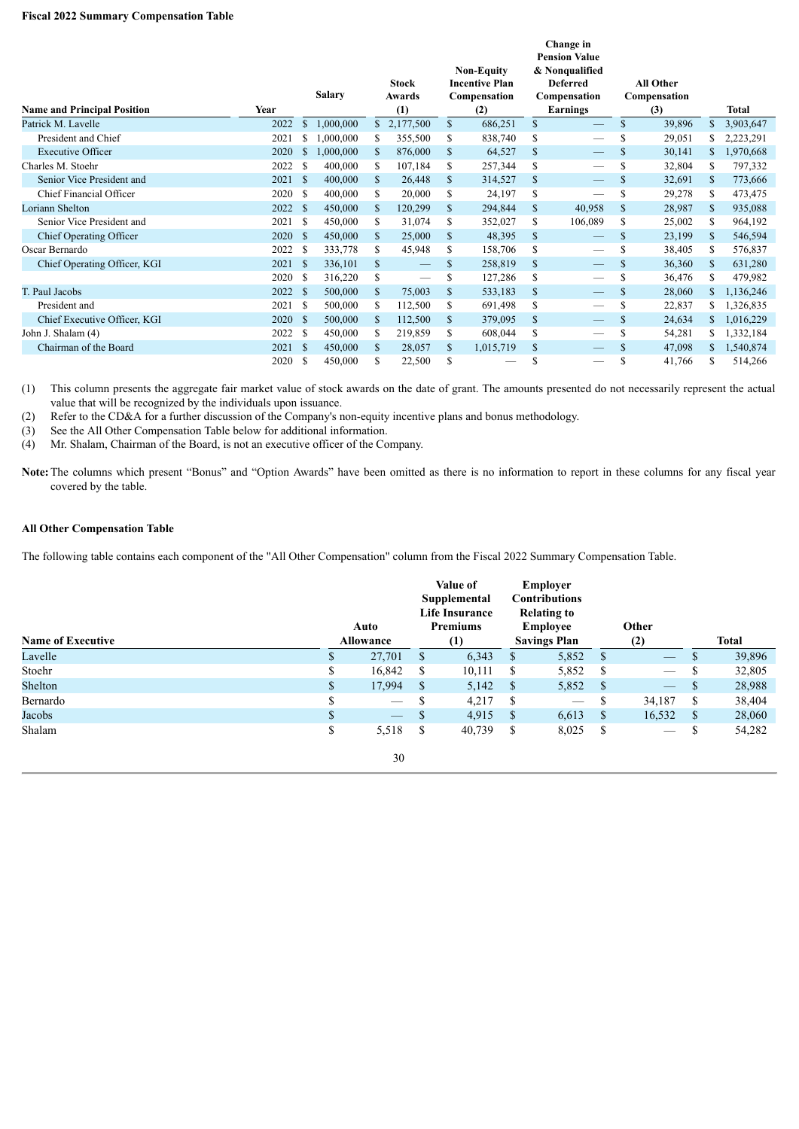# **Fiscal 2022 Summary Compensation Table**

| <b>Name and Principal Position</b> | Year |               | <b>Salary</b> |    | <b>Stock</b><br>Awards<br>(1) |               | <b>Non-Equity</b><br><b>Incentive Plan</b><br>Compensation<br>(2) |    | Change in<br><b>Pension Value</b><br>& Nonqualified<br><b>Deferred</b><br>Compensation<br><b>Earnings</b> | All Other<br>Compensation<br>(3) |     | Total     |
|------------------------------------|------|---------------|---------------|----|-------------------------------|---------------|-------------------------------------------------------------------|----|-----------------------------------------------------------------------------------------------------------|----------------------------------|-----|-----------|
| Patrick M. Lavelle                 | 2022 | S             | 1,000,000     | \$ | 2,177,500                     | <sup>\$</sup> | 686,251                                                           | \$ |                                                                                                           | \$<br>39,896                     | \$  | 3,903,647 |
| President and Chief                | 2021 |               | .000,000      | \$ | 355,500                       | S             | 838,740                                                           | \$ |                                                                                                           | \$<br>29,051                     |     | 2,223,291 |
| <b>Executive Officer</b>           | 2020 | S             | 1,000,000     | \$ | 876,000                       | <sup>\$</sup> | 64,527                                                            | \$ |                                                                                                           | 30,141                           | \$  | 1,970,668 |
| Charles M. Stoehr                  | 2022 | -S            | 400,000       | \$ | 107,184                       | \$            | 257,344                                                           | \$ |                                                                                                           | 32,804                           | \$  | 797,332   |
| Senior Vice President and          | 2021 | -S            | 400,000       | \$ | 26,448                        | \$            | 314,527                                                           | \$ | —                                                                                                         | \$<br>32,691                     | \$  | 773,666   |
| Chief Financial Officer            | 2020 | -S            | 400,000       | \$ | 20,000                        | \$            | 24,197                                                            | \$ |                                                                                                           | \$<br>29,278                     | \$  | 473,475   |
| <b>Loriann Shelton</b>             | 2022 | <sup>\$</sup> | 450,000       | \$ | 120,299                       | \$            | 294,844                                                           | \$ | 40,958                                                                                                    | \$<br>28,987                     | \$  | 935,088   |
| Senior Vice President and          | 2021 | -S            | 450,000       | \$ | 31,074                        | \$            | 352,027                                                           | \$ | 106,089                                                                                                   | \$<br>25,002                     | S   | 964,192   |
| Chief Operating Officer            | 2020 | $\mathbb{S}$  | 450,000       | \$ | 25,000                        | \$            | 48,395                                                            | \$ |                                                                                                           | \$<br>23,199                     | \$  | 546,594   |
| Oscar Bernardo                     | 2022 | -S            | 333,778       | \$ | 45,948                        | S             | 158,706                                                           | \$ |                                                                                                           | \$<br>38,405                     | S   | 576,837   |
| Chief Operating Officer, KGI       | 2021 | -S            | 336,101       | \$ |                               | S             | 258,819                                                           | \$ |                                                                                                           | \$<br>36,360                     | \$  | 631,280   |
|                                    | 2020 | -S            | 316,220       | \$ |                               | \$            | 127,286                                                           | \$ |                                                                                                           | \$<br>36,476                     | S   | 479,982   |
| T. Paul Jacobs                     | 2022 | <sup>\$</sup> | 500,000       | \$ | 75,003                        | <sup>\$</sup> | 533,183                                                           | \$ |                                                                                                           | \$<br>28,060                     | \$  | 1,136,246 |
| President and                      | 2021 | -S            | 500,000       | \$ | 112,500                       | \$            | 691,498                                                           | \$ |                                                                                                           | \$<br>22,837                     | \$  | 1,326,835 |
| Chief Executive Officer, KGI       | 2020 | $\mathbb{S}$  | 500,000       | \$ | 112,500                       | \$            | 379,095                                                           | \$ |                                                                                                           | \$<br>24,634                     | \$. | 1,016,229 |
| John J. Shalam (4)                 | 2022 | -S            | 450,000       | \$ | 219,859                       | S             | 608,044                                                           | \$ |                                                                                                           | \$<br>54,281                     |     | 1,332,184 |
| Chairman of the Board              | 2021 | -S            | 450,000       | S  | 28,057                        | S             | 1,015,719                                                         | \$ |                                                                                                           | \$<br>47,098                     | \$  | 1,540,874 |
|                                    | 2020 | S             | 450,000       | S  | 22,500                        | \$            | -                                                                 | S  | --                                                                                                        | \$<br>41,766                     | S   | 514,266   |

(1) This column presents the aggregate fair market value of stock awards on the date of grant. The amounts presented do not necessarily represent the actual value that will be recognized by the individuals upon issuance.

(2) Refer to the CD&A for a further discussion of the Company's non-equity incentive plans and bonus methodology.

(3) See the All Other Compensation Table below for additional information.<br>
(4) Mr. Shalam, Chairman of the Board, is not an executive officer of the Co

Mr. Shalam, Chairman of the Board, is not an executive officer of the Company.

**Note:**The columns which present "Bonus" and "Option Awards" have been omitted as there is no information to report in these columns for any fiscal year covered by the table.

# **All Other Compensation Table**

The following table contains each component of the "All Other Compensation" column from the Fiscal 2022 Summary Compensation Table.

|                          |              | Auto              |               | Value of<br>Supplemental<br><b>Life Insurance</b><br><b>Premiums</b> |               | <b>Employer</b><br><b>Contributions</b><br><b>Relating to</b><br><b>Employee</b> |               | Other                    |              |              |
|--------------------------|--------------|-------------------|---------------|----------------------------------------------------------------------|---------------|----------------------------------------------------------------------------------|---------------|--------------------------|--------------|--------------|
| <b>Name of Executive</b> |              | <b>Allowance</b>  |               | (1)                                                                  |               | <b>Savings Plan</b>                                                              |               | (2)                      |              | <b>Total</b> |
| Lavelle                  | D.           | 27,701            | \$            | 6,343                                                                | <sup>S</sup>  | 5,852                                                                            | - \$          | $\qquad \qquad -$        |              | 39,896       |
| Stoehr                   | \$           | 16,842            | <sup>S</sup>  | 10,111                                                               | <sup>S</sup>  | 5,852                                                                            | - \$          |                          | S            | 32,805       |
| Shelton                  | $\mathbb{S}$ | 17,994            | - S           | 5,142                                                                | - S           | 5,852                                                                            | - \$          | $\overline{\phantom{0}}$ | <sup>S</sup> | 28,988       |
| Bernardo                 | \$           | $\hspace{0.05cm}$ | S             | 4,217                                                                | -S            | $\overbrace{\phantom{aaaaa}}$                                                    | \$            | 34,187                   | S            | 38,404       |
| Jacobs                   | \$           | $\hspace{0.05cm}$ | <sup>\$</sup> | 4,915                                                                | - S           | 6,613                                                                            | <sup>\$</sup> | 16,532                   | -S           | 28,060       |
| Shalam                   | S            | 5,518             | S             | 40,739                                                               | <sup>\$</sup> | 8,025                                                                            | -S            | $\hspace{0.05cm}$        | \$           | 54,282       |
|                          |              | 30                |               |                                                                      |               |                                                                                  |               |                          |              |              |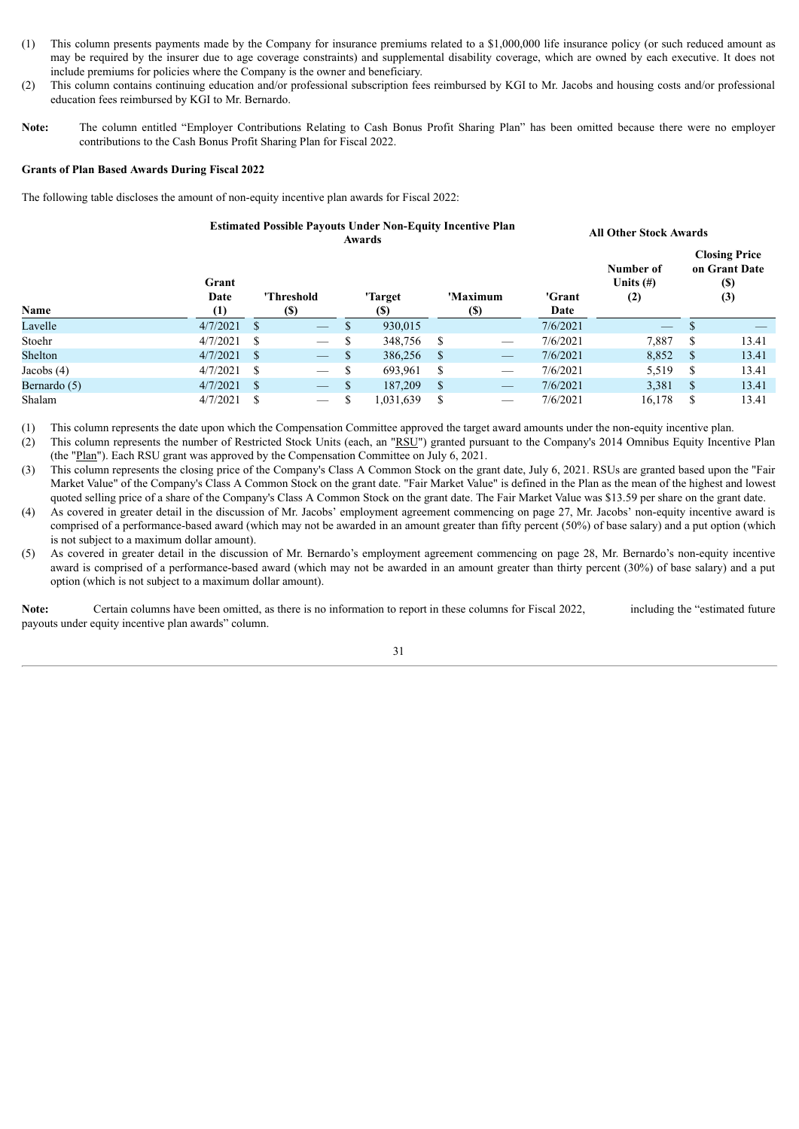- (1) This column presents payments made by the Company for insurance premiums related to a \$1,000,000 life insurance policy (or such reduced amount as may be required by the insurer due to age coverage constraints) and supplemental disability coverage, which are owned by each executive. It does not include premiums for policies where the Company is the owner and beneficiary.
- (2) This column contains continuing education and/or professional subscription fees reimbursed by KGI to Mr. Jacobs and housing costs and/or professional education fees reimbursed by KGI to Mr. Bernardo.
- Note: The column entitled "Employer Contributions Relating to Cash Bonus Profit Sharing Plan" has been omitted because there were no employer contributions to the Cash Bonus Profit Sharing Plan for Fiscal 2022.

# **Grants of Plan Based Awards During Fiscal 2022**

The following table discloses the amount of non-equity incentive plan awards for Fiscal 2022:

#### **Estimated Possible Payouts Under Non-Equity Incentive Plan Awards All Other Stock Awards**

| Name         | Grant<br>Date<br>(1) |   | 'Threshold<br>(\$)              |               | 'Target<br>(S) |               | 'Maximum<br><b>(\$)</b>         | 'Grant<br>Date | Number of<br>Units $(\#)$<br>(2) |              | <b>Closing Price</b><br>on Grant Date<br>(\$)<br>(3) |
|--------------|----------------------|---|---------------------------------|---------------|----------------|---------------|---------------------------------|----------------|----------------------------------|--------------|------------------------------------------------------|
| Lavelle      | 4/7/2021             | S | $\hspace{0.1mm}-\hspace{0.1mm}$ | D             | 930,015        |               |                                 | 7/6/2021       | $\frac{1}{2}$                    |              |                                                      |
| Stoehr       | 4/7/2021             | S | $\hspace{0.05cm}$               | <sup>\$</sup> | 348,756        | <sup>\$</sup> |                                 | 7/6/2021       | 7,887                            | S            | 13.41                                                |
| Shelton      | 4/7/2021             | S | ا سند ا                         | \$            | 386,256        | <sup>\$</sup> | $\hspace{0.05cm}$               | 7/6/2021       | 8,852                            | S            | 13.41                                                |
| Jacobs $(4)$ | 4/7/2021             | S | $\hspace{0.05cm}$               | <sup>\$</sup> | 693,961        | \$            | $\hspace{0.05cm}$               | 7/6/2021       | 5,519                            | S            | 13.41                                                |
| Bernardo (5) | 4/7/2021             | S | $\hspace{0.05cm}$               | S             | 187,209        | \$            | $\hspace{0.1cm}-\hspace{0.1cm}$ | 7/6/2021       | 3,381                            | <sup>S</sup> | 13.41                                                |
| Shalam       | 4/7/2021             | S | $\hspace{0.05cm}$               |               | 1,031,639      | S             | $\hspace{.05cm} -$              | 7/6/2021       | 16,178                           | S            | 13.41                                                |

(1) This column represents the date upon which the Compensation Committee approved the target award amounts under the non-equity incentive plan.

(2) This column represents the number of Restricted Stock Units (each, an "RSU") granted pursuant to the Company's 2014 Omnibus Equity Incentive Plan (the "Plan"). Each RSU grant was approved by the Compensation Committee on July 6, 2021.

(3) This column represents the closing price of the Company's Class A Common Stock on the grant date, July 6, 2021. RSUs are granted based upon the "Fair Market Value" of the Company's Class A Common Stock on the grant date. "Fair Market Value" is defined in the Plan as the mean of the highest and lowest quoted selling price of a share of the Company's Class A Common Stock on the grant date. The Fair Market Value was \$13.59 per share on the grant date.

- (4) As covered in greater detail in the discussion of Mr. Jacobs' employment agreement commencing on page 27, Mr. Jacobs' non-equity incentive award is comprised of a performance-based award (which may not be awarded in an amount greater than fifty percent (50%) of base salary) and a put option (which is not subject to a maximum dollar amount).
- (5) As covered in greater detail in the discussion of Mr. Bernardo's employment agreement commencing on page 28, Mr. Bernardo's non-equity incentive award is comprised of a performance-based award (which may not be awarded in an amount greater than thirty percent (30%) of base salary) and a put option (which is not subject to a maximum dollar amount).

Note: Certain columns have been omitted, as there is no information to report in these columns for Fiscal 2022, including the "estimated future" payouts under equity incentive plan awards" column.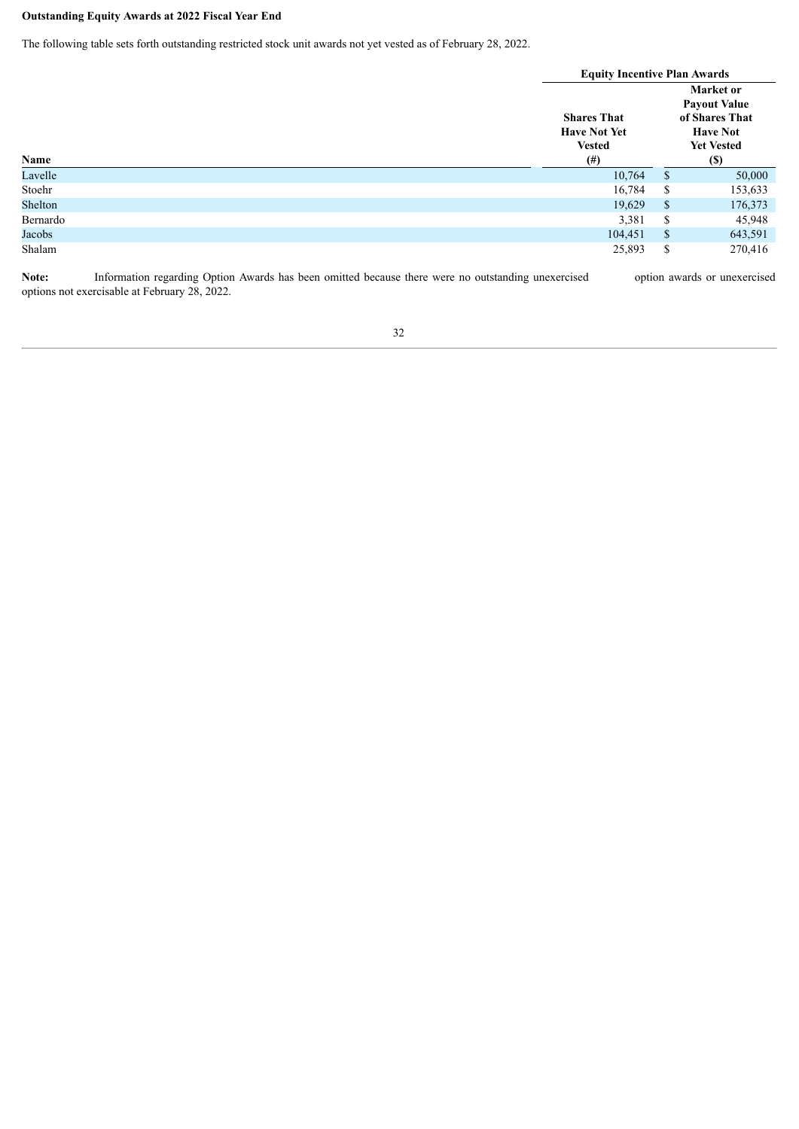# **Outstanding Equity Awards at 2022 Fiscal Year End**

The following table sets forth outstanding restricted stock unit awards not yet vested as of February 28, 2022.

|          |                           | <b>Equity Incentive Plan Awards</b><br>Market or<br><b>Shares That</b><br><b>Have Not Yet</b><br><b>Have Not</b> |                                                                           |  |  |
|----------|---------------------------|------------------------------------------------------------------------------------------------------------------|---------------------------------------------------------------------------|--|--|
| Name     | <b>Vested</b><br>$^{(#)}$ |                                                                                                                  | <b>Payout Value</b><br>of Shares That<br><b>Yet Vested</b><br><b>(\$)</b> |  |  |
| Lavelle  | 10,764                    | <sup>\$</sup>                                                                                                    | 50,000                                                                    |  |  |
| Stoehr   | 16,784                    | \$                                                                                                               | 153,633                                                                   |  |  |
| Shelton  | 19,629                    | <sup>\$</sup>                                                                                                    | 176,373                                                                   |  |  |
| Bernardo | 3,381                     | \$                                                                                                               | 45,948                                                                    |  |  |
| Jacobs   | 104,451                   | \$                                                                                                               | 643,591                                                                   |  |  |
| Shalam   | 25,893                    | \$                                                                                                               | 270,416                                                                   |  |  |

Note: Information regarding Option Awards has been omitted because there were no outstanding unexercised option awards or unexercised options not exercisable at February 28, 2022.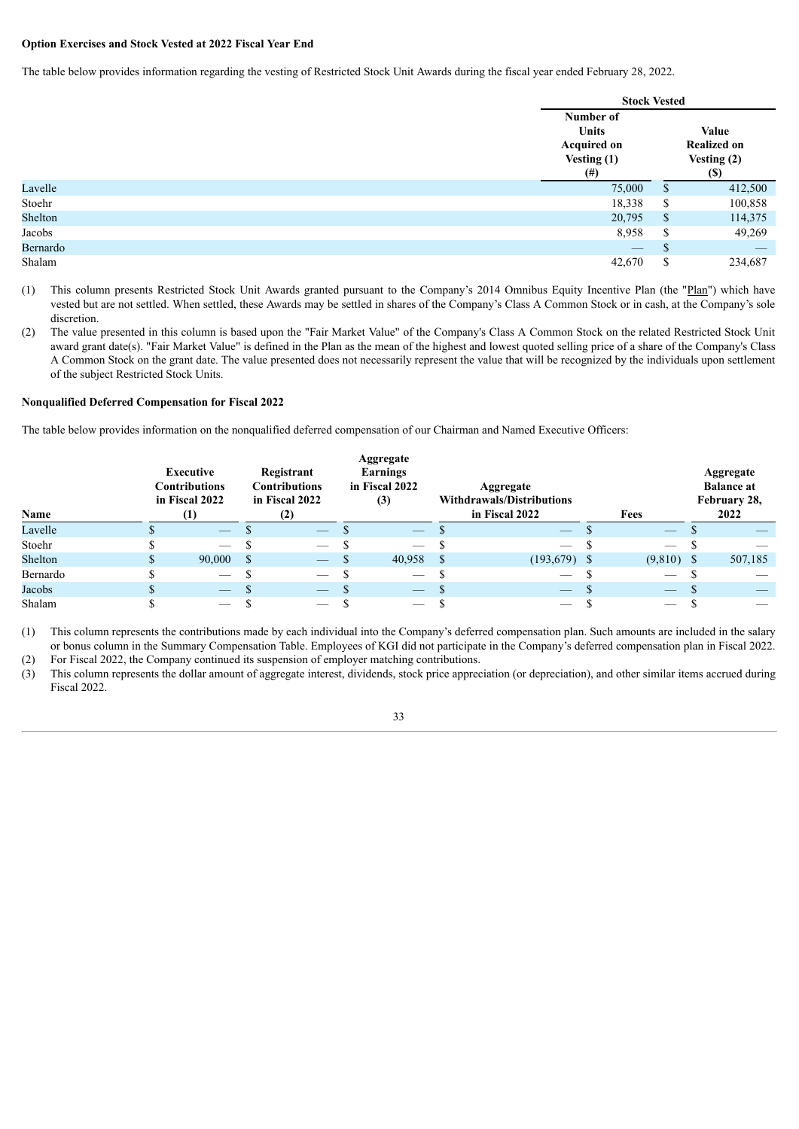# **Option Exercises and Stock Vested at 2022 Fiscal Year End**

The table below provides information regarding the vesting of Restricted Stock Unit Awards during the fiscal year ended February 28, 2022.

|          | <b>Stock Vested</b>                                                      |              |                                                                                 |
|----------|--------------------------------------------------------------------------|--------------|---------------------------------------------------------------------------------|
|          | Number of<br><b>Units</b><br><b>Acquired on</b><br>Vesting (1)<br>$(\#)$ |              | <b>Value</b><br><b>Realized on</b><br>Vesting (2)<br>$\left( \mathbb{S}\right)$ |
| Lavelle  | 75,000                                                                   | \$           | 412,500                                                                         |
| Stoehr   | 18,338                                                                   | \$           | 100,858                                                                         |
| Shelton  | 20,795                                                                   | $\mathbb{S}$ | 114,375                                                                         |
| Jacobs   | 8,958                                                                    | \$           | 49,269                                                                          |
| Bernardo | $\hspace{0.1mm}-\hspace{0.1mm}$                                          | S            |                                                                                 |
| Shalam   | 42,670                                                                   | \$           | 234,687                                                                         |

(1) This column presents Restricted Stock Unit Awards granted pursuant to the Company's 2014 Omnibus Equity Incentive Plan (the "Plan") which have vested but are not settled. When settled, these Awards may be settled in shares of the Company's Class A Common Stock or in cash, at the Company's sole discretion.

(2) The value presented in this column is based upon the "Fair Market Value" of the Company's Class A Common Stock on the related Restricted Stock Unit award grant date(s). "Fair Market Value" is defined in the Plan as the mean of the highest and lowest quoted selling price of a share of the Company's Class A Common Stock on the grant date. The value presented does not necessarily represent the value that will be recognized by the individuals upon settlement of the subject Restricted Stock Units.

# **Nonqualified Deferred Compensation for Fiscal 2022**

The table below provides information on the nonqualified deferred compensation of our Chairman and Named Executive Officers:

| Name     | Executive<br><b>Contributions</b><br>in Fiscal 2022<br>(1) |                          | Registrant<br><b>Contributions</b><br>in Fiscal 2022<br>(2) |                                 | Aggregate<br>Earnings<br>in Fiscal 2022<br>(3) |                           | Aggregate<br><b>Withdrawals/Distributions</b><br>in Fiscal 2022 |                          |  | Fees                     | Aggregate<br><b>Balance at</b><br>February 28,<br>2022 |         |
|----------|------------------------------------------------------------|--------------------------|-------------------------------------------------------------|---------------------------------|------------------------------------------------|---------------------------|-----------------------------------------------------------------|--------------------------|--|--------------------------|--------------------------------------------------------|---------|
| Lavelle  |                                                            | $\hspace{0.05cm}$        |                                                             | $\overline{\phantom{m}}$        |                                                | <u>a shekara ta 1999 </u> |                                                                 | $\overline{\phantom{m}}$ |  | $\qquad \qquad -$        |                                                        |         |
| Stoehr   |                                                            | $\overline{\phantom{a}}$ |                                                             |                                 |                                                |                           |                                                                 |                          |  |                          |                                                        |         |
| Shelton  |                                                            | 90,000                   | - S                                                         | $\hspace{0.1mm}-\hspace{0.1mm}$ |                                                | 40,958                    | - \$                                                            | $(193,679)$ \$           |  | $(9,810)$ \$             |                                                        | 507,185 |
| Bernardo |                                                            |                          |                                                             |                                 |                                                |                           |                                                                 |                          |  |                          |                                                        |         |
| Jacobs   |                                                            | $\overline{\phantom{a}}$ |                                                             |                                 |                                                |                           |                                                                 | $\overline{\phantom{a}}$ |  | $\overline{\phantom{0}}$ |                                                        |         |
| Shalam   |                                                            | $\overline{\phantom{0}}$ |                                                             |                                 |                                                | $\overline{\phantom{a}}$  |                                                                 |                          |  |                          |                                                        |         |

(1) This column represents the contributions made by each individual into the Company's deferred compensation plan. Such amounts are included in the salary or bonus column in the Summary Compensation Table. Employees of KGI did not participate in the Company's deferred compensation plan in Fiscal 2022. (2) For Fiscal 2022, the Company continued its suspension of employer matching contributions.

(3) This column represents the dollar amount of aggregate interest, dividends, stock price appreciation (or depreciation), and other similar items accrued during Fiscal 2022.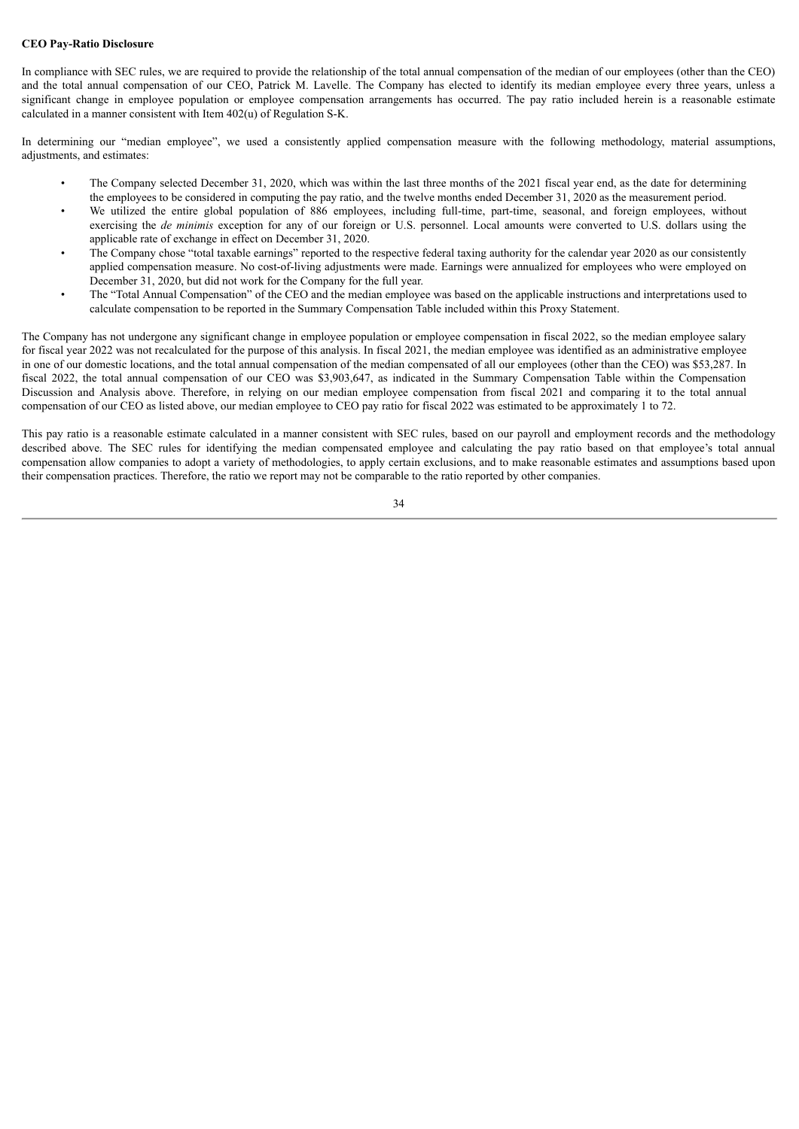#### **CEO Pay-Ratio Disclosure**

In compliance with SEC rules, we are required to provide the relationship of the total annual compensation of the median of our employees (other than the CEO) and the total annual compensation of our CEO, Patrick M. Lavelle. The Company has elected to identify its median employee every three years, unless a significant change in employee population or employee compensation arrangements has occurred. The pay ratio included herein is a reasonable estimate calculated in a manner consistent with Item 402(u) of Regulation S-K.

In determining our "median employee", we used a consistently applied compensation measure with the following methodology, material assumptions, adjustments, and estimates:

- The Company selected December 31, 2020, which was within the last three months of the 2021 fiscal year end, as the date for determining the employees to be considered in computing the pay ratio, and the twelve months ended December 31, 2020 as the measurement period.
- We utilized the entire global population of 886 employees, including full-time, part-time, seasonal, and foreign employees, without exercising the *de minimis* exception for any of our foreign or U.S. personnel. Local amounts were converted to U.S. dollars using the applicable rate of exchange in effect on December 31, 2020.
- The Company chose "total taxable earnings" reported to the respective federal taxing authority for the calendar year 2020 as our consistently applied compensation measure. No cost-of-living adjustments were made. Earnings were annualized for employees who were employed on December 31, 2020, but did not work for the Company for the full year.
- The "Total Annual Compensation" of the CEO and the median employee was based on the applicable instructions and interpretations used to calculate compensation to be reported in the Summary Compensation Table included within this Proxy Statement.

The Company has not undergone any significant change in employee population or employee compensation in fiscal 2022, so the median employee salary for fiscal year 2022 was not recalculated for the purpose of this analysis. In fiscal 2021, the median employee was identified as an administrative employee in one of our domestic locations, and the total annual compensation of the median compensated of all our employees (other than the CEO) was \$53,287. In fiscal 2022, the total annual compensation of our CEO was \$3,903,647, as indicated in the Summary Compensation Table within the Compensation Discussion and Analysis above. Therefore, in relying on our median employee compensation from fiscal 2021 and comparing it to the total annual compensation of our CEO as listed above, our median employee to CEO pay ratio for fiscal 2022 was estimated to be approximately 1 to 72.

This pay ratio is a reasonable estimate calculated in a manner consistent with SEC rules, based on our payroll and employment records and the methodology described above. The SEC rules for identifying the median compensated employee and calculating the pay ratio based on that employee's total annual compensation allow companies to adopt a variety of methodologies, to apply certain exclusions, and to make reasonable estimates and assumptions based upon their compensation practices. Therefore, the ratio we report may not be comparable to the ratio reported by other companies.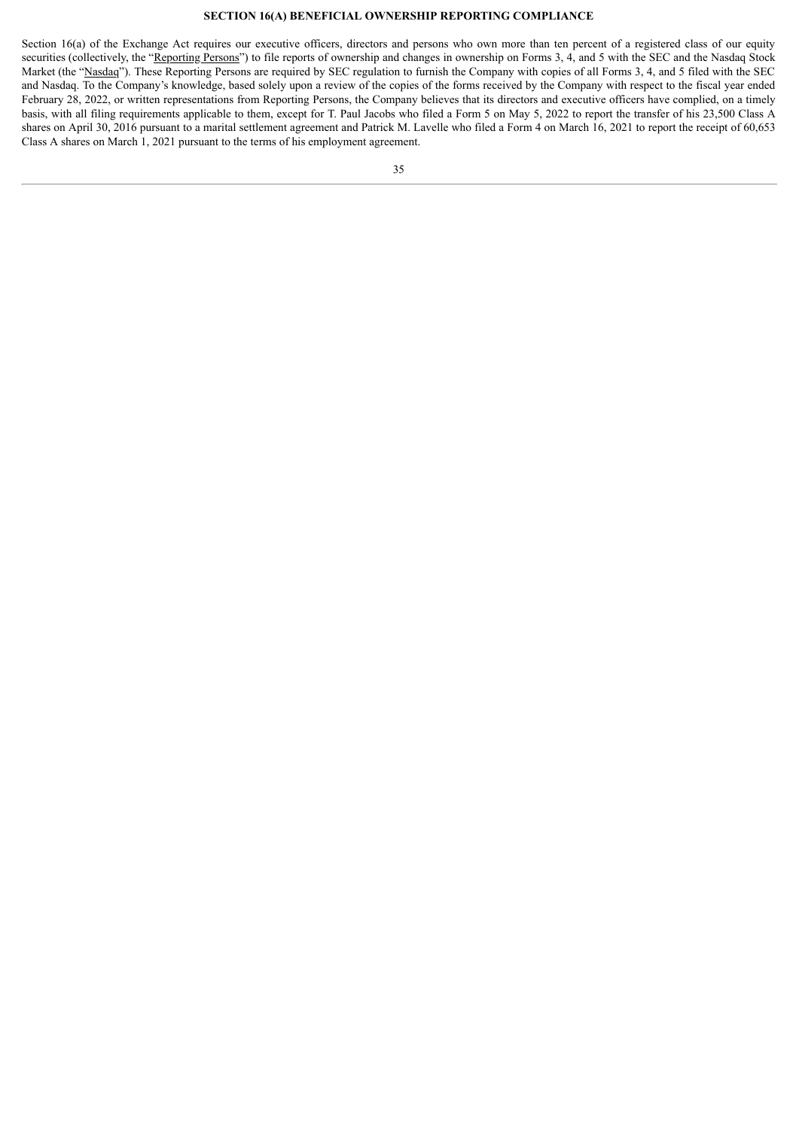# **SECTION 16(A) BENEFICIAL OWNERSHIP REPORTING COMPLIANCE**

<span id="page-37-0"></span>Section 16(a) of the Exchange Act requires our executive officers, directors and persons who own more than ten percent of a registered class of our equity securities (collectively, the "Reporting Persons") to file reports of ownership and changes in ownership on Forms 3, 4, and 5 with the SEC and the Nasdaq Stock Market (the "Nasdaq"). These Reporting Persons are required by SEC regulation to furnish the Company with copies of all Forms 3, 4, and 5 filed with the SEC and Nasdaq. To the Company's knowledge, based solely upon a review of the copies of the forms received by the Company with respect to the fiscal year ended February 28, 2022, or written representations from Reporting Persons, the Company believes that its directors and executive officers have complied, on a timely basis, with all filing requirements applicable to them, except for T. Paul Jacobs who filed a Form 5 on May 5, 2022 to report the transfer of his 23,500 Class A shares on April 30, 2016 pursuant to a marital settlement agreement and Patrick M. Lavelle who filed a Form 4 on March 16, 2021 to report the receipt of 60,653 Class A shares on March 1, 2021 pursuant to the terms of his employment agreement.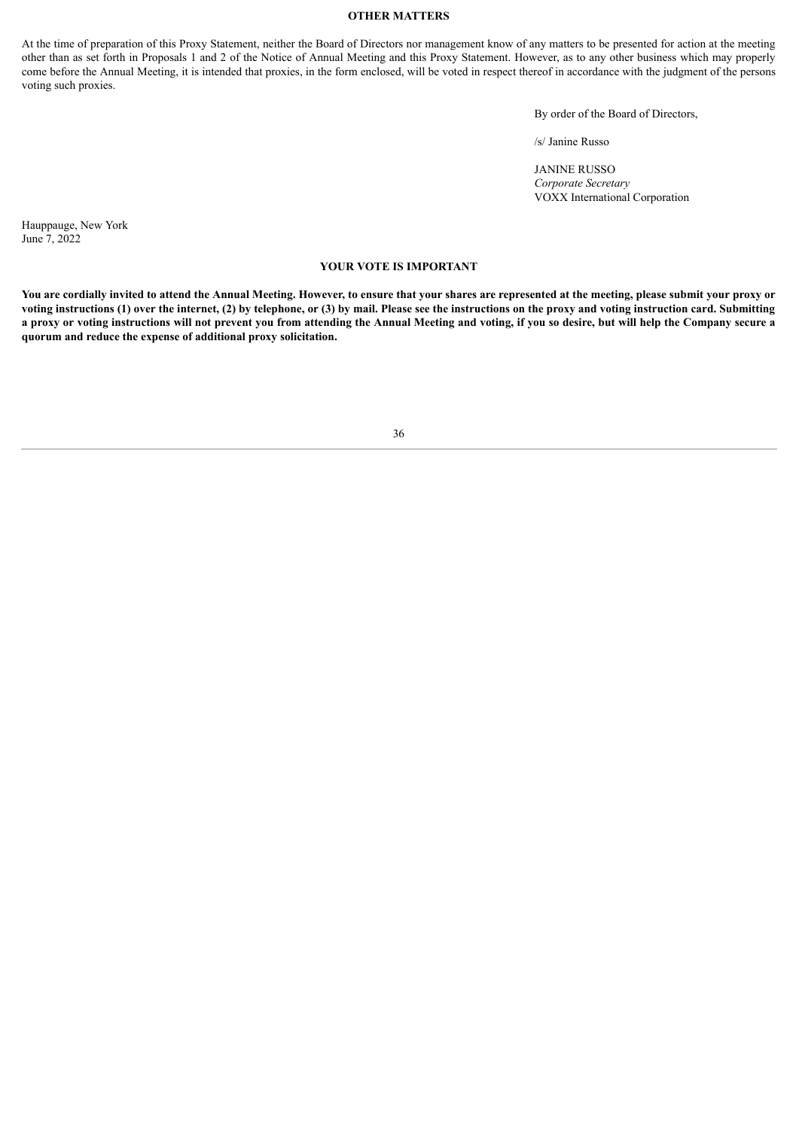# **OTHER MATTERS**

<span id="page-38-0"></span>At the time of preparation of this Proxy Statement, neither the Board of Directors nor management know of any matters to be presented for action at the meeting other than as set forth in Proposals 1 and 2 of the Notice of Annual Meeting and this Proxy Statement. However, as to any other business which may properly come before the Annual Meeting, it is intended that proxies, in the form enclosed, will be voted in respect thereof in accordance with the judgment of the persons voting such proxies.

By order of the Board of Directors,

/s/ Janine Russo

JANINE RUSSO *Corporate Secretary* VOXX International Corporation

Hauppauge, New York June 7, 2022

#### **YOUR VOTE IS IMPORTANT**

You are cordially invited to attend the Annual Meeting. However, to ensure that your shares are represented at the meeting, please submit your proxy or voting instructions (1) over the internet, (2) by telephone, or (3) by mail. Please see the instructions on the proxy and voting instruction card. Submitting a proxy or voting instructions will not prevent you from attending the Annual Meeting and voting, if you so desire, but will help the Company secure a **quorum and reduce the expense of additional proxy solicitation.**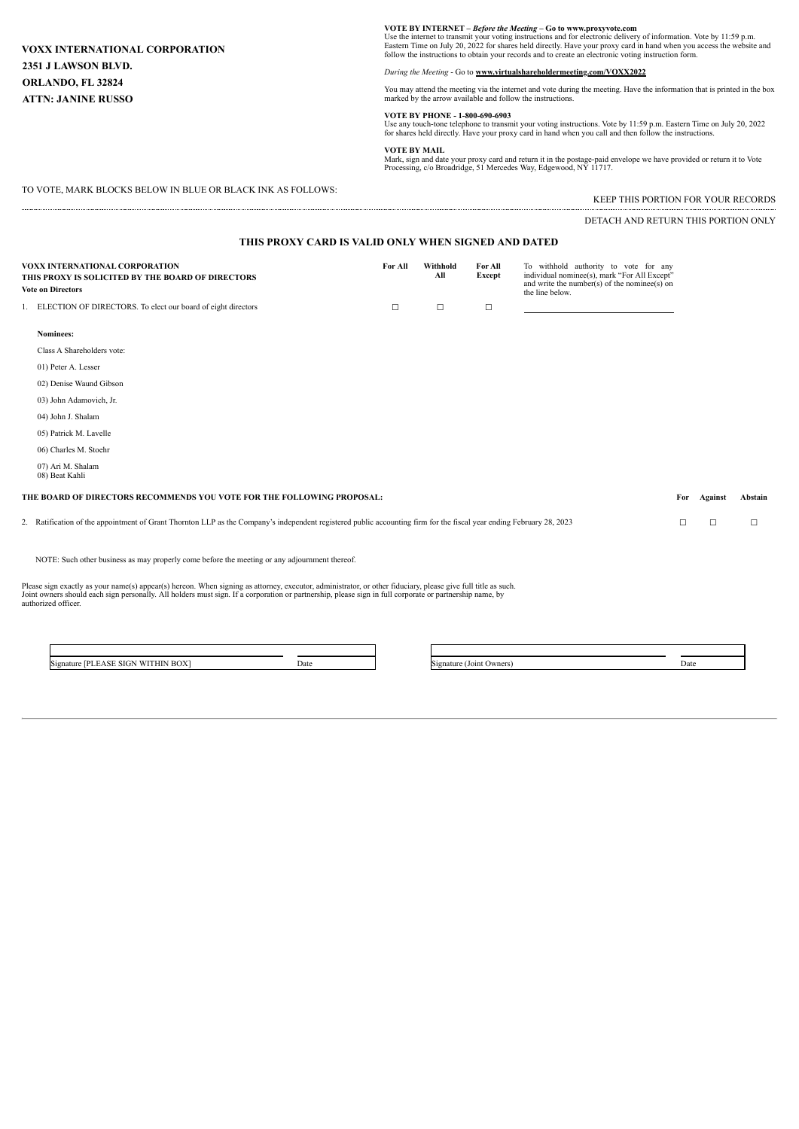# **VOXX INTERNATIONAL CORPORATION 2351 J LAWSON BLVD. ORLANDO, FL 32824 ATTN: JANINE RUSSO**

**VOTE BY INTERNET** – *Before the Meeting* – Go to www.proxyvote.com<br>Use the internet to transmit your voting instructions and for electronic delivery of information. Vote by 11:59 p.m.<br>Eastern Time on July 20, 2022 for

*During the Meeting* - Go to **www.virtualshareholdermeeting.com/VOXX2022**

You may attend the meeting via the internet and vote during the meeting. Have the information that is printed in the box marked by the arrow available and follow the instructions.

**VOTE BY PHONE - 1-800-690-6903**<br>Use any touch-tone telephone to transmit your voting instructions. Vote by 11:59 p.m. Eastern Time on July 20, 2022<br>for shares held directly. Have your proxy card in hand when you call and

#### **VOTE BY MAIL**

Mark, sign and date your proxy card and return it in the postage-paid envelope we have provided or return it to Vote Processing, c/o Broadridge, 51 Mercedes Way, Edgewood, NY 11717.

TO VOTE, MARK BLOCKS BELOW IN BLUE OR BLACK INK AS FOLLOWS:

KEEP THIS PORTION FOR YOUR RECORDS

DETACH AND RETURN THIS PORTION ONLY

| THIS PROXY CARD IS VALID ONLY WHEN SIGNED AND DATED                                                             |                                                                                                                                                                      |         |                 |                   |                                                                                                                                                          |     |         |         |
|-----------------------------------------------------------------------------------------------------------------|----------------------------------------------------------------------------------------------------------------------------------------------------------------------|---------|-----------------|-------------------|----------------------------------------------------------------------------------------------------------------------------------------------------------|-----|---------|---------|
| VOXX INTERNATIONAL CORPORATION<br>THIS PROXY IS SOLICITED BY THE BOARD OF DIRECTORS<br><b>Vote on Directors</b> |                                                                                                                                                                      | For All | Withhold<br>All | For All<br>Except | To withhold authority to vote for any<br>individual nominee(s), mark "For All Except"<br>and write the number(s) of the nominee(s) on<br>the line below. |     |         |         |
|                                                                                                                 | 1. ELECTION OF DIRECTORS. To elect our board of eight directors                                                                                                      | □       | $\Box$          | $\Box$            |                                                                                                                                                          |     |         |         |
| Nominees:                                                                                                       |                                                                                                                                                                      |         |                 |                   |                                                                                                                                                          |     |         |         |
|                                                                                                                 | Class A Shareholders vote:                                                                                                                                           |         |                 |                   |                                                                                                                                                          |     |         |         |
| 01) Peter A. Lesser                                                                                             |                                                                                                                                                                      |         |                 |                   |                                                                                                                                                          |     |         |         |
|                                                                                                                 | 02) Denise Waund Gibson                                                                                                                                              |         |                 |                   |                                                                                                                                                          |     |         |         |
|                                                                                                                 | 03) John Adamovich, Jr.                                                                                                                                              |         |                 |                   |                                                                                                                                                          |     |         |         |
| 04) John J. Shalam                                                                                              |                                                                                                                                                                      |         |                 |                   |                                                                                                                                                          |     |         |         |
|                                                                                                                 | 05) Patrick M. Lavelle                                                                                                                                               |         |                 |                   |                                                                                                                                                          |     |         |         |
|                                                                                                                 | 06) Charles M. Stoehr                                                                                                                                                |         |                 |                   |                                                                                                                                                          |     |         |         |
| 07) Ari M. Shalam<br>08) Beat Kahli                                                                             |                                                                                                                                                                      |         |                 |                   |                                                                                                                                                          |     |         |         |
|                                                                                                                 | THE BOARD OF DIRECTORS RECOMMENDS YOU VOTE FOR THE FOLLOWING PROPOSAL:                                                                                               |         |                 |                   |                                                                                                                                                          | For | Against | Abstain |
|                                                                                                                 | 2. Ratification of the appointment of Grant Thornton LLP as the Company's independent registered public accounting firm for the fiscal year ending February 28, 2023 |         |                 |                   |                                                                                                                                                          | □   | □       | $\Box$  |
|                                                                                                                 | NOTE: Such other business as may properly come before the meeting or any adjournment thereof.                                                                        |         |                 |                   |                                                                                                                                                          |     |         |         |

Please sign exactly as your name(s) appear(s) hereon. When signing as attorney, executor, administrator, or other fiduciary, please give full title as such.<br>Joint owners should each sign personally. All holders must sign.

Signature [PLEASE SIGN WITHIN BOX] Date Signature (Joint Owners) Date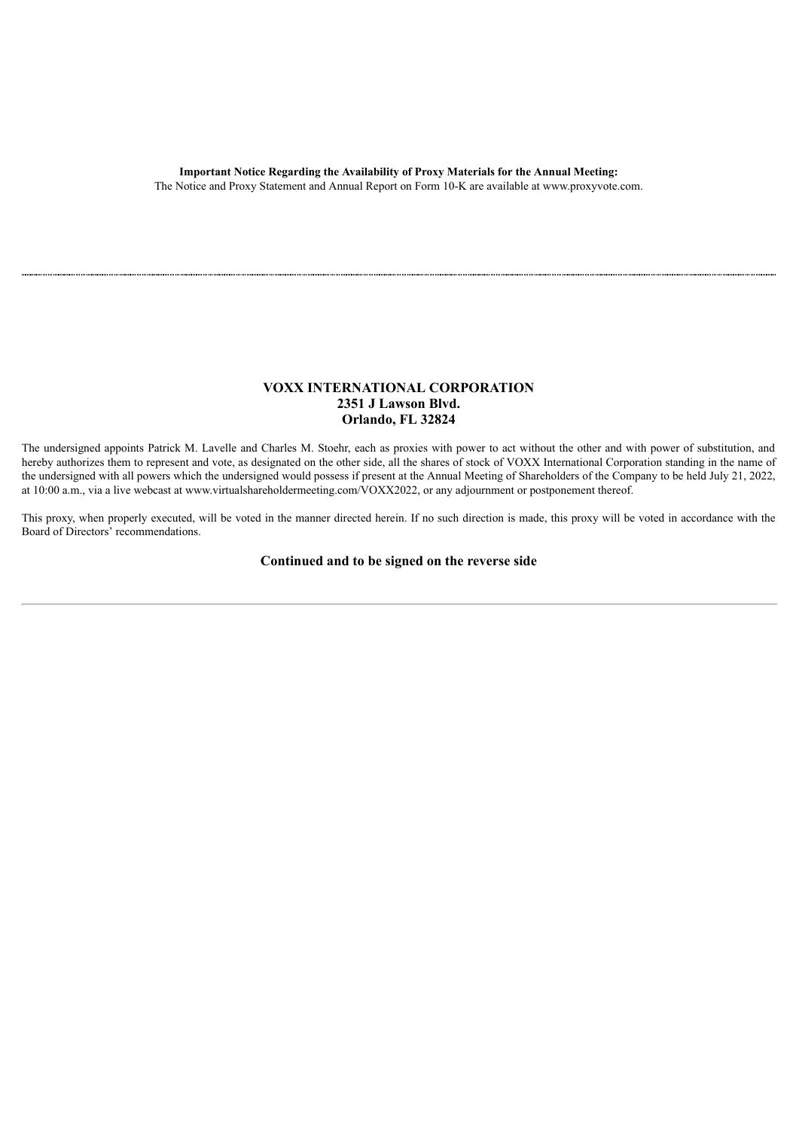The Notice and Proxy Statement and Annual Report on Form 10-K are available at www.proxyvote.com.

# **VOXX INTERNATIONAL CORPORATION 2351 J Lawson Blvd. Orlando, FL 32824**

The undersigned appoints Patrick M. Lavelle and Charles M. Stoehr, each as proxies with power to act without the other and with power of substitution, and hereby authorizes them to represent and vote, as designated on the other side, all the shares of stock of VOXX International Corporation standing in the name of the undersigned with all powers which the undersigned would possess if present at the Annual Meeting of Shareholders of the Company to be held July 21, 2022, at 10:00 a.m., via a live webcast at www.virtualshareholdermeeting.com/VOXX2022, or any adjournment or postponement thereof.

This proxy, when properly executed, will be voted in the manner directed herein. If no such direction is made, this proxy will be voted in accordance with the Board of Directors' recommendations.

**Continued and to be signed on the reverse side**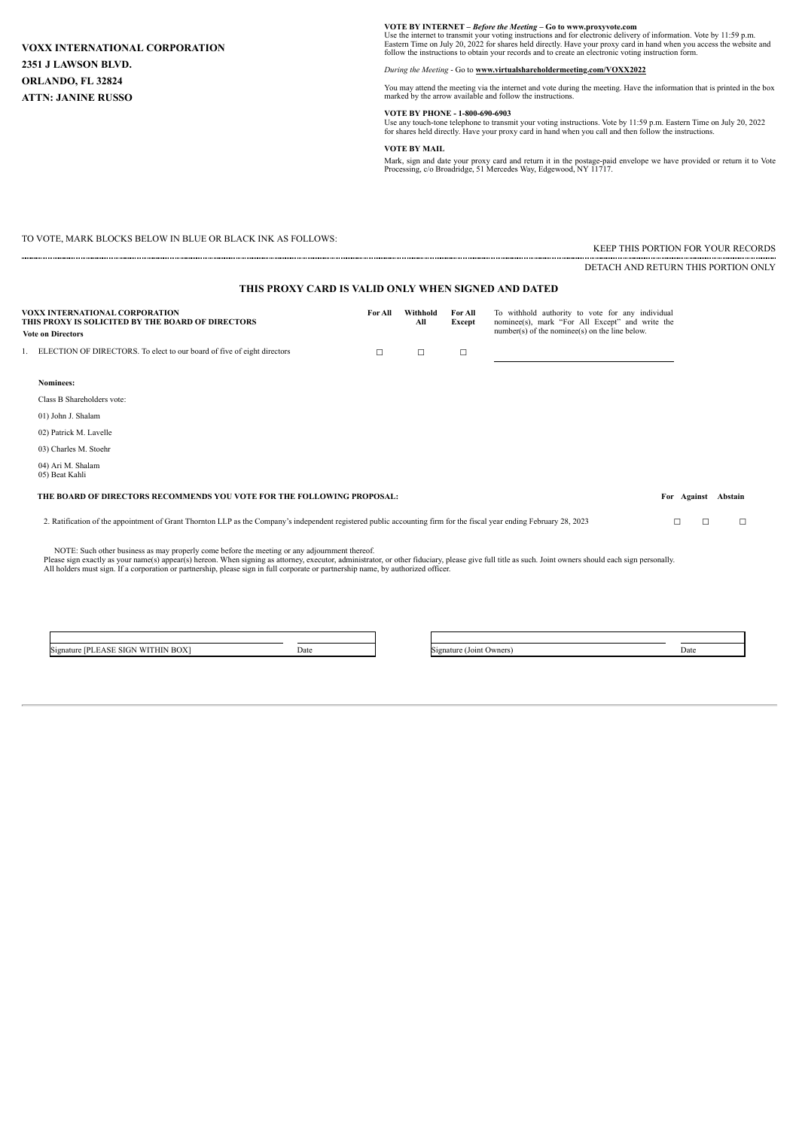$\sim$ 

**VOTE BY INTERNET** – *Before the Meeting* **– Go to www.proxyvote.com**<br>Use the internet to transmit your voting instructions and for electronic delivery of information. Vote by 11:59 p.m.<br>Eastern Time on July 20, 2022 for

*During the Meeting* - Go to **www.virtualshareholdermeeting.com/VOXX2022**

You may attend the meeting via the internet and vote during the meeting. Have the information that is printed in the box marked by the arrow available and follow the instructions.

#### **VOTE BY PHONE - 1-800-690-6903**

Use any touch-tone telephone to transmit your voting instructions. Vote by 11:59 p.m. Eastern Time on July 20, 2022 for shares held directly. Have your proxy card in hand when you call and then follow the instructions.

**VOTE BY MAIL**

Mark, sign and date your proxy card and return it in the postage-paid envelope we have provided or return it to Vote Processing, c/o Broadridge, 51 Mercedes Way, Edgewood, NY 11717.

TO VOTE, MARK BLOCKS BELOW IN BLUE OR BLACK INK AS FOLLOWS:

KEEP THIS PORTION FOR YOUR RECORDS

DETACH AND RETURN THIS PORTION ONLY

# **THIS PROXY CARD IS VALID ONLY WHEN SIGNED AND DATED**

| VOXX INTERNATIONAL CORPORATION<br>THIS PROXY IS SOLICITED BY THE BOARD OF DIRECTORS<br><b>Vote on Directors</b> | For All | Withhold<br>All | For All<br>Except | To withhold authority to vote for any individual<br>nominee(s), mark "For All Except" and write the<br>$number(s)$ of the nomine $(s)$ on the line below. |
|-----------------------------------------------------------------------------------------------------------------|---------|-----------------|-------------------|-----------------------------------------------------------------------------------------------------------------------------------------------------------|
| 1. ELECTION OF DIRECTORS. To elect to our board of five of eight directors                                      |         |                 |                   |                                                                                                                                                           |

| Nominees:                                                              |             |         |
|------------------------------------------------------------------------|-------------|---------|
| Class B Shareholders vote:                                             |             |         |
| 01) John J. Shalam                                                     |             |         |
| 02) Patrick M. Lavelle                                                 |             |         |
| 03) Charles M. Stoehr                                                  |             |         |
| 04) Ari M. Shalam<br>05) Beat Kahli                                    |             |         |
| THE BOARD OF DIRECTORS RECOMMENDS YOU VOTE FOR THE FOLLOWING PROPOSAL: | For Against | Abstain |
|                                                                        |             |         |

2. Ratification of the appointment of Grant Thornton LLP as the Company's independent registered public accounting firm for the fiscal year ending February 28, 2023 □ □

NOTE: Such other business as may properly come before the meeting or any adjournment thereof.<br>Please sign exactly as your name(s) appear(s) hereon. When signing as attomey, executor, administrator, or other fiduciary, plea

Signature [PLEASE SIGN WITHIN BOX] Date Signature (Joint Owners) Date